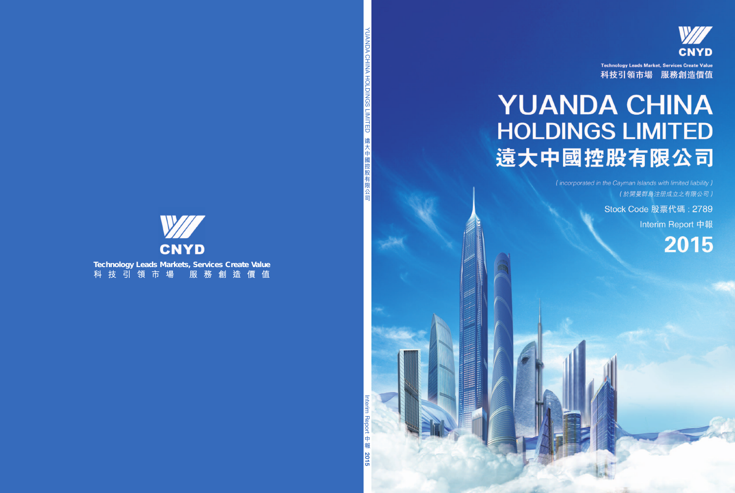

**Technology Leads Market, Services Create Value** 科技引領市場 服務創造價值

# **YUANDA CHINA HOLDINGS LIMITED** 遠大中國控股有限公司

(incorporated in the Cayman Islands with limited liability) (於開曼群島注册成立之有限公司)

Stock Code 股票代碼: 2789

Interim Report 中報

2015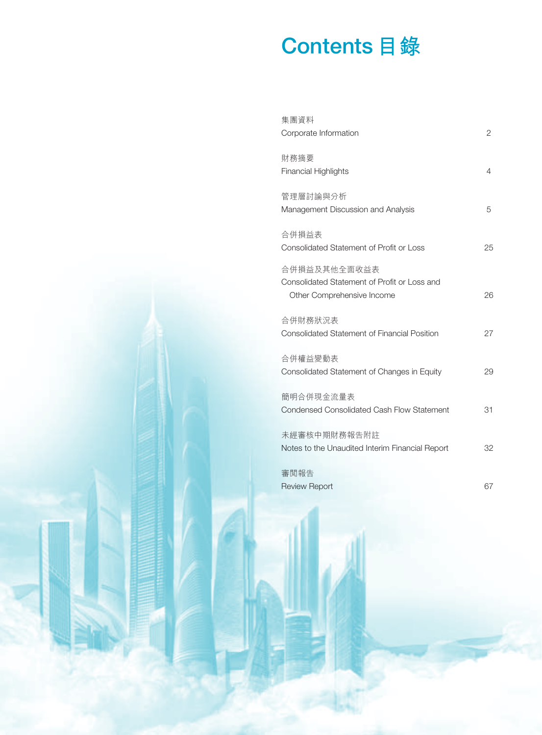## **Contents 目錄**

| 集團資料                                                |                |
|-----------------------------------------------------|----------------|
| Corporate Information                               | $\overline{2}$ |
| 財務摘要                                                |                |
| <b>Financial Highlights</b>                         | 4              |
| 管理層討論與分析                                            |                |
| Management Discussion and Analysis                  | 5              |
| 合併損益表                                               |                |
| Consolidated Statement of Profit or Loss            | 25             |
| 合併損益及其他全面收益表                                        |                |
| Consolidated Statement of Profit or Loss and        |                |
| Other Comprehensive Income                          | 26             |
| 合併財務狀況表                                             |                |
| <b>Consolidated Statement of Financial Position</b> | 27             |
| 合併權益變動表                                             |                |
| Consolidated Statement of Changes in Equity         | 29             |
| 簡明合併現金流量表                                           |                |
| <b>Condensed Consolidated Cash Flow Statement</b>   | 31             |
| 未經審核中期財務報告附註                                        |                |
| Notes to the Unaudited Interim Financial Report     | 32             |
|                                                     |                |
| 審閲報告<br><b>Review Report</b>                        | 67             |
|                                                     |                |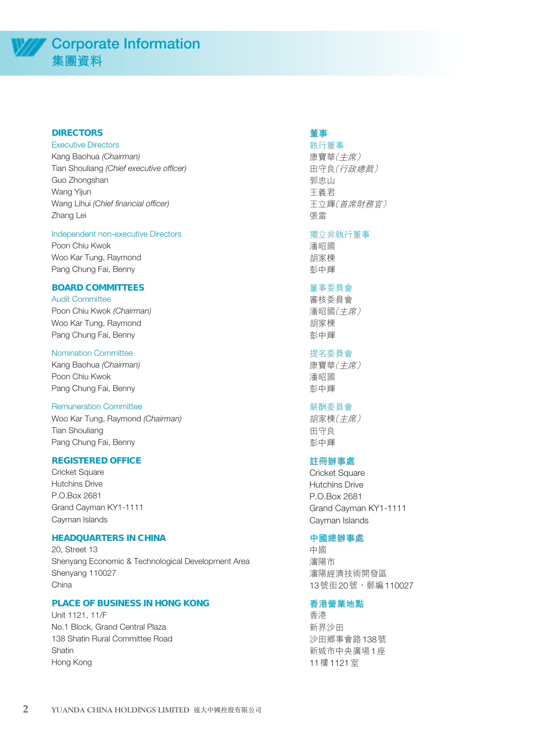#### **DIRECTORS**

#### Executive Directors

Kang Baohua (Chairman) Tian Shouliang (Chief executive officer) Guo Zhongshan Wang Yijun Wang Lihui (Chief financial officer) Zhang Lei

#### Independent non-executive Directors

Poon Chiu Kwok Woo Kar Tung, Raymond Pang Chung Fai, Benny

#### **BOARD COMMITTEES**

Audit Committee Poon Chiu Kwok (Chairman) Woo Kar Tung, Raymond Pang Chung Fai, Benny

#### Nomination Committee

Kang Baohua (Chairman) Poon Chiu Kwok Pang Chung Fai, Benny

#### Remuneration Committee

Woo Kar Tung, Raymond (Chairman) Tian Shouliang Pang Chung Fai, Benny

#### **REGISTERED OFFICE**

Cricket Square Hutchins Drive P.O.Box 2681 Grand Cayman KY1-1111 Cayman Islands

#### **HEADQUARTERS IN CHINA**

20, Street 13 Shenyang Economic & Technological Development Area Shenyang 110027 China

#### **PLACE OF BUSINESS IN HONG KONG**

Unit 1121, 11/F No.1 Block, Grand Central Plaza 138 Shatin Rural Committee Road Shatin Hong Kong

#### **董事**

執行董事 康寶華(主席) 田守良(行政總裁) 郭忠山 王義君 王立輝(首席財務官) 張雷

#### 獨立非執行董事

潘昭國 胡家棟 彭中輝

#### 董事委員會

審核委員會 潘昭國(主席) 胡家棟 彭中輝

#### 提名委員會

康寶華(主席) 潘昭國 彭中輝

#### 薪酬委員會

胡家棟(主席) 田守良 彭中輝

#### **註冊辦事處**

Cricket Square Hutchins Drive P.O.Box 2681 Grand Cayman KY1-1111 Cayman Islands

#### **中國總辦事處**

中國 瀋陽市 瀋陽經濟技術開發區 13號街20號,郵編110027

#### **香港營業地點**

香港 新界沙田 沙田鄉事會路138號 新城市中央廣場1座 11樓1121室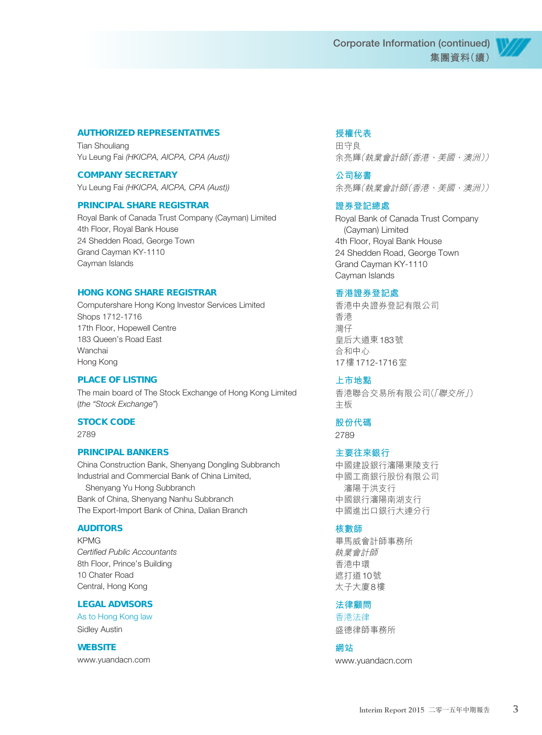

#### **AUTHORIZED REPRESENTATIVES**

Tian Shouliang Yu Leung Fai (HKICPA, AICPA, CPA (Aust))

**COMPANY SECRETARY**

Yu Leung Fai (HKICPA, AICPA, CPA (Aust))

#### **PRINCIPAL SHARE REGISTRAR**

Royal Bank of Canada Trust Company (Cayman) Limited 4th Floor, Royal Bank House 24 Shedden Road, George Town Grand Cayman KY-1110 Cayman Islands

#### **HONG KONG SHARE REGISTRAR**

Computershare Hong Kong Investor Services Limited Shops 1712-1716 17th Floor, Hopewell Centre 183 Queen's Road East **Wanchai** Hong Kong

#### **PLACE OF LISTING**

The main board of The Stock Exchange of Hong Kong Limited (the "Stock Exchange")

#### **STOCK CODE**

2789

#### **PRINCIPAL BANKERS**

China Construction Bank, Shenyang Dongling Subbranch Industrial and Commercial Bank of China Limited, Shenyang Yu Hong Subbranch Bank of China, Shenyang Nanhu Subbranch The Export-Import Bank of China, Dalian Branch

#### **AUDITORS**

KPMG Certified Public Accountants 8th Floor, Prince's Building 10 Chater Road Central, Hong Kong

#### **LEGAL ADVISORS**

As to Hong Kong law Sidley Austin

#### **WEBSITE**

www.yuandacn.com

#### **授權代表**

田守良 余亮輝(執業會計師(香港、美國、澳洲))

#### **公司秘書**

余亮輝(執業會計師(香港、美國、澳洲))

#### **證券登記總處**

Royal Bank of Canada Trust Company (Cayman) Limited 4th Floor, Royal Bank House 24 Shedden Road, George Town Grand Cayman KY-1110 Cayman Islands

#### **香港證券登記處**

香港中央證券登記有限公司 香港 灣仔 皇后大道東183號 合和中心 17樓1712-1716室

#### **上市地點**

香港聯合交易所有限公司(「聯交所」) 主板

#### **股份代碼**

2789

#### **主要往來銀行**

中國建設銀行瀋陽東陵支行 中國工商銀行股份有限公司 瀋陽于洪支行 中國銀行瀋陽南湖支行 中國進出口銀行大連分行

#### **核數師**

畢馬威會計師事務所 執業會計師 香港中環 遮打道10號 太子大廈8樓

#### **法律顧問**

香港法律 盛德律師事務所

#### **網站**

www.yuandacn.com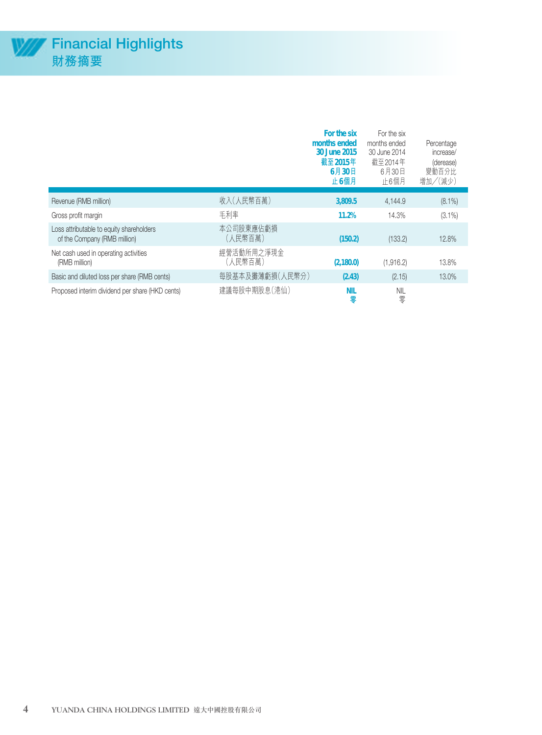

## **Financial Highlights 財務摘要**

|                                                                          |                       | For the six<br>months ended<br>30 June 2015<br>截至 2015年<br>6月30日<br>止6個月 | For the six<br>months ended<br>30 June 2014<br>截至2014年<br>6月30日<br>止6個月 | Percentage<br>increase/<br>(derease)<br>變動百分比<br>增加/(減少) |
|--------------------------------------------------------------------------|-----------------------|--------------------------------------------------------------------------|-------------------------------------------------------------------------|----------------------------------------------------------|
| Revenue (RMB million)                                                    | 收入(人民幣百萬)             | 3,809.5                                                                  | 4,144.9                                                                 | $(8.1\%)$                                                |
| Gross profit margin                                                      | 毛利率                   | 11.2%                                                                    | 14.3%                                                                   | $(3.1\%)$                                                |
| Loss attributable to equity shareholders<br>of the Company (RMB million) | 本公司股東應佔虧損<br>(人民幣百萬)  | (150.2)                                                                  | (133.2)                                                                 | 12.8%                                                    |
| Net cash used in operating activities<br>(RMB million)                   | 經營活動所用之淨現金<br>(人民幣百萬) | (2,180.0)                                                                | (1,916.2)                                                               | 13.8%                                                    |
| Basic and diluted loss per share (RMB cents)                             | 每股基本及攤薄虧損(人民幣分)       | (2.43)                                                                   | (2.15)                                                                  | 13.0%                                                    |
| Proposed interim dividend per share (HKD cents)                          | 建議每股中期股息(港仙)          | <b>NIL</b><br>零                                                          | <b>NIL</b><br>零                                                         |                                                          |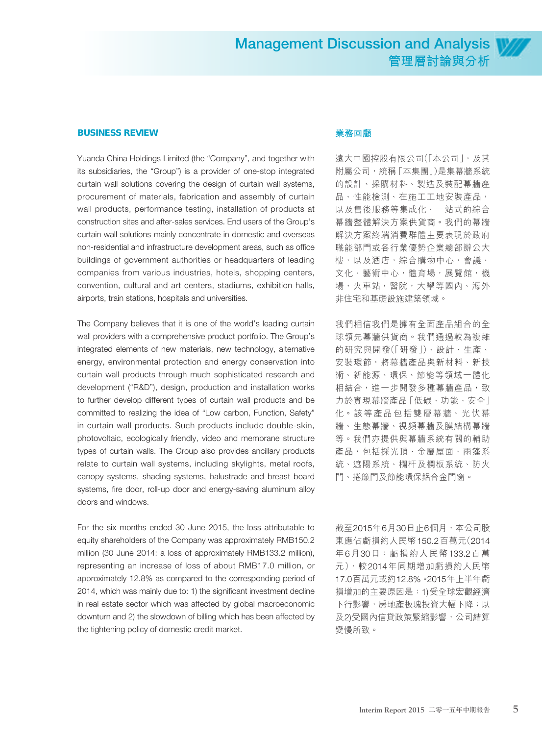#### **BUSINESS REVIEW**

Yuanda China Holdings Limited (the "Company", and together with its subsidiaries, the "Group") is a provider of one-stop integrated curtain wall solutions covering the design of curtain wall systems, procurement of materials, fabrication and assembly of curtain wall products, performance testing, installation of products at construction sites and after-sales services. End users of the Group's curtain wall solutions mainly concentrate in domestic and overseas non-residential and infrastructure development areas, such as office buildings of government authorities or headquarters of leading companies from various industries, hotels, shopping centers, convention, cultural and art centers, stadiums, exhibition halls, airports, train stations, hospitals and universities.

The Company believes that it is one of the world's leading curtain wall providers with a comprehensive product portfolio. The Group's integrated elements of new materials, new technology, alternative energy, environmental protection and energy conservation into curtain wall products through much sophisticated research and development ("R&D"), design, production and installation works to further develop different types of curtain wall products and be committed to realizing the idea of "Low carbon, Function, Safety" in curtain wall products. Such products include double-skin, photovoltaic, ecologically friendly, video and membrane structure types of curtain walls. The Group also provides ancillary products relate to curtain wall systems, including skylights, metal roofs, canopy systems, shading systems, balustrade and breast board systems, fire door, roll-up door and energy-saving aluminum alloy doors and windows.

For the six months ended 30 June 2015, the loss attributable to equity shareholders of the Company was approximately RMB150.2 million (30 June 2014: a loss of approximately RMB133.2 million), representing an increase of loss of about RMB17.0 million, or approximately 12.8% as compared to the corresponding period of 2014, which was mainly due to: 1) the significant investment decline in real estate sector which was affected by global macroeconomic downturn and 2) the slowdown of billing which has been affected by the tightening policy of domestic credit market.

#### **業務回顧**

遠大中國控股有限公司(「本公司」,及其 附屬公司,統稱「本集團」)是集幕牆系統 的設計、採購材料、製造及裝配幕牆產 品、性能檢測、在施工工地安裝產品, 以及售後服務等集成化、一站式的綜合 幕牆整體解決方案供貨商。我們的幕牆 解決方案終端消費群體主要表現於政府 職能部門或各行業優勢企業總部辦公大 樓,以及酒店,綜合購物中心,會議、 文化、藝術中心,體育場,展覽館,機 場,火車站,醫院,大學等國內、海外 非住宅和基礎設施建築領域。

我們相信我們是擁有全面產品組合的全 球領先幕牆供貨商。我們通過較為複雜 的研究與開發(「研發」)、設計、生產、 安裝環節,將幕牆產品與新材料、新技 術、新能源、環保、節能等領域一體化 相結合, 進一步開發多種幕牆產品, 致 力於實現幕牆產品「低碳、功能、安全」 化。該等產品包括雙層幕牆、光伏幕 牆、生態幕牆、視頻幕牆及膜結構幕牆 等。我們亦提供與幕牆系統有關的輔助 產品,包括採光頂、金屬屋面、雨篷系 統、遮陽系統、欄杆及欄板系統、防火 門、捲簾門及節能環保鋁合金門窗。

截至2015年6月30日止6個月,本公司股 東應佔虧損約人民幣150.2百萬元(2014 年6月30日:虧損約人民幣133.2百萬 元),較2014年同期增加虧損約人民幣 17.0百萬元或約12.8%。2015年上半年虧 損增加的主要原因是:1)受全球宏觀經濟 下行影響,房地產板塊投資大幅下降;以 及2)受國內信貸政策緊縮影響,公司結算 變慢所致。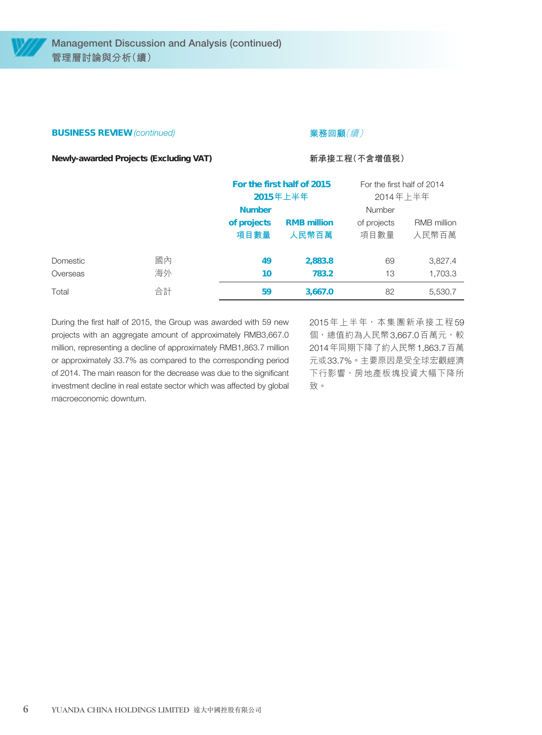

#### **BUSINESS REVIEW (continued)**

#### **業務回顧**(續)

**Newly-awarded Projects (Excluding VAT)**

#### **新承接工程(不含增值稅)**

|          |    | For the first half of 2015<br>2015年上半年 |                             | For the first half of 2014<br>2014年上半年 |                             |
|----------|----|----------------------------------------|-----------------------------|----------------------------------------|-----------------------------|
|          |    | <b>Number</b>                          |                             |                                        |                             |
|          |    | of projects<br>項目數量                    | <b>RMB million</b><br>人民幣百萬 | of projects<br>項目數量                    | <b>RMB</b> million<br>人民幣百萬 |
| Domestic | 國內 | 49                                     | 2,883.8                     | 69                                     | 3,827.4                     |
| Overseas | 海外 | 10                                     | 783.2                       | 13                                     | 1,703.3                     |
| Total    | 合計 | 59                                     | 3,667.0                     | 82                                     | 5,530.7                     |

During the first half of 2015, the Group was awarded with 59 new projects with an aggregate amount of approximately RMB3,667.0 million, representing a decline of approximately RMB1,863.7 million or approximately 33.7% as compared to the corresponding period of 2014. The main reason for the decrease was due to the significant investment decline in real estate sector which was affected by global macroeconomic downturn.

2015年上半年,本集團新承接工程59 個,總值約為人民幣3,667.0百萬元,較 2014年同期下降了約人民幣1,863.7百萬 元或33.7%。主要原因是受全球宏觀經濟 下行影響,房地產板塊投資大幅下降所 致。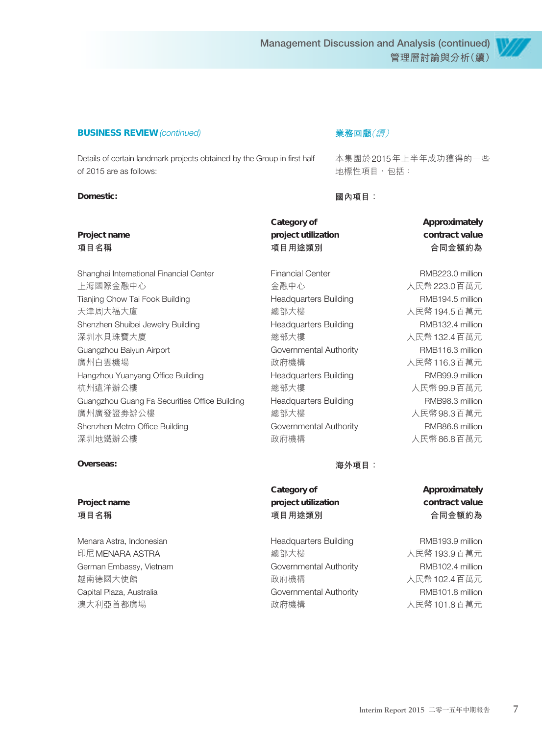#### **BUSINESS REVIEW (continued)**

Details of certain landmark projects obtained by the Group in first half of 2015 are as follows:

#### **Domestic:**

Shanghai International Financial Center Financial Center RMB223.0 million ト海國際金融中心 しょうしょう ついの ついの 一分融中心 しゅうしょう しゅうしょく 人民幣 223.0 百萬元 しゅうしょう Tianjing Chow Tai Fook Building Tain in the Headquarters Building Tainjing RMB194.5 million 天津周大福大廈 またはない インスタンス 総部大樓 おんな かいかん しょうかん 人民幣 194.5 百萬元 Shenzhen Shuibei Jewelry Building **Headquarters Building** RMB132.4 million 深圳水貝珠寶大廈 スポンプ インディング 総部大樓 しんしょう しゅうしょう スパイロ 人民幣 132.4 百萬元 Guangzhou Baiyun Airport Governmental Authority RMB116.3 million 廣州白雲機場 インファイル インストリック 政府機構 インファイル あんだ あいまん 人民幣 116.3 百萬元 しゅうしょう Hangzhou Yuanyang Office Building Theadquarters Building Theory RMB99.9 million **杭州遠洋辦公樓 インスタン インスタン たまま たまま たいしゃ 総部大樓 かいしょう しゅうきょう しゅうしょう 人民幣 99.9 百萬元** Guangzhou Guang Fa Securities Office Building Headquarters Building FRMB98.3 million 廣州廣發證券辦公樓 まんない インストリング 総部大樓 いっと しんしゅう あんたい 人民幣 98.3 百萬元 しんしゅう Shenzhen Metro Office Building and Governmental Authority and RMB86.8 million 深圳地鐵辦公樓 いっちょう おおし あいかん 政府機構 いっちょう しんしゅう しょうしょう 人民幣 86.8 百萬元 しんじょう

#### **Overseas:**

Menara Astra, Indonesian Theadquarters Building Theadquarters Building RMB193.9 million 印尼MENARA ASTRA 總部大樓 人民幣193.9百萬元 German Embassy, Vietnam and Governmental Authority and RMB102.4 million 越南德國大使館 インファイル インストリック 政府機構 しんしゃ しんしゅう しんしゅう しんしゅう しんしゅう しんしゅう しんしゅう しんしゅう しんしゅう Capital Plaza, Australia Governmental Authority RMB101.8 million 澳大利亞首都廣場 いっちょう しんしゃ 政府機構 しんしん しんしゅう しんぽ かいりょう かいりょう かいりょう

#### **業務回顧**(續)

本集團於2015年上半年成功獲得的一些 地標性項目,包括:

**國內項目:**

**Project name project utilization project utilization contract value 項目名稱 項目用途類別 合同金額約為**

# **Category of Approximately**

#### **海外項目:**

## **Project name project utilization project utilization contract value 項目名稱 項目用途類別 合同金額約為**

# **Category of Category of Approximately**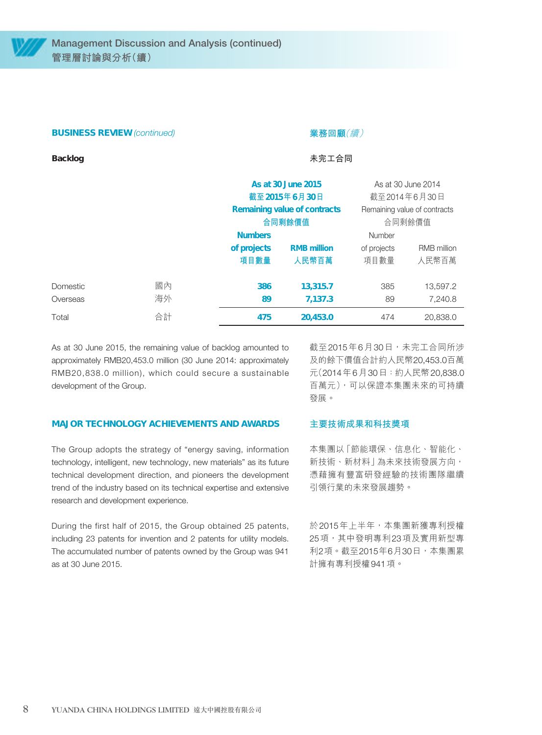

#### **BUSINESS REVIEW (continued)**

**Backlog**

#### **業務回顧**(續)

#### **未完工合同**

|          |    |                | As at 30 June 2015<br>截至2015年6月30日<br><b>Remaining value of contracts</b><br>合同剩餘價值 |             | As at 30 June 2014<br>截至2014年6月30日<br>Remaining value of contracts<br>合同剩餘價值 |
|----------|----|----------------|-------------------------------------------------------------------------------------|-------------|------------------------------------------------------------------------------|
|          |    | <b>Numbers</b> |                                                                                     |             |                                                                              |
|          |    | of projects    | <b>RMB million</b>                                                                  | of projects | <b>RMB</b> million                                                           |
|          |    | 項目數量           | 人民幣百萬                                                                               | 項目數量        | 人民幣百萬                                                                        |
| Domestic | 國內 | 386            | 13,315.7                                                                            | 385         | 13,597.2                                                                     |
| Overseas | 海外 | 89             | 7.137.3                                                                             | 89          | 7.240.8                                                                      |
| Total    | 合計 | 475            | 20.453.0                                                                            | 474         | 20,838.0                                                                     |

As at 30 June 2015, the remaining value of backlog amounted to approximately RMB20,453.0 million (30 June 2014: approximately RMB20,838.0 million), which could secure a sustainable development of the Group.

#### **MAJOR TECHNOLOGY ACHIEVEMENTS AND AWARDS**

The Group adopts the strategy of "energy saving, information technology, intelligent, new technology, new materials" as its future technical development direction, and pioneers the development trend of the industry based on its technical expertise and extensive research and development experience.

During the first half of 2015, the Group obtained 25 patents, including 23 patents for invention and 2 patents for utility models. The accumulated number of patents owned by the Group was 941 as at 30 June 2015.

截至2015年6月30日,未完工合同所涉 及的餘下價值合計約人民幣20,453.0百萬 元(2014年6月30日:約人民幣20,838.0 百萬元),可以保證本集團未來的可持續 發展。

#### **主要技術成果和科技獎項**

本集團以「節能環保、信息化、智能化、 新技術、新材料」為未來技術發展方向, 憑藉擁有豐富研發經驗的技術團隊繼續 引領行業的未來發展趨勢。

於2015年上半年,本集團新獲專利授權 25項,其中發明專利23項及實用新型專 利2項。截至2015年6月30日,本集團累 計擁有專利授權941項。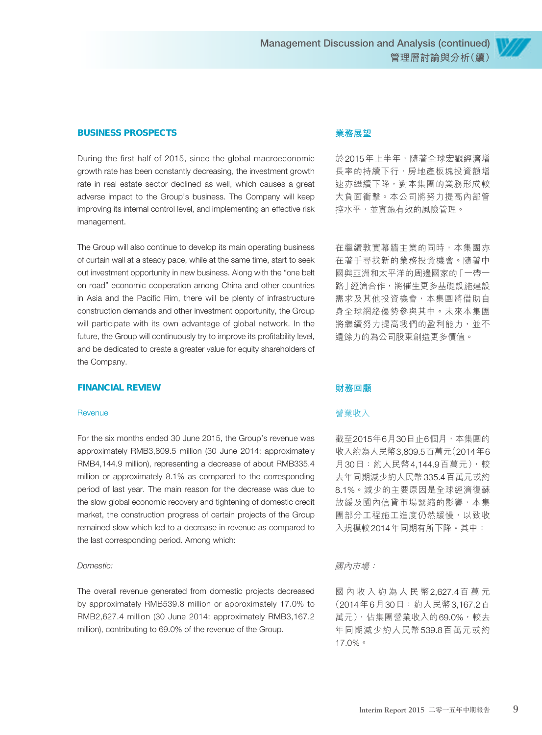

#### **BUSINESS PROSPECTS**

During the first half of 2015, since the global macroeconomic growth rate has been constantly decreasing, the investment growth rate in real estate sector declined as well, which causes a great adverse impact to the Group's business. The Company will keep improving its internal control level, and implementing an effective risk management.

The Group will also continue to develop its main operating business of curtain wall at a steady pace, while at the same time, start to seek out investment opportunity in new business. Along with the "one belt on road" economic cooperation among China and other countries in Asia and the Pacific Rim, there will be plenty of infrastructure construction demands and other investment opportunity, the Group will participate with its own advantage of global network. In the future, the Group will continuously try to improve its profitability level, and be dedicated to create a greater value for equity shareholders of the Company.

#### **FINANCIAL REVIEW**

#### **Revenue**

For the six months ended 30 June 2015, the Group's revenue was approximately RMB3,809.5 million (30 June 2014: approximately RMB4,144.9 million), representing a decrease of about RMB335.4 million or approximately 8.1% as compared to the corresponding period of last year. The main reason for the decrease was due to the slow global economic recovery and tightening of domestic credit market, the construction progress of certain projects of the Group remained slow which led to a decrease in revenue as compared to the last corresponding period. Among which:

#### Domestic:

The overall revenue generated from domestic projects decreased by approximately RMB539.8 million or approximately 17.0% to RMB2,627.4 million (30 June 2014: approximately RMB3,167.2 million), contributing to 69.0% of the revenue of the Group.

#### **業務展望**

於2015年上半年,隨著全球宏觀經濟增 長率的持續下行,房地產板塊投資額增 速亦繼續下降,對本集團的業務形成較 大負面衝擊。本公司將努力提高內部管 控水平,並實施有效的風險管理。

在繼續敦實幕牆主業的同時,本集團亦 在著手尋找新的業務投資機會。隨著中 國與亞洲和太平洋的周邊國家的「一帶一 路 | 經濟合作,將催生更多基礎設施建設 需求及其他投資機會,本集團將借助自 身全球網絡優勢參與其中。未來本集團 將繼續努力提高我們的盈利能力,並不 遺餘力的為公司股東創造更多價值。

#### **財務回顧**

#### 營業收入

截至2015年6月30日止6個月,本集團的 收入約為人民幣3,809.5百萬元(2014年6 月30日:約人民幣4,144.9百萬元),較 去年同期減少約人民幣335.4百萬元或約 8.1%。減少的主要原因是全球經濟復蘇 放緩及國內信貸市場緊縮的影響,本集 團部分工程施工進度仍然緩慢,以致收 入規模較2014年同期有所下降。其中:

#### 國內市場:

國內收入約為人民幣2,627.4百萬元 (2014年6月30日:約人民幣3,167.2百 萬元),佔集團營業收入的69.0%,較去 年同期減少約人民幣539.8百萬元或約 17.0%。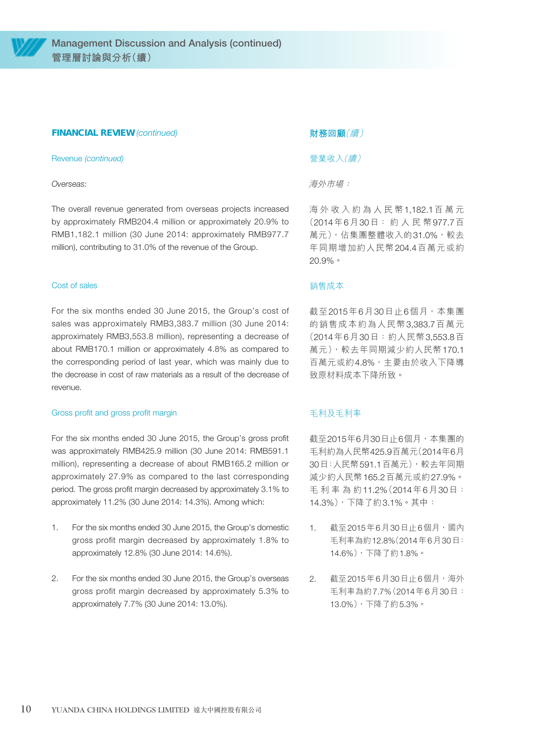

#### Revenue (continued)

#### Overseas:

The overall revenue generated from overseas projects increased by approximately RMB204.4 million or approximately 20.9% to RMB1,182.1 million (30 June 2014: approximately RMB977.7 million), contributing to 31.0% of the revenue of the Group.

#### Cost of sales

For the six months ended 30 June 2015, the Group's cost of sales was approximately RMB3,383.7 million (30 June 2014: approximately RMB3,553.8 million), representing a decrease of about RMB170.1 million or approximately 4.8% as compared to the corresponding period of last year, which was mainly due to the decrease in cost of raw materials as a result of the decrease of revenue.

#### Gross profit and gross profit margin

For the six months ended 30 June 2015, the Group's gross profit was approximately RMB425.9 million (30 June 2014: RMB591.1 million), representing a decrease of about RMB165.2 million or approximately 27.9% as compared to the last corresponding period. The gross profit margin decreased by approximately 3.1% to approximately 11.2% (30 June 2014: 14.3%). Among which:

- 1. For the six months ended 30 June 2015, the Group's domestic gross profit margin decreased by approximately 1.8% to approximately 12.8% (30 June 2014: 14.6%).
- 2. For the six months ended 30 June 2015, the Group's overseas gross profit margin decreased by approximately 5.3% to approximately 7.7% (30 June 2014: 13.0%).

#### **財務回顧**(續)

營業收入(續)

海外市場:

海外收入約為人民幣1,182.1百萬元 (2014年6月30日: 約 人 民 幣977.7百 萬元),佔集團整體收入的31.0%,較去 年同期增加約人民幣204.4百萬元或約 20.9%。

#### 銷售成本

截至2015年6月30日止6個月,本集團 的銷售成本約為人民幣3,383.7百萬元 (2014年6月30日:約人民幣3,553.8百 萬元),較去年同期減少約人民幣170.1 百萬元或約4.8%,主要由於收入下降導 致原材料成本下降所致。

#### 毛利及毛利率

截至2015年6月30日止6個月,本集團的 毛利約為人民幣425.9百萬元(2014年6月 30日:人民幣591.1百萬元),較去年同期 減少約人民幣165.2百萬元或約27.9%。 毛利率為約11.2%(2014年6月30日: 14.3%),下降了約3.1%。其中:

- 1. 截至2015年6月30日止6個月,國內 毛利率為約12.8%(2014年6月30日: 14.6%),下降了約1.8%。
- 2. 截至2015年6月30日止6個月,海外 毛利率為約7.7%(2014年6月30日: 13.0%),下降了約5.3%。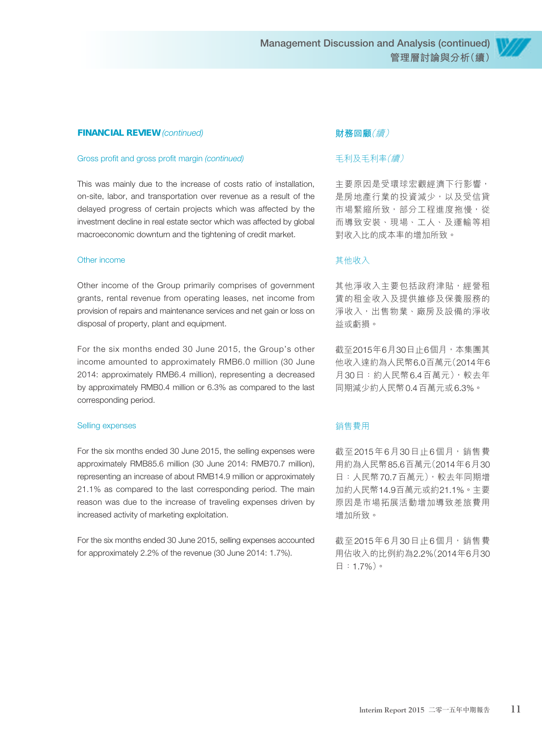#### Gross profit and gross profit margin (continued)

This was mainly due to the increase of costs ratio of installation, on-site, labor, and transportation over revenue as a result of the delayed progress of certain projects which was affected by the investment decline in real estate sector which was affected by global macroeconomic downturn and the tightening of credit market.

#### Other income

Other income of the Group primarily comprises of government grants, rental revenue from operating leases, net income from provision of repairs and maintenance services and net gain or loss on disposal of property, plant and equipment.

For the six months ended 30 June 2015, the Group's other income amounted to approximately RMB6.0 million (30 June 2014: approximately RMB6.4 million), representing a decreased by approximately RMB0.4 million or 6.3% as compared to the last corresponding period.

#### Selling expenses

For the six months ended 30 June 2015, the selling expenses were approximately RMB85.6 million (30 June 2014: RMB70.7 million), representing an increase of about RMB14.9 million or approximately 21.1% as compared to the last corresponding period. The main reason was due to the increase of traveling expenses driven by increased activity of marketing exploitation.

For the six months ended 30 June 2015, selling expenses accounted for approximately 2.2% of the revenue (30 June 2014: 1.7%).

#### **財務回顧**(續)

#### 毛利及毛利率(續)

主要原因是受環球宏觀經濟下行影響, 是房地產行業的投資減少,以及受信貸 市場緊縮所致,部分工程進度拖慢,從 而導致安裝、現場、工人、及運輸等相 對收入比的成本率的增加所致。

#### 其他收入

其他淨收入主要包括政府津貼,經營租 賃的租金收入及提供維修及保養服務的 淨收入,出售物業、廠房及設備的淨收 益或虧損。

截至2015年6月30日止6個月,本集團其 他收入達約為人民幣6.0百萬元(2014年6 月30日:約人民幣6.4百萬元),較去年 同期減少約人民幣0.4百萬元或6.3%。

#### 銷售費用

截至2015年6月30日止6個月,銷售費 用約為人民幣85.6百萬元(2014年6月30 日:人民幣70.7百萬元),較去年同期增 加約人民幣14.9百萬元或約21.1%。主要 原因是市場拓展活動增加導致差旅費用 增加所致。

截至2015年6月30日止6個月,銷售費 用佔收入的比例約為2.2%(2014年6月30 日:1.7%)。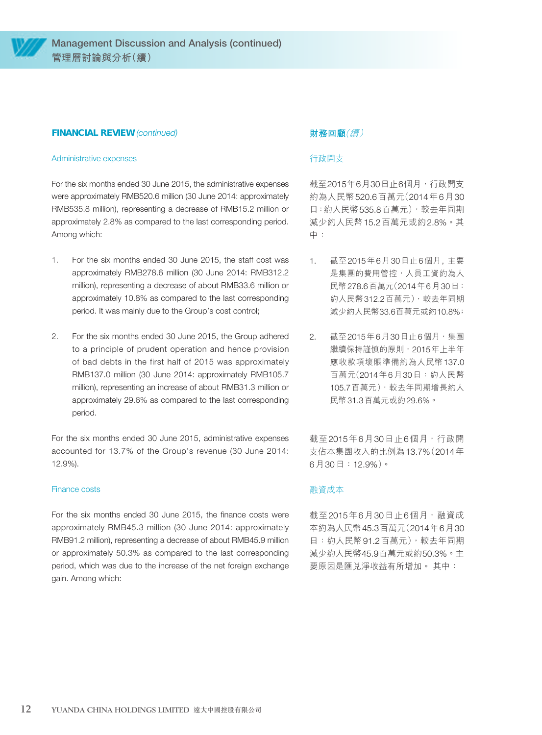

#### Administrative expenses

For the six months ended 30 June 2015, the administrative expenses were approximately RMB520.6 million (30 June 2014: approximately RMB535.8 million), representing a decrease of RMB15.2 million or approximately 2.8% as compared to the last corresponding period. Among which:

- 1. For the six months ended 30 June 2015, the staff cost was approximately RMB278.6 million (30 June 2014: RMB312.2 million), representing a decrease of about RMB33.6 million or approximately 10.8% as compared to the last corresponding period. It was mainly due to the Group's cost control;
- 2. For the six months ended 30 June 2015, the Group adhered to a principle of prudent operation and hence provision of bad debts in the first half of 2015 was approximately RMB137.0 million (30 June 2014: approximately RMB105.7 million), representing an increase of about RMB31.3 million or approximately 29.6% as compared to the last corresponding period.

For the six months ended 30 June 2015, administrative expenses accounted for 13.7% of the Group's revenue (30 June 2014: 12.9%).

#### Finance costs

For the six months ended 30 June 2015, the finance costs were approximately RMB45.3 million (30 June 2014: approximately RMB91.2 million), representing a decrease of about RMB45.9 million or approximately 50.3% as compared to the last corresponding period, which was due to the increase of the net foreign exchange gain. Among which:

#### **財務回顧**(續)

#### 行政開支

截至2015年6月30日止6個月,行政開支 約為人民幣520.6百萬元(2014年6月30 日:約人民幣535.8百萬元),較去年同期 減少約人民幣15.2百萬元或約2.8%。其 中:

- 1. 截至2015年6月30日止6個月, 主要 是集團的費用管控,人員工資約為人 民幣278.6百萬元(2014年6月30日: 約人民幣312.2百萬元),較去年同期 減少約人民幣33.6百萬元或約10.8%;
- 2. 截至2015年6月30日止6個月,集團 繼續保持謹慎的原則,2015年上半年 應收款項壞賬準備約為人民幣137.0 百萬元(2014年6月30日:約人民幣 105.7百萬元),較去年同期增長約人 民幣31.3百萬元或約29.6%。

截至2015年6月30日止6個月,行政開 支佔本集團收入的比例為13.7%(2014年 6月30日:12.9%)。

#### 融資成本

截至2015年6月30日止6個月,融資成 本約為人民幣45.3百萬元(2014年6月30 日:約人民幣91.2百萬元),較去年同期 減少約人民幣45.9百萬元或約50.3%。主 要原因是匯兌淨收益有所增加。 其中: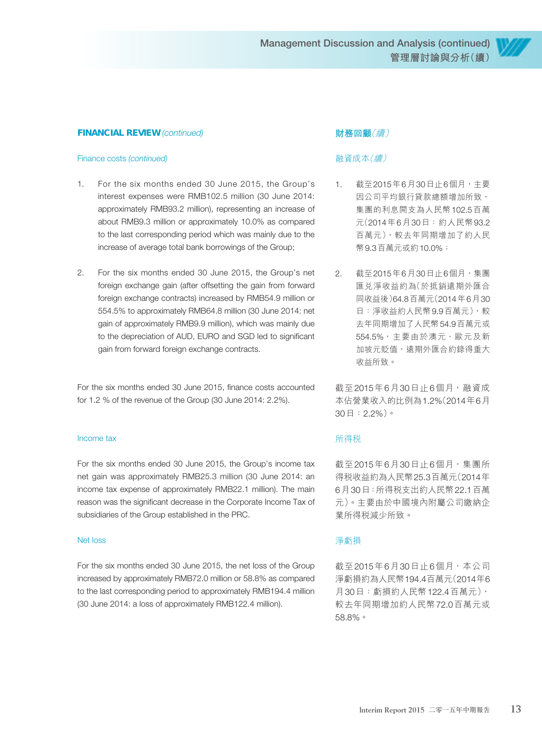#### Finance costs (continued)

- 1. For the six months ended 30 June 2015, the Group's interest expenses were RMB102.5 million (30 June 2014: approximately RMB93.2 million), representing an increase of about RMB9.3 million or approximately 10.0% as compared to the last corresponding period which was mainly due to the increase of average total bank borrowings of the Group;
- 2. For the six months ended 30 June 2015, the Group's net foreign exchange gain (after offsetting the gain from forward foreign exchange contracts) increased by RMB54.9 million or 554.5% to approximately RMB64.8 million (30 June 2014: net gain of approximately RMB9.9 million), which was mainly due to the depreciation of AUD, EURO and SGD led to significant gain from forward foreign exchange contracts.

For the six months ended 30 June 2015, finance costs accounted for 1.2 % of the revenue of the Group (30 June 2014: 2.2%).

#### Income tax

For the six months ended 30 June 2015, the Group's income tax net gain was approximately RMB25.3 million (30 June 2014: an income tax expense of approximately RMB22.1 million). The main reason was the significant decrease in the Corporate Income Tax of subsidiaries of the Group established in the PRC.

#### Net loss

For the six months ended 30 June 2015, the net loss of the Group increased by approximately RMB72.0 million or 58.8% as compared to the last corresponding period to approximately RMB194.4 million (30 June 2014: a loss of approximately RMB122.4 million).

#### **財務回顧**(續)

#### 融資成本(續)

- 1. 截至2015年6月30日止6個月,主要 因公司平均銀行貸款總額增加所致, 集團的利息開支為人民幣102.5百萬 元(2014年6月30日:約人民幣93.2 百萬元),較去年同期增加了約人民 幣9.3百萬元或約10.0%;
- 2. 截至2015年6月30日止6個月,集團 匯兌淨收益約為(於抵銷遠期外匯合 同收益後)64.8百萬元(2014年6月30 日:淨收益約人民幣9.9百萬元),較 去年同期增加了人民幣54.9百萬元或 554.5%,主要由於澳元、歐元及新 加坡元貶值,遠期外匯合約錄得重大 收益所致。

截至2015年6月30日止6個月,融資成 本佔營業收入的比例為1.2%(2014年6月 30日:2.2%)。

#### 所得稅

截至2015年6月30日止6個月,集團所 得稅收益約為人民幣25.3百萬元(2014年 6月30日:所得稅支出約人民幣22.1百萬 元)。主要由於中國境內附屬公司繳納企 業所得稅減少所致。

#### 淨虧損

截至2015年6月30日止6個月,本公司 淨虧損約為人民幣194.4百萬元(2014年6 月30日:虧損約人民幣122.4百萬元), 較去年同期增加約人民幣72.0百萬元或 58.8%。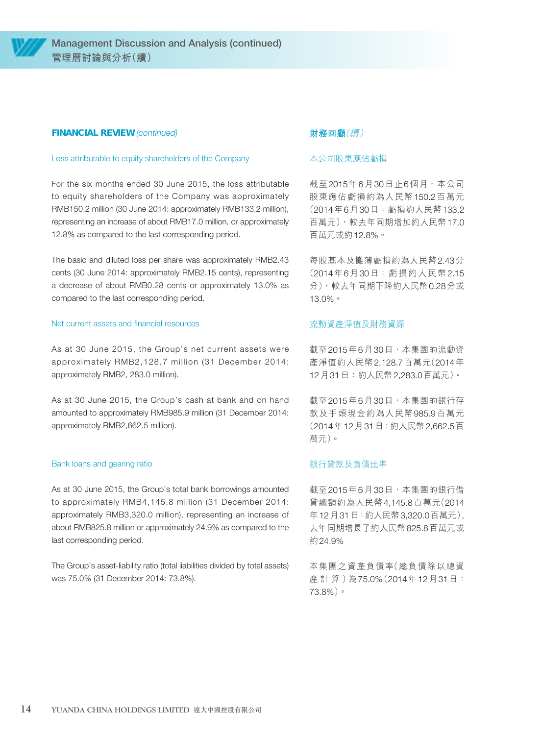

#### Loss attributable to equity shareholders of the Company

For the six months ended 30 June 2015, the loss attributable to equity shareholders of the Company was approximately RMB150.2 million (30 June 2014: approximately RMB133.2 million), representing an increase of about RMB17.0 million, or approximately 12.8% as compared to the last corresponding period.

The basic and diluted loss per share was approximately RMB2.43 cents (30 June 2014: approximately RMB2.15 cents), representing a decrease of about RMB0.28 cents or approximately 13.0% as compared to the last corresponding period.

#### Net current assets and financial resources

As at 30 June 2015, the Group's net current assets were approximately RMB2,128.7 million (31 December 2014: approximately RMB2, 283.0 million).

As at 30 June 2015, the Group's cash at bank and on hand amounted to approximately RMB985.9 million (31 December 2014: approximately RMB2,662.5 million).

#### Bank loans and gearing ratio

As at 30 June 2015, the Group's total bank borrowings amounted to approximately RMB4,145.8 million (31 December 2014: approximately RMB3,320.0 million), representing an increase of about RMB825.8 million or approximately 24.9% as compared to the last corresponding period.

The Group's asset-liability ratio (total liabilities divided by total assets) was 75.0% (31 December 2014: 73.8%).

#### **財務回顧**(續)

#### 本公司股東應佔虧損

截至2015年6月30日止6個月,本公司 股東應佔虧損約為人民幣150.2百萬元 (2014年6月30日:虧損約人民幣133.2 百萬元),較去年同期增加約人民幣17.0 百萬元或約12.8%。

每股基本及攤薄虧損約為人民幣2.43分 (2014年6月30日:虧損約人民幣2.15 分),較去年同期下降約人民幣0.28分或 13.0%。

#### 流動資產淨值及財務資源

截至2015年6月30日,本集團的流動資 產淨值約人民幣2,128.7百萬元(2014年 12月31日:約人民幣2,283.0百萬元)。

截至2015年6月30日,本集團的銀行存 款及手頭現金約為人民幣985.9百萬元 (2014年12月31日:約人民幣2,662.5百 萬元)。

#### 銀行貸款及負債比率

截至2015年6月30日,本集團的銀行借 貸總額約為人民幣4,145.8百萬元(2014 年12月31日:約人民幣3,320.0百萬元), 去年同期增長了約人民幣825.8百萬元或 約24.9%

本集團之資產負債率(總負債除以總資 產計算)為75.0%(2014年12月31日: 73.8%)。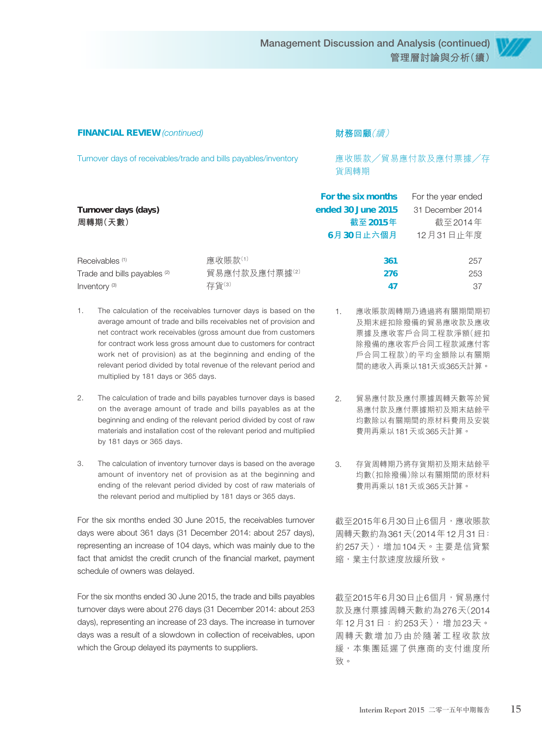#### **財務回顧**(續)

Turnover days of receivables/trade and bills payables/inventory

#### 應收賬款╱貿易應付款及應付票據╱存 貨周轉期

|                              |               | For the six months | For the year ended |
|------------------------------|---------------|--------------------|--------------------|
| Turnover days (days)         |               | ended 30 June 2015 | 31 December 2014   |
| 周轉期(天數)                      |               | 截至 2015年           | 截至2014年            |
|                              |               | 6月30日止六個月          | 12月31日止年度          |
| Receivables <sup>(1)</sup>   | 應收賬款(1)       | 361                | 257                |
| Trade and bills payables (2) | 貿易應付款及應付票據(2) | 276                | 253                |
| Inventory <sup>(3)</sup>     | 存貨(3)         | 47                 | 37                 |

- 1. The calculation of the receivables turnover days is based on the average amount of trade and bills receivables net of provision and net contract work receivables (gross amount due from customers for contract work less gross amount due to customers for contract work net of provision) as at the beginning and ending of the relevant period divided by total revenue of the relevant period and multiplied by 181 days or 365 days.
- 2. The calculation of trade and bills payables turnover days is based on the average amount of trade and bills payables as at the beginning and ending of the relevant period divided by cost of raw materials and installation cost of the relevant period and multiplied by 181 days or 365 days.
- 3. The calculation of inventory turnover days is based on the average amount of inventory net of provision as at the beginning and ending of the relevant period divided by cost of raw materials of the relevant period and multiplied by 181 days or 365 days.

For the six months ended 30 June 2015, the receivables turnover days were about 361 days (31 December 2014: about 257 days), representing an increase of 104 days, which was mainly due to the fact that amidst the credit crunch of the financial market, payment schedule of owners was delayed.

For the six months ended 30 June 2015, the trade and bills payables turnover days were about 276 days (31 December 2014: about 253 days), representing an increase of 23 days. The increase in turnover days was a result of a slowdown in collection of receivables, upon which the Group delayed its payments to suppliers.

- 1. 應收賬款周轉期乃通過將有關期間期初 及期末經扣除撥備的貿易應收款及應收 票據及應收客戶合同工程款淨額(經扣 除撥備的應收客戶合同工程款減應付客 戶合同工程款)的平均金額除以有關期 間的總收入再乘以181天或365天計算。
- 2. 貿易應付款及應付票據周轉天數等於貿 易應付款及應付票據期初及期末結餘平 均數除以有關期間的原材料費用及安裝 費用再乘以181天或365天計算。
- 3. 存貨周轉期乃將存貨期初及期末結餘平 均數(扣除撥備)除以有關期間的原材料 費用再乘以181天或365天計算。

截至2015年6月30日止6個月,應收賬款 周轉天數約為361天(2014年12月31日: 約257天),增加104天。主要是信貸緊 縮,業主付款速度放緩所致。

截至2015年6月30日止6個月,貿易應付 款及應付票據周轉天數約為276天(2014 年12月31日:約253天),增加23天。 周轉天數增加乃由於隨著工程收款放 緩,本集團延遲了供應商的支付進度所 致。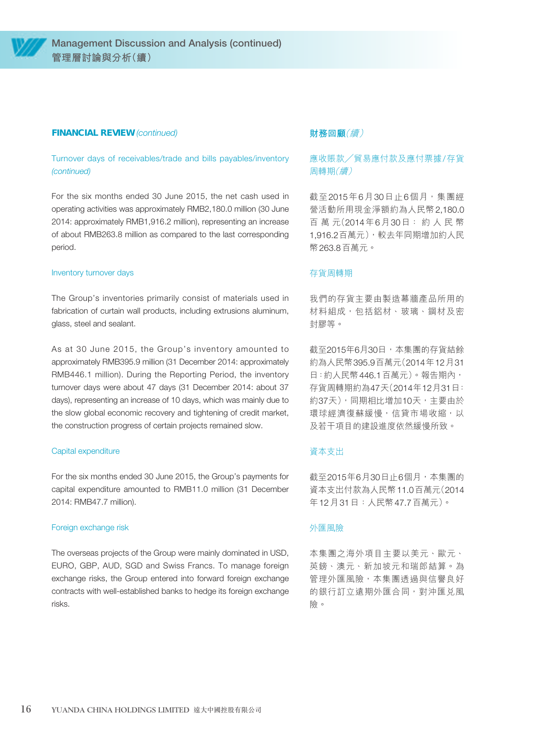

#### Turnover days of receivables/trade and bills payables/inventory (continued)

For the six months ended 30 June 2015, the net cash used in operating activities was approximately RMB2,180.0 million (30 June 2014: approximately RMB1,916.2 million), representing an increase of about RMB263.8 million as compared to the last corresponding period.

#### Inventory turnover days

The Group's inventories primarily consist of materials used in fabrication of curtain wall products, including extrusions aluminum, glass, steel and sealant.

As at 30 June 2015, the Group's inventory amounted to approximately RMB395.9 million (31 December 2014: approximately RMB446.1 million). During the Reporting Period, the inventory turnover days were about 47 days (31 December 2014: about 37 days), representing an increase of 10 days, which was mainly due to the slow global economic recovery and tightening of credit market, the construction progress of certain projects remained slow.

#### Capital expenditure

For the six months ended 30 June 2015, the Group's payments for capital expenditure amounted to RMB11.0 million (31 December 2014: RMB47.7 million).

#### Foreign exchange risk

The overseas projects of the Group were mainly dominated in USD, EURO, GBP, AUD, SGD and Swiss Francs. To manage foreign exchange risks, the Group entered into forward foreign exchange contracts with well-established banks to hedge its foreign exchange risks.

#### **財務回顧**(續)

#### 應收賬款╱貿易應付款及應付票據/存貨 周轉期(續)

截至2015年6月30日止6個月,集團經 營活動所用現金淨額約為人民幣2,180.0 百萬元(2014年6月30日: 約 人 民 幣 1,916.2百萬元),較去年同期增加約人民 幣263.8百萬元。

#### 存貨周轉期

我們的存貨主要由製造幕牆產品所用的 材料組成,包括鋁材、玻璃、鋼材及密 封膠等。

截至2015年6月30日,本集團的存貨結餘 約為人民幣395.9百萬元(2014年12月31 日:約人民幣446.1百萬元)。報告期內, 存貨周轉期約為47天(2014年12月31日: 約37天),同期相比增加10天,主要由於 環球經濟復蘇緩慢,信貸市場收縮,以 及若干項目的建設進度依然緩慢所致。

#### 資本支出

截至2015年6月30日止6個月,本集團的 資本支出付款為人民幣11.0百萬元(2014 年12月31日:人民幣47.7百萬元)。

#### 外匯風險

本集團之海外項目主要以美元、歐元、 英鎊、澳元、新加坡元和瑞郎結算。為 管理外匯風險,本集團透過與信譽良好 的銀行訂立遠期外匯合同,對沖匯兌風 險。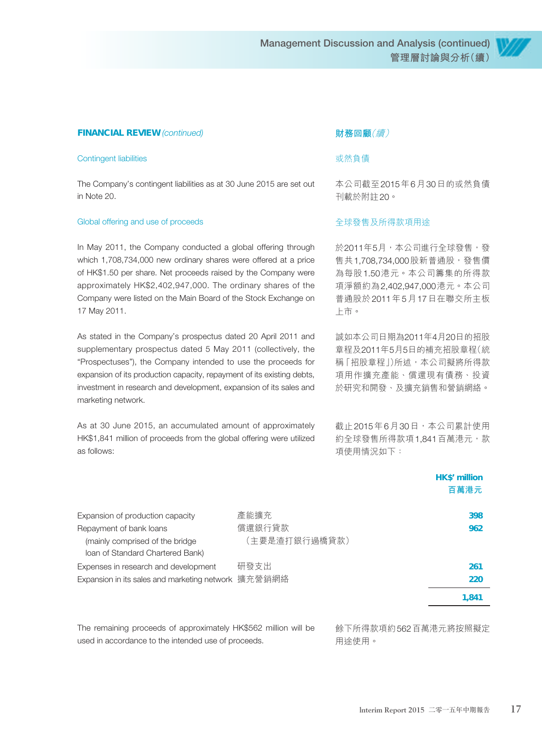

#### Contingent liabilities

The Company's contingent liabilities as at 30 June 2015 are set out in Note 20.

#### Global offering and use of proceeds

In May 2011, the Company conducted a global offering through which 1,708,734,000 new ordinary shares were offered at a price of HK\$1.50 per share. Net proceeds raised by the Company were approximately HK\$2,402,947,000. The ordinary shares of the Company were listed on the Main Board of the Stock Exchange on 17 May 2011.

As stated in the Company's prospectus dated 20 April 2011 and supplementary prospectus dated 5 May 2011 (collectively, the "Prospectuses"), the Company intended to use the proceeds for expansion of its production capacity, repayment of its existing debts, investment in research and development, expansion of its sales and marketing network.

As at 30 June 2015, an accumulated amount of approximately HK\$1,841 million of proceeds from the global offering were utilized as follows:

#### **財務回顧**(續)

#### 或然負債

本公司截至2015年6月30日的或然負債 刊載於附註20。

#### 全球發售及所得款項用途

於2011年5月,本公司進行全球發售,發 售共1,708,734,000股新普通股,發售價 為每股1.50港元。本公司籌集的所得款 項淨額約為2,402,947,000港元。本公司 普通股於2011年5月17日在聯交所主板 上市。

誠如本公司日期為2011年4月20日的招股 章程及2011年5月5日的補充招股章程(統 稱「招股章程」)所述,本公司擬將所得款 項用作擴充產能、償還現有債務、投資 於研究和開發、及擴充銷售和營銷網絡。

截止2015年6月30日,本公司累計使用 約全球發售所得款項1,841百萬港元,款 項使用情況如下:

|                                                                                                 |                         | <b>HK\$'</b> million<br>百萬港元 |
|-------------------------------------------------------------------------------------------------|-------------------------|------------------------------|
| Expansion of production capacity                                                                | 產能擴充                    | 398                          |
| Repayment of bank loans<br>(mainly comprised of the bridge)<br>Ioan of Standard Chartered Bank) | 償還銀行貸款<br>(主要是渣打銀行過橋貸款) | 962                          |
| Expenses in research and development                                                            | 研發支出                    | 261                          |
| Expansion in its sales and marketing network 擴充營銷網絡                                             |                         | 220                          |
|                                                                                                 |                         | 1.841                        |

The remaining proceeds of approximately HK\$562 million will be used in accordance to the intended use of proceeds.

餘下所得款項約562百萬港元將按照擬定 用途使用。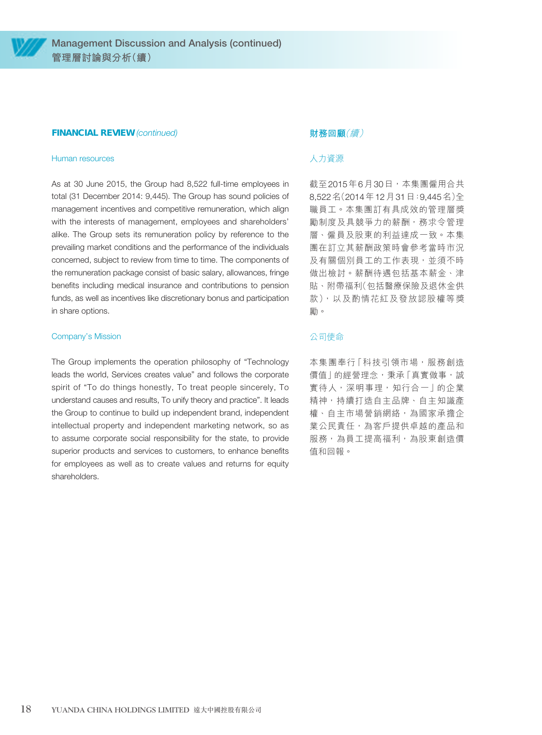

#### Human resources

As at 30 June 2015, the Group had 8,522 full-time employees in total (31 December 2014: 9,445). The Group has sound policies of management incentives and competitive remuneration, which align with the interests of management, employees and shareholders' alike. The Group sets its remuneration policy by reference to the prevailing market conditions and the performance of the individuals concerned, subject to review from time to time. The components of the remuneration package consist of basic salary, allowances, fringe benefits including medical insurance and contributions to pension funds, as well as incentives like discretionary bonus and participation in share options.

#### Company's Mission

The Group implements the operation philosophy of "Technology leads the world, Services creates value" and follows the corporate spirit of "To do things honestly, To treat people sincerely, To understand causes and results, To unify theory and practice". It leads the Group to continue to build up independent brand, independent intellectual property and independent marketing network, so as to assume corporate social responsibility for the state, to provide superior products and services to customers, to enhance benefits for employees as well as to create values and returns for equity shareholders.

#### **財務回顧**(續)

#### 人力資源

截至2015年6月30日,本集團僱用合共 8,522名(2014年12月31日:9,445名)全 職員工。本集團訂有具成效的管理層獎 勵制度及具競爭力的薪酬,務求令管理 層、僱員及股東的利益達成一致。本集 團在訂立其薪酬政策時會參考當時市況 及有關個別員工的工作表現,並須不時 做出檢討。薪酬待遇包括基本薪金、津 貼、附帶福利(包括醫療保險及退休金供 款),以及酌情花紅及發放認股權等獎 勵。

#### 公司使命

本集團奉行「科技引領市場,服務創造 價值」的經營理念,秉承「真實做事,誠 實待人,深明事理,知行合一」的企業 精神,持續打造自主品牌、自主知識產 權、自主市場營銷網絡,為國家承擔企 業公民責任,為客戶提供卓越的產品和 服務,為員工提高福利,為股東創造價 值和回報。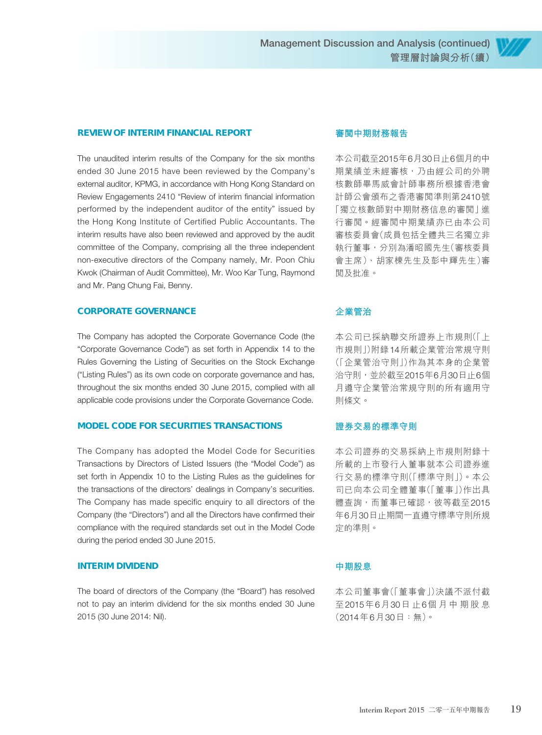#### **REVIEW OF INTERIM FINANCIAL REPORT**

The unaudited interim results of the Company for the six months ended 30 June 2015 have been reviewed by the Company's external auditor, KPMG, in accordance with Hong Kong Standard on Review Engagements 2410 "Review of interim financial information performed by the independent auditor of the entity" issued by the Hong Kong Institute of Certified Public Accountants. The interim results have also been reviewed and approved by the audit committee of the Company, comprising all the three independent non-executive directors of the Company namely, Mr. Poon Chiu Kwok (Chairman of Audit Committee), Mr. Woo Kar Tung, Raymond and Mr. Pang Chung Fai, Benny.

#### **CORPORATE GOVERNANCE**

The Company has adopted the Corporate Governance Code (the "Corporate Governance Code") as set forth in Appendix 14 to the Rules Governing the Listing of Securities on the Stock Exchange ("Listing Rules") as its own code on corporate governance and has, throughout the six months ended 30 June 2015, complied with all applicable code provisions under the Corporate Governance Code.

#### **MODEL CODE FOR SECURITIES TRANSACTIONS**

The Company has adopted the Model Code for Securities Transactions by Directors of Listed Issuers (the "Model Code") as set forth in Appendix 10 to the Listing Rules as the guidelines for the transactions of the directors' dealings in Company's securities. The Company has made specific enquiry to all directors of the Company (the "Directors") and all the Directors have confirmed their compliance with the required standards set out in the Model Code during the period ended 30 June 2015.

#### **INTERIM DIVIDEND**

The board of directors of the Company (the "Board") has resolved not to pay an interim dividend for the six months ended 30 June 2015 (30 June 2014: Nil).

#### **審閱中期財務報告**

本公司截至2015年6月30日止6個月的中 期業績並未經審核,乃由經公司的外聘 核數師畢馬威會計師事務所根據香港會 計師公會頒布之香港審閱準則第2410號 「獨立核數師對中期財務信息的審閱」進 行審閱。經審閱中期業績亦已由本公司 審核委員會(成員包括全體共三名獨立非 執行董事,分別為潘昭國先生(審核委員 會主席)、胡家棟先生及彭中輝先生)審 閱及批准。

#### **企業管治**

本公司已採納聯交所證券上市規則(「上 市規則」)附錄14所載企業管治常規守則 (「企業管治守則」)作為其本身的企業管 治守則,並於截至2015年6月30日止6個 月遵守企業管治常規守則的所有適用守 則條文。

#### **證券交易的標準守則**

本公司證券的交易採納上市規則附錄十 所載的上市發行人董事就本公司證券進 行交易的標準守則(「標準守則」)。本公 司已向本公司全體董事(「董事」)作出具 體杳詢,而董事已確認,彼等截至2015 年6月30日止期間一直遵守標準守則所規 定的準則。

#### **中期股息**

本公司董事會(「董事會」)決議不派付截 至2015年6月30日 止6個月中期股息 (2014年6月30日:無)。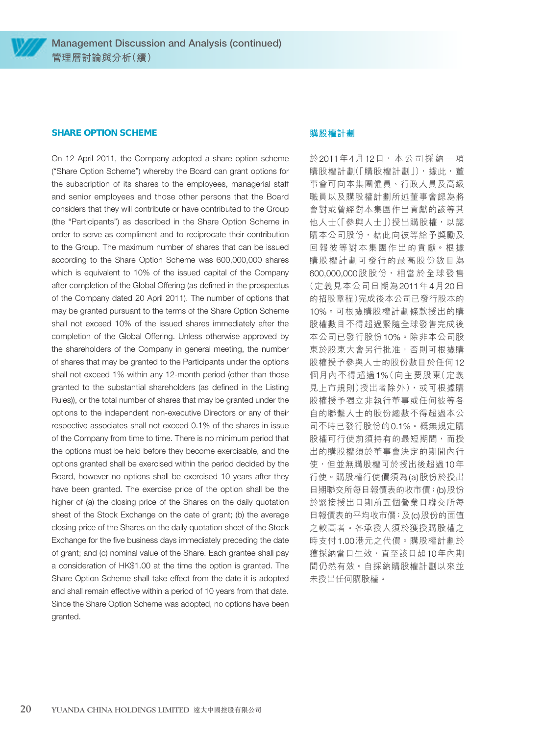

#### **SHARE OPTION SCHEME**

On 12 April 2011, the Company adopted a share option scheme ("Share Option Scheme") whereby the Board can grant options for the subscription of its shares to the employees, managerial staff and senior employees and those other persons that the Board considers that they will contribute or have contributed to the Group (the "Participants") as described in the Share Option Scheme in order to serve as compliment and to reciprocate their contribution to the Group. The maximum number of shares that can be issued according to the Share Option Scheme was 600,000,000 shares which is equivalent to 10% of the issued capital of the Company after completion of the Global Offering (as defined in the prospectus of the Company dated 20 April 2011). The number of options that may be granted pursuant to the terms of the Share Option Scheme shall not exceed 10% of the issued shares immediately after the completion of the Global Offering. Unless otherwise approved by the shareholders of the Company in general meeting, the number of shares that may be granted to the Participants under the options shall not exceed 1% within any 12-month period (other than those granted to the substantial shareholders (as defined in the Listing Rules)), or the total number of shares that may be granted under the options to the independent non-executive Directors or any of their respective associates shall not exceed 0.1% of the shares in issue of the Company from time to time. There is no minimum period that the options must be held before they become exercisable, and the options granted shall be exercised within the period decided by the Board, however no options shall be exercised 10 years after they have been granted. The exercise price of the option shall be the higher of (a) the closing price of the Shares on the daily quotation sheet of the Stock Exchange on the date of grant; (b) the average closing price of the Shares on the daily quotation sheet of the Stock Exchange for the five business days immediately preceding the date of grant; and (c) nominal value of the Share. Each grantee shall pay a consideration of HK\$1.00 at the time the option is granted. The Share Option Scheme shall take effect from the date it is adopted and shall remain effective within a period of 10 years from that date. Since the Share Option Scheme was adopted, no options have been granted.

#### **購股權計劃**

於2011年4月12日, 本公司採納一項 購股權計劃(「購股權計劃」),據此,董 事會可向本集團僱員、行政人員及高級 職員以及購股權計劃所述董事會認為將 會對或曾經對本集團作出貢獻的該等其 他人士(「參與人士」)授出購股權,以認 購本公司股份,藉此向彼等給予獎勵及 回報彼等對本集團作出的貢獻。根據 購股權計劃可發行的最高股份數目為 600,000,000股股份, 相當於全球發售 (定義見本公司日期為2011年4月20日 的招股章程)完成後本公司已發行股本的 10%。可根據購股權計劃條款授出的購 股權數目不得超過緊隨全球發售完成後 本公司已發行股份10%。除非本公司股 東於股東大會另行批准,否則可根據購 股權授予參與人士的股份數目於任何12 個月內不得超過1%(向主要股東(定義 見上市規則)授出者除外), 或可根據購 股權授予獨立非執行董事或任何彼等各 自的聯繫人士的股份總數不得超過本公 司不時已發行股份的0.1%。概無規定購 股權可行使前須持有的最短期間,而授 出的購股權須於董事會決定的期間內行 使,但並無購股權可於授出後超過10年 行使。購股權行使價須為(a)股份於授出 日期聯交所每日報價表的收市價;(b)股份 於緊接授出日期前五個營業日聯交所每 日報價表的平均收市價;及(c)股份的面值 之較高者。各承授人須於獲授購股權之 時支付1.00港元之代價。購股權計劃於 獲採納當日生效,直至該日起10年內期 間仍然有效。自採納購股權計劃以來並 未授出任何購股權。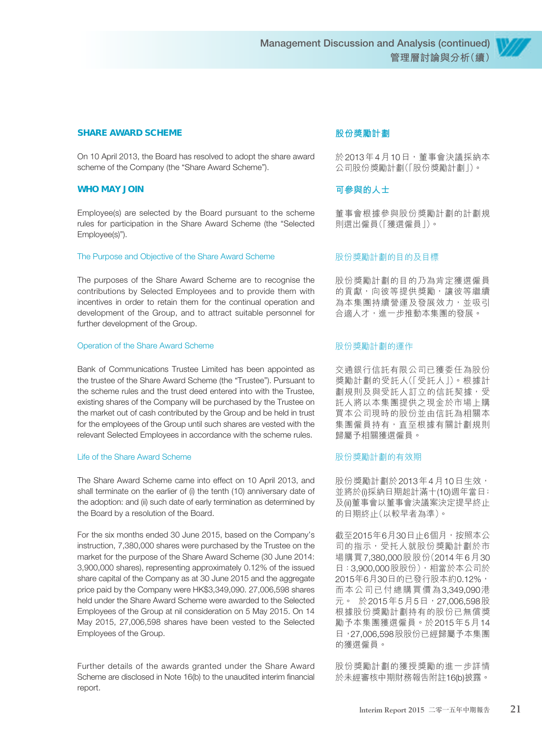

On 10 April 2013, the Board has resolved to adopt the share award scheme of the Company (the "Share Award Scheme").

#### **WHO MAY JOIN**

Employee(s) are selected by the Board pursuant to the scheme rules for participation in the Share Award Scheme (the "Selected Employee(s)").

#### The Purpose and Objective of the Share Award Scheme

The purposes of the Share Award Scheme are to recognise the contributions by Selected Employees and to provide them with incentives in order to retain them for the continual operation and development of the Group, and to attract suitable personnel for further development of the Group.

#### Operation of the Share Award Scheme

Bank of Communications Trustee Limited has been appointed as the trustee of the Share Award Scheme (the "Trustee"). Pursuant to the scheme rules and the trust deed entered into with the Trustee, existing shares of the Company will be purchased by the Trustee on the market out of cash contributed by the Group and be held in trust for the employees of the Group until such shares are vested with the relevant Selected Employees in accordance with the scheme rules.

#### Life of the Share Award Scheme

The Share Award Scheme came into effect on 10 April 2013, and shall terminate on the earlier of (i) the tenth (10) anniversary date of the adoption: and (ii) such date of early termination as determined by the Board by a resolution of the Board.

For the six months ended 30 June 2015, based on the Company's instruction, 7,380,000 shares were purchased by the Trustee on the market for the purpose of the Share Award Scheme (30 June 2014: 3,900,000 shares), representing approximately 0.12% of the issued share capital of the Company as at 30 June 2015 and the aggregate price paid by the Company were HK\$3,349,090. 27,006,598 shares held under the Share Award Scheme were awarded to the Selected Employees of the Group at nil consideration on 5 May 2015. On 14 May 2015, 27,006,598 shares have been vested to the Selected Employees of the Group.

Further details of the awards granted under the Share Award Scheme are disclosed in Note 16(b) to the unaudited interim financial report.

#### **股份獎勵計劃**

於2013年4月10日,董事會決議採納本 公司股份獎勵計劃(「股份獎勵計劃」)。

#### **可參與的人士**

董事會根據參與股份獎勵計劃的計劃規 則選出僱員(「獲選僱員」)。

#### 股份獎勵計劃的目的及目標

股份獎勵計劃的目的乃為肯定獲選僱員 的貢獻,向彼等提供獎勵,讓彼等繼續 為本集團持續營運及發展效力,並吸引 合適人才,進一步推動本集團的發展。

#### 股份獎勵計劃的運作

交通銀行信託有限公司已獲委任為股份 獎勵計劃的受託人(「受託人」)。根據計 劃規則及與受託人訂立的信託契據,受 託人將以本集團提供之現金於市場上購 買本公司現時的股份並由信託為相關本 集團僱員持有,直至根據有關計劃規則 歸屬予相關獲選僱員。

#### 股份獎勵計劃的有效期

股份獎勵計劃於2013年4月10日生效, 並將於(i)採納日期起計滿十(10)週年當日; 及仙董事會以董事會決議案決定提早終止 的日期終止(以較早者為準)。

截至2015年6月30日止6個月,按照本公 司的指示,受托人就股份獎勵計劃於市 場購買7,380,000股股份(2014年6月30 日: 3,900,000 股股份), 相當於本公司於 2015年6月30日的已發行股本約0.12%, 而本公司已付總購買價為3,349,090港 元。 於2015年5月5日,27,006,598股 根據股份獎勵計劃持有的股份已無償獎 勵予本集團獲選僱員。於2015年5月14 日,27,006,598股股份已經歸屬予本集團 的獲選僱員。

股份獎勵計劃的獲授獎勵的進一步詳情 於未經審核中期財務報告附註16(b)披露。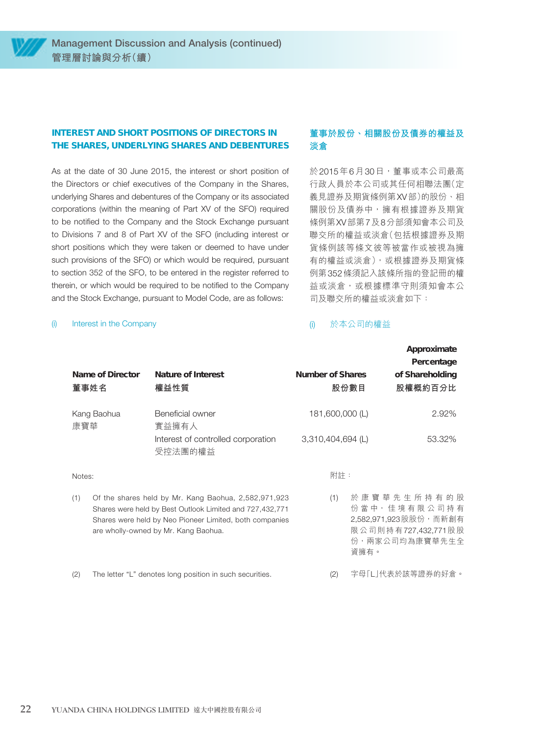

#### **INTEREST AND SHORT POSITIONS OF DIRECTORS IN THE SHARES, UNDERLYING SHARES AND DEBENTURES**

As at the date of 30 June 2015, the interest or short position of the Directors or chief executives of the Company in the Shares, underlying Shares and debentures of the Company or its associated corporations (within the meaning of Part XV of the SFO) required to be notified to the Company and the Stock Exchange pursuant to Divisions 7 and 8 of Part XV of the SFO (including interest or short positions which they were taken or deemed to have under such provisions of the SFO) or which would be required, pursuant to section 352 of the SFO, to be entered in the register referred to therein, or which would be required to be notified to the Company and the Stock Exchange, pursuant to Model Code, are as follows:

(i) Interest in the Company

#### **董事於股份、相關股份及債券的權益及 淡倉**

於2015年6月30日,董事或本公司最高 行政人員於本公司或其任何相聯法團(定 義見證券及期貨條例第XV部)的股份、相 關股份及債券中,擁有根據證券及期貨 條例第XV部第7及8分部須知會本公司及 聯交所的權益或淡倉(包括根據證券及期 貨條例該等條文彼等被當作或被視為擁 有的權益或淡倉),或根據證券及期貨條 例第352條須記入該條所指的登記冊的權 益或淡倉,或根據標準守則須知會本公 司及聯交所的權益或淡倉如下:

#### (i) 於本公司的權益

| Name of Director<br>董事姓名 | Nature of Interest<br>權益性質                                                                                                                                                                                          | <b>Number of Shares</b> | 股份數目            | Approximate<br>Percentage<br>of Shareholding<br>股權概約百分比                                                   |
|--------------------------|---------------------------------------------------------------------------------------------------------------------------------------------------------------------------------------------------------------------|-------------------------|-----------------|-----------------------------------------------------------------------------------------------------------|
| Kang Baohua<br>康寶華       | Beneficial owner<br>實益擁有人                                                                                                                                                                                           |                         | 181,600,000 (L) | 2.92%                                                                                                     |
|                          | Interest of controlled corporation<br>受控法團的權益                                                                                                                                                                       | 3,310,404,694 (L)       |                 | 53.32%                                                                                                    |
| Notes:                   |                                                                                                                                                                                                                     |                         | 附註:             |                                                                                                           |
| (1)                      | Of the shares held by Mr. Kang Baohua, 2,582,971,923<br>Shares were held by Best Outlook Limited and 727,432,771<br>Shares were held by Neo Pioneer Limited, both companies<br>are wholly-owned by Mr. Kang Baohua. | (1)                     | 資擁有。            | 於康寶華先生所持有的股<br>份 當 中, 佳 境 有 限 公 司 持 有<br>2,582,971,923 股股份,而新創有<br>限公司則持有727,432,771股股<br>份, 兩家公司均為康寶華先生全 |
| (2)                      | The letter "L" denotes long position in such securities.                                                                                                                                                            | (2)                     |                 | 字母「L」代表於該等證券的好倉。                                                                                          |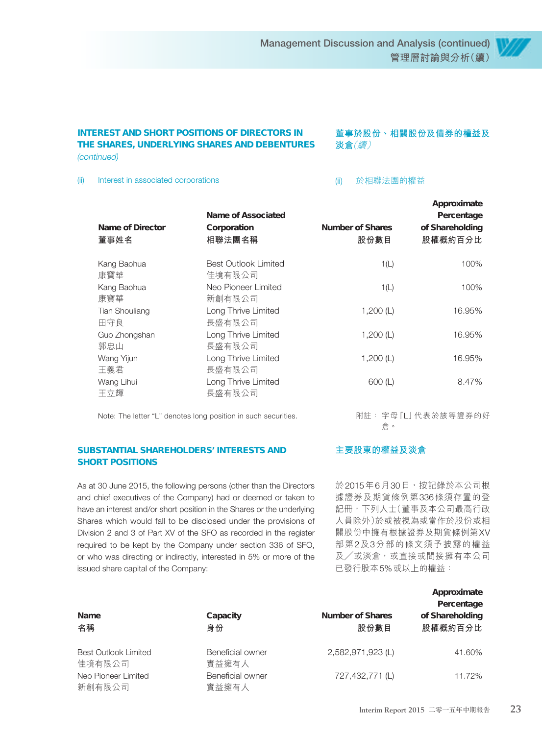#### **INTEREST AND SHORT POSITIONS OF DIRECTORS IN THE SHARES, UNDERLYING SHARES AND DEBENTURES**  (continued)

(ii) Interest in associated corporations

#### **董事於股份、相關股份及債券的權益及 淡倉**(續)

#### (ii) 於相聯法團的權益

| Name of Director<br>董事姓名     | Name of Associated<br>Corporation<br>相聯法團名稱 | <b>Number of Shares</b><br>股份數目 | Approximate<br>Percentage<br>of Shareholding<br>股權概約百分比 |
|------------------------------|---------------------------------------------|---------------------------------|---------------------------------------------------------|
| Kang Baohua<br>康寶華           | <b>Best Outlook Limited</b><br>佳境有限公司       | 1(L)                            | 100%                                                    |
| Kang Baohua<br>康寶華           | Neo Pioneer Limited<br>新創有限公司               | 1(L)                            | 100%                                                    |
| <b>Tian Shouliang</b><br>田守良 | Long Thrive Limited<br>長盛有限公司               | 1,200 $(L)$                     | 16.95%                                                  |
| Guo Zhongshan<br>郭忠山         | Long Thrive Limited<br>長盛有限公司               | 1,200 $(L)$                     | 16.95%                                                  |
| Wang Yijun<br>王義君            | Long Thrive Limited<br>長盛有限公司               | 1,200 $(L)$                     | 16.95%                                                  |
| Wang Lihui<br>王立輝            | Long Thrive Limited<br>長盛有限公司               | 600 (L)                         | 8.47%                                                   |

Note: The letter "L" denotes long position in such securities.

#### **SUBSTANTIAL SHAREHOLDERS' INTERESTS AND SHORT POSITIONS**

As at 30 June 2015, the following persons (other than the Directors and chief executives of the Company) had or deemed or taken to have an interest and/or short position in the Shares or the underlying Shares which would fall to be disclosed under the provisions of Division 2 and 3 of Part XV of the SFO as recorded in the register required to be kept by the Company under section 336 of SFO, or who was directing or indirectly, interested in 5% or more of the issued share capital of the Company:

#### **主要股東的權益及淡倉**

倉。

於2015年6月30日,按記錄於本公司根 據證券及期貨條例第336條須存置的登 記冊,下列人士(董事及本公司最高行政 人員除外)於或被視為或當作於股份或相 關股份中擁有根據證券及期貨條例第XV 部第2及3分部的條文須予披露的權益 及╱或淡倉,或直接或間接擁有本公司 已發行股本5%或以上的權益:

附註: 字母「L」代表於該等證券的好

| <b>Name</b><br>名稱                     | Capacity<br>身份            | Number of Shares<br>股份數目 | Approximate<br>Percentage<br>of Shareholding<br>股權概約百分比 |
|---------------------------------------|---------------------------|--------------------------|---------------------------------------------------------|
| <b>Best Outlook Limited</b><br>佳境有限公司 | Beneficial owner<br>實益擁有人 | 2,582,971,923 (L)        | 41.60%                                                  |
| Neo Pioneer Limited<br>新創有限公司         | Beneficial owner<br>實益擁有人 | 727,432,771 (L)          | 11.72%                                                  |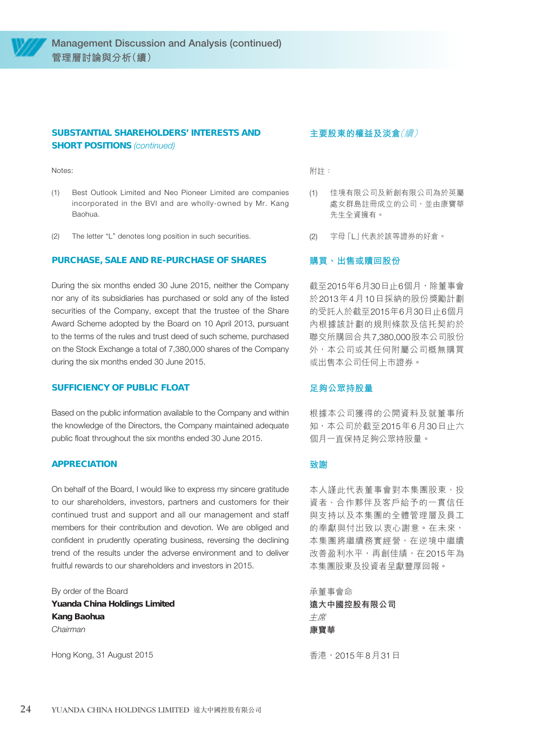

#### **SUBSTANTIAL SHAREHOLDERS' INTERESTS AND SHORT POSITIONS (continued)**

Notes:

- (1) Best Outlook Limited and Neo Pioneer Limited are companies incorporated in the BVI and are wholly-owned by Mr. Kang Baohua.
- (2) The letter "L" denotes long position in such securities.

#### **PURCHASE, SALE AND RE-PURCHASE OF SHARES**

During the six months ended 30 June 2015, neither the Company nor any of its subsidiaries has purchased or sold any of the listed securities of the Company, except that the trustee of the Share Award Scheme adopted by the Board on 10 April 2013, pursuant to the terms of the rules and trust deed of such scheme, purchased on the Stock Exchange a total of 7,380,000 shares of the Company during the six months ended 30 June 2015.

#### **SUFFICIENCY OF PUBLIC FLOAT**

Based on the public information available to the Company and within the knowledge of the Directors, the Company maintained adequate public float throughout the six months ended 30 June 2015.

#### **APPRECIATION**

On behalf of the Board, I would like to express my sincere gratitude to our shareholders, investors, partners and customers for their continued trust and support and all our management and staff members for their contribution and devotion. We are obliged and confident in prudently operating business, reversing the declining trend of the results under the adverse environment and to deliver fruitful rewards to our shareholders and investors in 2015.

By order of the Board **Yuanda China Holdings Limited Kang Baohua** Chairman

Hong Kong, 31 August 2015

#### **主要股東的權益及淡倉**(續)

附註:

- (1) 佳境有限公司及新創有限公司為於英屬 處女群島註冊成立的公司,並由康寶華 先生全資擁有。
- (2) 字母「L」代表於該等證券的好倉。

#### **購買、出售或贖回股份**

截至2015年6月30日止6個月,除董事會 於2013年4月10日採納的股份獎勵計劃 的受託人於截至2015年6月30日止6個月 內根據該計劃的規則條款及信托契約於 聯交所購回合共7,380,000股本公司股份 外,本公司或其任何附屬公司概無購買 或出售本公司任何上市證券。

#### **足夠公眾持股量**

根據本公司獲得的公開資料及就董事所 知,本公司於截至2015年6月30日止六 個月一直保持足夠公眾持股量。

#### **致謝**

本人謹此代表董事會對本集團股東、投 資者、合作夥伴及客戶給予的一貫信任 與支持以及本集團的全體管理層及員工 的奉獻與付出致以衷心謝意。在未來, 本集團將繼續務實經營,在逆境中繼續 改善盈利水平,再創佳績,在2015年為 本集團股東及投資者呈獻豐厚回報。

承董事會命 **遠大中國控股有限公司** 主席 **康寶華**

香港,2015年8月31日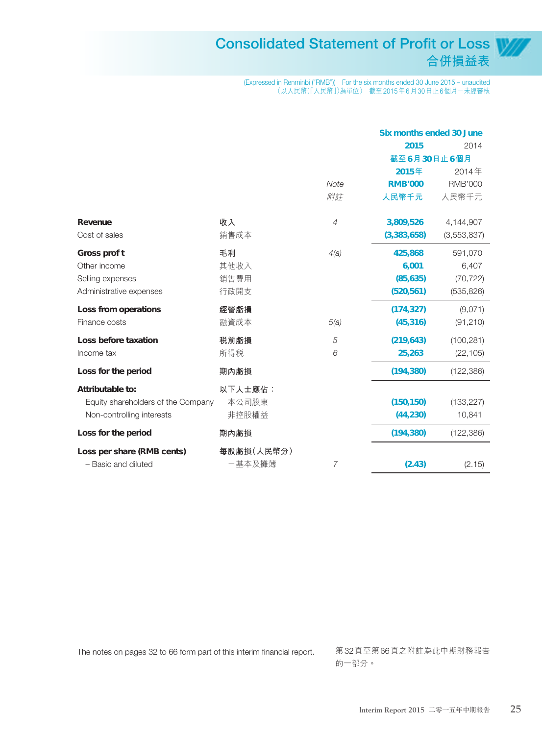## **Consolidated Statement of Profit or Loss W/ 合併損益表**

(Expressed in Renminbi ("RMB")) For the six months ended 30 June 2015 – unaudited (以人民幣(「人民幣」)為單位) 截至 2015年 6月 30日止 6個月-未經審核

|                                                        |                  |                | Six months ended 30 June |                |
|--------------------------------------------------------|------------------|----------------|--------------------------|----------------|
|                                                        |                  |                | 2015                     | 2014           |
|                                                        |                  |                | 截至6月30日止6個月              |                |
|                                                        |                  |                | 2015年                    | 2014年          |
|                                                        |                  | Note           | <b>RMB'000</b>           | <b>RMB'000</b> |
|                                                        |                  | 附註             | 人民幣千元                    | 人民幣千元          |
| Revenue                                                | 收入               | $\overline{4}$ | 3,809,526                | 4,144,907      |
| Cost of sales                                          | 銷售成本             |                | (3, 383, 658)            | (3,553,837)    |
| Gross pro t                                            | 毛利               | 4(a)           | 425,868                  | 591,070        |
| Other income                                           | 其他收入             |                | 6,001                    | 6,407          |
| Selling expenses                                       | 銷售費用             |                | (85, 635)                | (70, 722)      |
| Administrative expenses                                | 行政開支             |                | (520, 561)               | (535, 826)     |
| Loss from operations                                   | 經營虧損             |                | (174, 327)               | (9,071)        |
| Finance costs                                          | 融資成本             | 5(a)           | (45, 316)                | (91, 210)      |
| Loss before taxation                                   | 税前虧損             | 5              | (219, 643)               | (100, 281)     |
| Income tax                                             | 所得税              | 6              | 25,263                   | (22, 105)      |
| Loss for the period                                    | 期內虧損             |                | (194, 380)               | (122, 386)     |
| Attributable to:<br>Equity shareholders of the Company | 以下人士應佔:<br>本公司股東 |                | (150, 150)               | (133, 227)     |
| Non-controlling interests                              | 非控股權益            |                | (44, 230)                | 10,841         |
| Loss for the period                                    | 期內虧損             |                | (194, 380)               | (122, 386)     |
| Loss per share (RMB cents)                             | 每股虧損(人民幣分)       |                |                          |                |
| - Basic and diluted                                    | -基本及攤薄           | $\overline{7}$ | (2.43)                   | (2.15)         |

The notes on pages 32 to 66 form part of this interim financial report. 第32頁至第66頁之附註為此中期財務報告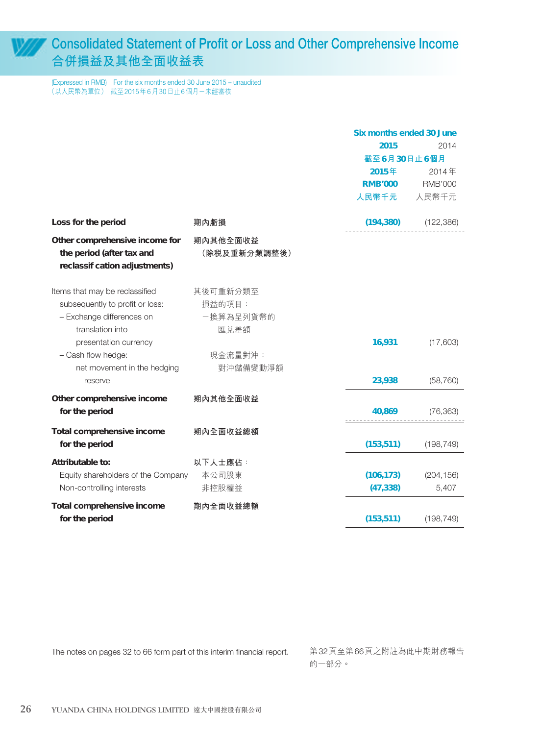

## **Consolidated Statement of Profit or Loss and Other Comprehensive Income 合併損益及其他全面收益表**

(Expressed in RMB) For the six months ended 30 June 2015 – unaudited (以人民幣為單位) 截至 2015年 6月 30日止 6個月-未經審核

|                                                                                                                    |                                         | <b>Six months ended 30 June</b> |                       |
|--------------------------------------------------------------------------------------------------------------------|-----------------------------------------|---------------------------------|-----------------------|
|                                                                                                                    |                                         | 2015<br>2014                    |                       |
|                                                                                                                    |                                         | 截至6月30日止6個月                     |                       |
|                                                                                                                    |                                         | 2015年                           | 2014年                 |
|                                                                                                                    |                                         | <b>RMB'000</b>                  | <b>RMB'000</b>        |
|                                                                                                                    |                                         | 人民幣千元                           | 人民幣千元                 |
| Loss for the period                                                                                                | 期內虧損                                    | (194, 380)                      | (122, 386)            |
| Other comprehensive income for<br>the period (after tax and<br>reclassi cation adjustments)                        | 期內其他全面收益<br>(除税及重新分類調整後)                |                                 |                       |
| Items that may be reclassified<br>subsequently to profit or loss:<br>- Exchange differences on<br>translation into | 其後可重新分類至<br>損益的項目:<br>一換算為呈列貨幣的<br>匯兑差額 |                                 |                       |
| presentation currency<br>- Cash flow hedge:<br>net movement in the hedging<br>reserve                              | 一現金流量對沖:<br>對沖儲備變動淨額                    | 16,931<br>23,938                | (17,603)<br>(58, 760) |
|                                                                                                                    |                                         |                                 |                       |
| Other comprehensive income<br>for the period                                                                       | 期內其他全面收益                                | 40,869                          | (76, 363)             |
| Total comprehensive income<br>for the period                                                                       | 期內全面收益總額                                | (153, 511)                      | (198, 749)            |
| Attributable to:                                                                                                   | 以下人士應佔:                                 |                                 |                       |
| Equity shareholders of the Company                                                                                 | 本公司股東                                   | (106, 173)                      | (204, 156)            |
| Non-controlling interests                                                                                          | 非控股權益                                   | (47, 338)                       | 5,407                 |
| Total comprehensive income                                                                                         | 期內全面收益總額                                |                                 |                       |
| for the period                                                                                                     |                                         | (153, 511)                      | (198, 749)            |

The notes on pages 32 to 66 form part of this interim financial report. 第32頁至第66頁之附註為此中期財務報告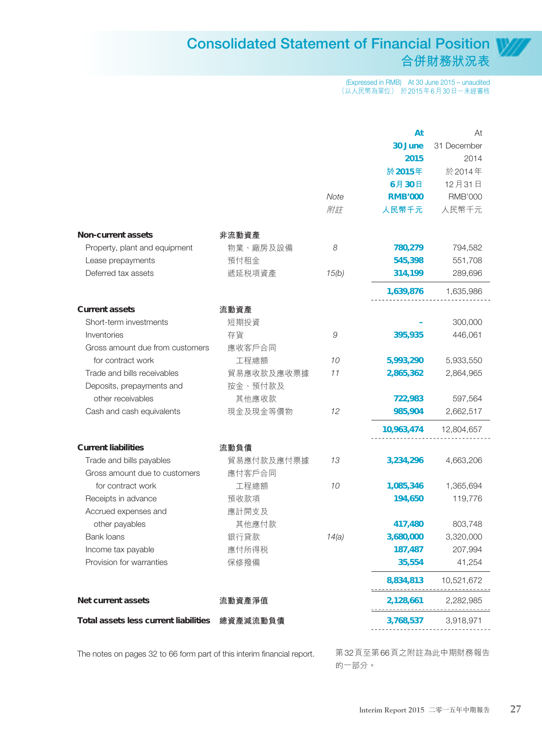## **Consolidated Statement of Financial Position W/ 合併財務狀況表**

(Expressed in RMB) At 30 June 2015 – unaudited (以人民幣為單位) 於 2015年 6月 30日-未經審核

|                                       |            |       | At             | At             |
|---------------------------------------|------------|-------|----------------|----------------|
|                                       |            |       | 30 June        | 31 December    |
|                                       |            |       | 2015           | 2014           |
|                                       |            |       | 於 2015年        | 於2014年         |
|                                       |            |       | 6月30日          | 12月31日         |
|                                       |            | Note  | <b>RMB'000</b> | <b>RMB'000</b> |
|                                       |            | 附註    | 人民幣千元          | 人民幣千元          |
| Non-current assets                    | 非流動資產      |       |                |                |
| Property, plant and equipment         | 物業、廠房及設備   | 8     | 780,279        | 794,582        |
| Lease prepayments                     | 預付租金       |       | 545,398        | 551,708        |
| Deferred tax assets                   | 遞延税項資產     | 15(b) | 314,199        | 289,696        |
|                                       |            |       | 1,639,876      | 1,635,986      |
| <b>Current assets</b>                 | 流動資產       |       |                |                |
| Short-term investments                | 短期投資       |       |                | 300,000        |
| Inventories                           | 存貨         | 9     | 395,935        | 446,061        |
| Gross amount due from customers       | 應收客戶合同     |       |                |                |
| for contract work                     | 工程總額       | 10    | 5,993,290      | 5,933,550      |
| Trade and bills receivables           | 貿易應收款及應收票據 | 11    | 2,865,362      | 2,864,965      |
| Deposits, prepayments and             | 按金、預付款及    |       |                |                |
| other receivables                     | 其他應收款      |       | 722,983        | 597,564        |
| Cash and cash equivalents             | 現金及現金等價物   | 12    | 985,904        | 2,662,517      |
|                                       |            |       | 10,963,474     | 12,804,657     |
| <b>Current liabilities</b>            | 流動負債       |       |                |                |
| Trade and bills payables              | 貿易應付款及應付票據 | 13    | 3,234,296      | 4,663,206      |
| Gross amount due to customers         | 應付客戶合同     |       |                |                |
| for contract work                     | 工程總額       | 10    | 1,085,346      | 1,365,694      |
| Receipts in advance                   | 預收款項       |       | 194,650        | 119,776        |
| Accrued expenses and                  | 應計開支及      |       |                |                |
| other payables                        | 其他應付款      |       | 417,480        | 803,748        |
| Bank loans                            | 銀行貸款       | 14(a) | 3,680,000      | 3,320,000      |
| Income tax payable                    | 應付所得税      |       | 187,487        | 207,994        |
| Provision for warranties              | 保修撥備       |       | 35,554         | 41,254         |
|                                       |            |       | 8,834,813      | 10,521,672     |
| Net current assets                    | 流動資產淨值     |       | 2,128,661      | 2,282,985      |
| Total assets less current liabilities | 總資產減流動負債   |       | 3,768,537      | 3,918,971      |

The notes on pages 32 to 66 form part of this interim financial report. 第32頁至第66頁之附註為此中期財務報告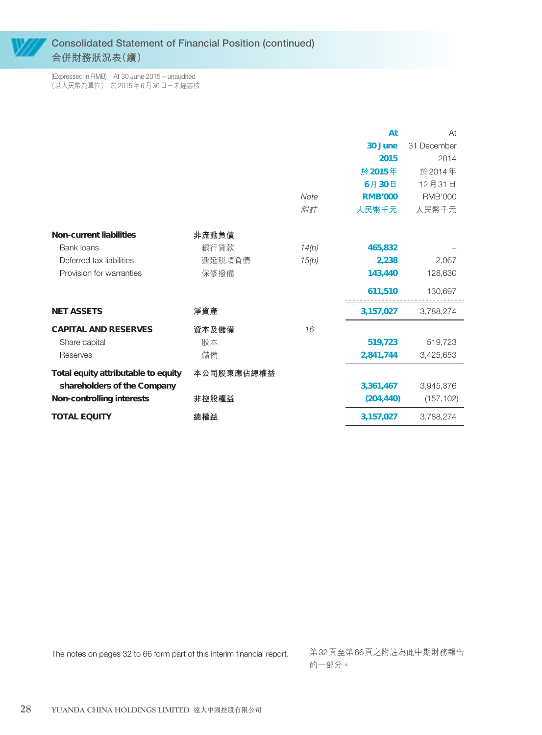

### **Consolidated Statement of Financial Position (continued) 合併財務狀況表(續)**

(Expressed in RMB) At 30 June 2015 – unaudited (以人民幣為單位) 於 2015年 6月 30日-未經審核

|                                     |            |       | At             | At             |
|-------------------------------------|------------|-------|----------------|----------------|
|                                     |            |       | 30 June        | 31 December    |
|                                     |            |       | 2015           | 2014           |
|                                     |            |       | 於 2015年        | 於2014年         |
|                                     |            |       | 6月30日          | 12月31日         |
|                                     |            | Note  | <b>RMB'000</b> | <b>RMB'000</b> |
|                                     |            | 附註    | 人民幣千元          | 人民幣千元          |
| <b>Non-current liabilities</b>      | 非流動負債      |       |                |                |
| Bank loans                          | 銀行貸款       | 14(b) | 465,832        |                |
| Deferred tax liabilities            | 遞延税項負債     | 15(b) | 2,238          | 2,067          |
| Provision for warranties            | 保修撥備       |       | 143,440        | 128,630        |
|                                     |            |       | 611,510        | 130,697        |
| <b>NET ASSETS</b>                   | 淨資產        |       | 3,157,027      | 3,788,274      |
| <b>CAPITAL AND RESERVES</b>         | 資本及儲備      | 16    |                |                |
| Share capital                       | 股本         |       | 519,723        | 519,723        |
| Reserves                            | 儲備         |       | 2,841,744      | 3,425,653      |
| Total equity attributable to equity | 本公司股東應佔總權益 |       |                |                |
| shareholders of the Company         |            |       | 3,361,467      | 3,945,376      |
| Non-controlling interests           | 非控股權益      |       | (204, 440)     | (157, 102)     |
| <b>TOTAL EQUITY</b>                 | 總權益        |       | 3,157,027      | 3,788,274      |

The notes on pages 32 to 66 form part of this interim financial report. 第32頁至第66頁之附註為此中期財務報告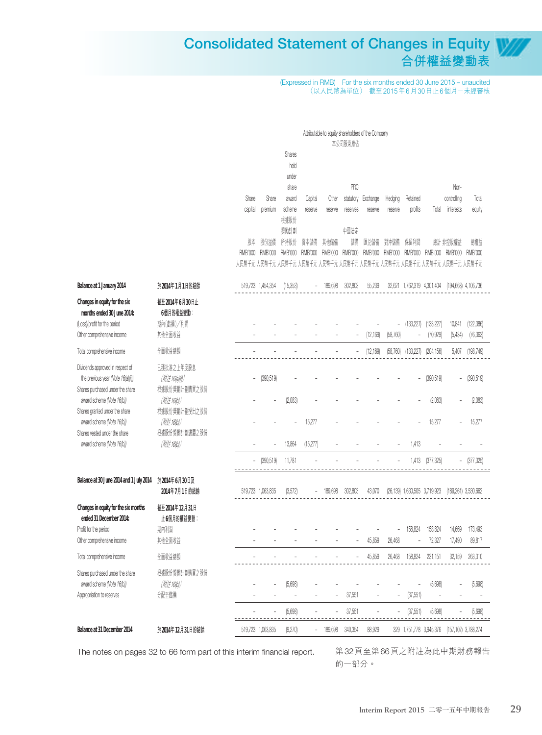## **Consolidated Statement of Changes in Equity 合併權益變動表**

(Expressed in RMB) For the six months ended 30 June 2015 – unaudited (以人民幣為單位) 截至 2015年 6月 30日止 6個月-未經審核

|                                                                                             |                                         |                                     |                   |                |                | Attributable to equity shareholders of the Company |                |           |                |                              |                   |                                     |                        |
|---------------------------------------------------------------------------------------------|-----------------------------------------|-------------------------------------|-------------------|----------------|----------------|----------------------------------------------------|----------------|-----------|----------------|------------------------------|-------------------|-------------------------------------|------------------------|
|                                                                                             |                                         |                                     |                   |                |                |                                                    | 本公司股東應佔        |           |                |                              |                   |                                     |                        |
|                                                                                             |                                         |                                     |                   | <b>Shares</b>  |                |                                                    |                |           |                |                              |                   |                                     |                        |
|                                                                                             |                                         |                                     |                   | held           |                |                                                    |                |           |                |                              |                   |                                     |                        |
|                                                                                             |                                         |                                     |                   | under          |                |                                                    |                |           |                |                              |                   |                                     |                        |
|                                                                                             |                                         |                                     |                   | share          |                |                                                    | PRC            |           |                |                              |                   | Non-                                |                        |
|                                                                                             |                                         | Share                               | Share             | award          | Capital        | Other                                              | statutory      | Exchange  | Hedging        | Retained                     |                   | controlling                         | Total                  |
|                                                                                             |                                         | capital                             | premium           | scheme<br>根據股份 | reserve        | reserve                                            | reserves       | reserve   | reserve        | profits                      | Total             | interests                           | equity                 |
|                                                                                             |                                         |                                     |                   | 獎勵計劃           |                |                                                    | 中國法定           |           |                |                              |                   |                                     |                        |
|                                                                                             |                                         | 股本                                  | 股份溢價              | 所持股份           | 資本儲備           | 其他儲備                                               | 儲備             | 匯兑儲備      | 對沖儲備           | 保留利潤                         |                   | 總計 非控股權益                            | 總權益                    |
|                                                                                             |                                         | <b>RMB'000</b>                      | <b>RMB'000</b>    | RMB'000        | <b>RMB'000</b> | <b>RMB'000</b>                                     | <b>RMB'000</b> | RMB'000   | <b>RMB'000</b> | <b>RMB'000</b>               | <b>RMB'000</b>    | <b>RMB'000</b>                      | <b>RMB'000</b>         |
|                                                                                             |                                         | 人民幣千元 人民幣千元 人民幣千元 人民幣千元 人民幣千元 人民幣千元 |                   |                |                |                                                    |                |           |                |                              |                   | 人民幣千元 人民幣千元 人民幣千元 人民幣千元 人民幣千元 人民幣千元 |                        |
| Balance at 1 January 2014                                                                   | 於2014年1月1日的結餘                           |                                     | 519,723 1,454,354 | (15, 353)      |                | 189,698                                            | 302,803        | 55,239    |                | 32,621 1,762,319 4,301,404   |                   | (194,668) 4,106,736                 |                        |
| Changes in equity for the six<br>months ended 30 June 2014:<br>(Loss)/profit for the period | 截至2014年6月30日止<br>6個月的權益變動:<br>期內(虧損)/利潤 |                                     |                   |                |                |                                                    |                |           |                | (133, 227)                   | (133, 227)        | 10,841                              | (122, 386)             |
| Other comprehensive income                                                                  | 其他全面收益                                  |                                     |                   |                |                |                                                    |                | (12, 169) | (58, 760)      |                              | (70, 929)         | (5, 434)                            | (76, 363)              |
| Total comprehensive income                                                                  | 全面收益總額                                  |                                     |                   |                |                |                                                    |                | (12, 169) | (58, 760)      | (133, 227)                   | (204, 156)        | 5,407                               | (198, 749)             |
| Dividends approved in respect of<br>the previous year (Note 16(a)(ii))                      | 已獲批准之上年度股息<br>(附註 16(a)(ii))            | $\overline{a}$                      | (390, 519)        |                |                |                                                    |                |           |                |                              | (390, 519)        | $\frac{1}{2}$                       | (390, 519)             |
| Shares purchased under the share<br>award scheme (Note 16(b))                               | 根據股份獎勵計劃購買之股份<br>(附註 16(b))             |                                     |                   | (2,083)        |                |                                                    |                |           |                |                              | (2,083)           |                                     | (2,083)                |
| Shares granted under the share<br>award scheme (Note 16(b))                                 | 根據股份獎勵計劃授出之股份<br>(附註16(b))              |                                     |                   |                | 15,277         |                                                    |                |           |                |                              | 15,277            |                                     | 15,277                 |
| Shares vested under the share<br>award scheme (Note 16(b))                                  | 根據股份獎勵計劃歸屬之股份<br>(附註 16(b))             |                                     |                   | 13,864         | (15, 277)      |                                                    |                |           |                | 1,413                        |                   |                                     |                        |
|                                                                                             |                                         |                                     | (390, 519)        | 11,781         |                |                                                    |                |           |                | 1,413                        | (377, 325)        | $\overline{\phantom{a}}$            | (377, 325)             |
| Balance at 30 June 2014 and 1 July 2014                                                     | 於2014年6月30日及<br>2014年7月1日的結餘            |                                     | 519,723 1,063,835 | (3,572)        |                | 189,698                                            | 302,803        | 43,070    |                | (26,139) 1,630,505 3,719,923 |                   |                                     | (189,261) 3,530,662    |
| Changes in equity for the six months<br>ended 31 December 2014:                             | 截至2014年12月31日<br>止6個月的權益變動:             |                                     |                   |                |                |                                                    |                |           |                |                              |                   |                                     |                        |
| Profit for the period<br>Other comprehensive income                                         | 期內利潤<br>其他全面收益                          |                                     |                   |                |                |                                                    |                | 45,859    | 26,468         | 158,824                      | 158,824<br>72,327 | 14,669<br>17,490                    | 173,493<br>89,817      |
| Total comprehensive income                                                                  | 全面收益總額                                  |                                     |                   |                |                |                                                    |                | 45,859    | 26,468         | 158,824                      | 231,151           | 32,159                              | 263,310                |
| Shares purchased under the share<br>award scheme (Note 16(b))                               | 根據股份獎勵計劃購買之股份<br>(附註16(b))              |                                     |                   | (5,698)        |                |                                                    |                |           |                |                              | (5,698)           |                                     | (5,698)                |
| Appropriation to reserves                                                                   | 分配至儲備                                   |                                     |                   |                |                |                                                    | 37,551         |           |                | (37, 551)                    |                   |                                     |                        |
|                                                                                             |                                         |                                     |                   | (5,698)        |                |                                                    | 37,551         |           |                | (37, 551)                    | (5,698)           |                                     | (5,698)                |
| Balance at 31 December 2014                                                                 | 於2014年12月31日的結餘                         |                                     | 519,723 1,063,835 | (9,270)        |                | 189,698                                            | 340,354        | 88,929    |                | 329 1,751,778 3,945,376      |                   |                                     | (157, 102) 3, 788, 274 |

The notes on pages 32 to 66 form part of this interim financial report. 第32頁至第66頁之附註為此中期財務報告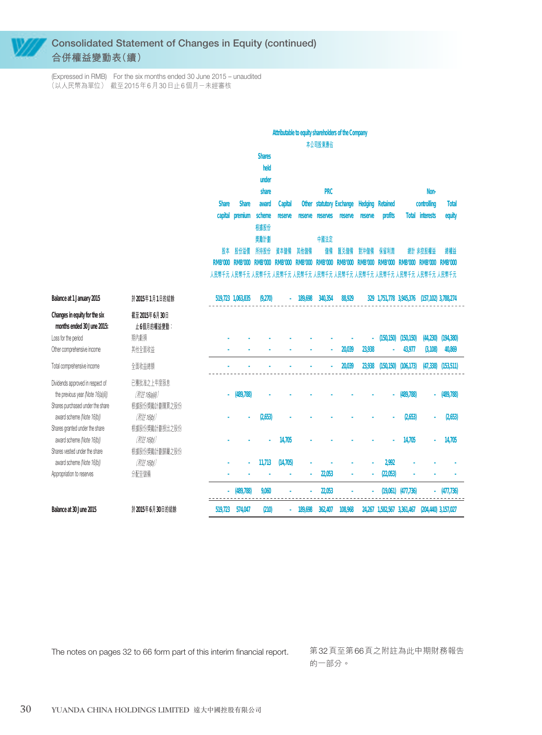

### **Consolidated Statement of Changes in Equity (continued) 合併權益變動表(續)**

(Expressed in RMB) For the six months ended 30 June 2015 – unaudited (以人民幣為單位) 截至 2015年 6月 30日止 6個月-未經審核

|                                                                        |                              |                                                                         |                   |                |                |                | Attributable to equity shareholders of the Company |                    |                |                            |                        |                                             |                          |
|------------------------------------------------------------------------|------------------------------|-------------------------------------------------------------------------|-------------------|----------------|----------------|----------------|----------------------------------------------------|--------------------|----------------|----------------------------|------------------------|---------------------------------------------|--------------------------|
|                                                                        |                              |                                                                         |                   |                |                |                | 本公司股東應佔                                            |                    |                |                            |                        |                                             |                          |
|                                                                        |                              |                                                                         |                   | <b>Shares</b>  |                |                |                                                    |                    |                |                            |                        |                                             |                          |
|                                                                        |                              |                                                                         |                   | held           |                |                |                                                    |                    |                |                            |                        |                                             |                          |
|                                                                        |                              |                                                                         |                   | under          |                |                |                                                    |                    |                |                            |                        |                                             |                          |
|                                                                        |                              |                                                                         |                   | share          |                |                | <b>PRC</b>                                         |                    |                |                            |                        | Non-                                        |                          |
|                                                                        |                              | <b>Share</b>                                                            | <b>Share</b>      | award          | Capital        | Other          |                                                    | statutory Exchange | <b>Hedging</b> | <b>Retained</b>            |                        | controlling                                 | <b>Total</b>             |
|                                                                        |                              | capital                                                                 | premium           | scheme         | reserve        | reserve        | reserves                                           | reserve            | reserve        | profits                    |                        | <b>Total interests</b>                      | equity                   |
|                                                                        |                              |                                                                         |                   | 根據股份           |                |                |                                                    |                    |                |                            |                        |                                             |                          |
|                                                                        |                              |                                                                         |                   | 獎勵計劃           |                |                | 中國法定                                               |                    |                |                            |                        |                                             |                          |
|                                                                        |                              | 股本                                                                      | 股份溢信              | 所持股份           | 資本儲備           | 其他儲備           | 儲備                                                 | 匯兑儲備               | 對沖儲備           | 保留利潤                       |                        | 總計 非控股權益                                    | 總權益                      |
|                                                                        |                              | <b>RMB'000</b>                                                          | <b>RMB'000</b>    | <b>RMB'000</b> | <b>RMB'000</b> | <b>RMB'000</b> | <b>RMB'000</b>                                     | <b>RMB'000</b>     | <b>RMB'000</b> | <b>RMB'000</b>             | <b>RMB'000</b>         | <b>RMB'000</b>                              | <b>RMB'000</b>           |
|                                                                        |                              | 人民幣千元 人民幣千元 人民幣千元 人民幣千元 人民幣千元 人民幣千元 人民幣千元 人民幣千元 人民幣千元 人民幣千元 人民幣千元 人民幣千元 |                   |                |                |                |                                                    |                    |                |                            |                        |                                             |                          |
| Balance at 1 January 2015                                              | 於2015年1月1日的結餘                |                                                                         | 519,723 1,063,835 | (9,270)        |                | 189,698        | 340,354                                            | 88,929             |                |                            |                        | 329 1,751,778 3,945,376 (157,102) 3,788,274 |                          |
| Changes in equity for the six<br>months ended 30 June 2015:            | 截至2015年6月30日<br>止6個月的權益變動:   |                                                                         |                   |                |                |                |                                                    |                    |                |                            |                        |                                             |                          |
| Loss for the period                                                    | 期內虧損                         |                                                                         |                   |                |                |                |                                                    |                    |                | (150, 150)                 | (150, 150)             | (44, 230)                                   | (194, 380)               |
| Other comprehensive income                                             | 其他全面收益                       |                                                                         |                   |                |                |                |                                                    | 20,039             | 23,938         | L                          | 43,977                 | (3, 108)                                    | 40,869                   |
| Total comprehensive income                                             | 全面收益總額                       |                                                                         |                   |                |                |                |                                                    | 20,039             | 23,938         | (150, 150)                 | (106, 173)             | (47, 338)                                   | (153, 511)               |
| Dividends approved in respect of<br>the previous year (Note 16(a)(ii)) | 已獲批准之上年度股息<br>(附註 16(a)(ii)) | ÷                                                                       | (489, 788)        |                |                |                |                                                    |                    |                |                            | (489, 788)             | ÷.                                          | (489, 788)               |
| Shares purchased under the share<br>award scheme (Note 16(b))          | 根據股份獎勵計劃購買之股份<br>(附註16(b))   |                                                                         |                   | (2,653)        |                |                |                                                    |                    |                |                            | (2,653)                |                                             | (2,653)                  |
| Shares granted under the share<br>award scheme (Note 16(b))            | 根據股份獎勵計劃授出之股份<br>(附註16(b))   |                                                                         |                   |                | 14,705         |                |                                                    |                    |                |                            | 14,705                 |                                             | 14,705                   |
| Shares vested under the share<br>award scheme (Note 16(b))             | 根據股份獎勵計劃歸屬之股份<br>(附註16(b))   |                                                                         |                   | 11,713         | (14, 705)      |                |                                                    |                    |                | 2,992                      |                        |                                             |                          |
| Appropriation to reserves                                              | 分配至儲備                        |                                                                         |                   |                |                | ä,             | 22,053                                             |                    | ä              | (22, 053)                  |                        |                                             |                          |
|                                                                        |                              |                                                                         | $-$ (489,788)     | 9,060          |                |                | 22,053                                             |                    |                |                            | $(19,061)$ $(477,736)$ |                                             | $-$ (477,736)            |
| Balance at 30 June 2015                                                | 於2015年6月30日的結餘               | 519,723                                                                 | 574,047           | (210)          |                | 189,698        | 362,407                                            | 108,968            |                | 24,267 1,582,567 3,361,467 |                        |                                             | $(204, 440)$ 3, 157, 027 |

The notes on pages 32 to 66 form part of this interim financial report. 第32頁至第66頁之附註為此中期財務報告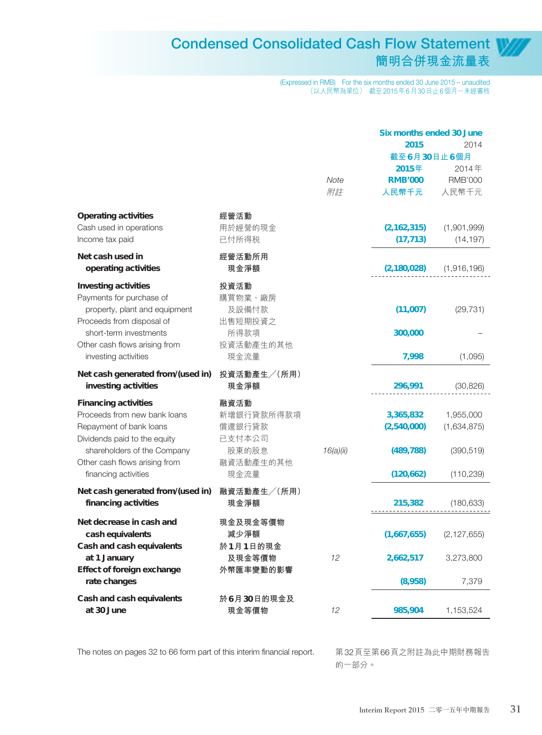## **Condensed Consolidated Cash Flow Statement 簡明合併現金流量表**

(Expressed in RMB) For the six months ended 30 June 2015 – unaudited (以人民幣為單位) 截至 2015年 6月 30日止 6個月-未經審核

|                                                     |                     |           | <b>Six months ended 30 June</b><br>2015 | 2014           |
|-----------------------------------------------------|---------------------|-----------|-----------------------------------------|----------------|
|                                                     |                     |           | 截至6月30日止6個月                             |                |
|                                                     |                     |           | 2015年                                   | 2014年          |
|                                                     |                     | Note      | <b>RMB'000</b>                          | <b>RMB'000</b> |
|                                                     |                     | 附註        | 人民幣千元                                   | 人民幣千元          |
| <b>Operating activities</b>                         | 經營活動                |           |                                         |                |
| Cash used in operations                             | 用於經營的現金             |           | (2, 162, 315)                           | (1,901,999)    |
| Income tax paid                                     | 已付所得税               |           | (17, 713)                               | (14, 197)      |
| Net cash used in                                    | 經營活動所用              |           |                                         |                |
| operating activities                                | 現金淨額                |           | (2, 180, 028)                           | (1,916,196)    |
| Investing activities                                | 投資活動                |           |                                         |                |
| Payments for purchase of                            | 購買物業、廠房             |           |                                         |                |
| property, plant and equipment                       | 及設備付款               |           | (11,007)                                | (29, 731)      |
| Proceeds from disposal of<br>short-term investments | 出售短期投資之<br>所得款項     |           | 300,000                                 |                |
| Other cash flows arising from                       | 投資活動產生的其他           |           |                                         |                |
| investing activities                                | 現金流量                |           | 7,998                                   | (1,095)        |
| Net cash generated from/(used in)                   | 投資活動產生/(所用)         |           |                                         |                |
| investing activities                                | 現金淨額                |           | 296,991                                 | (30, 826)      |
| <b>Financing activities</b>                         | 融資活動                |           |                                         |                |
| Proceeds from new bank loans                        | 新增銀行貸款所得款項          |           | 3,365,832                               | 1,955,000      |
| Repayment of bank loans                             | 償還銀行貸款              |           | (2,540,000)                             | (1,634,875)    |
| Dividends paid to the equity                        | 已支付本公司              |           |                                         |                |
| shareholders of the Company                         | 股東的股息               | 16(a)(ii) | (489, 788)                              | (390, 519)     |
| Other cash flows arising from                       | 融資活動產生的其他           |           |                                         |                |
| financing activities                                | 現金流量                |           | (120, 662)                              | (110, 239)     |
| Net cash generated from/(used in)                   | 融資活動產生/(所用)         |           |                                         |                |
| financing activities                                | 現金淨額                |           | 215,382                                 | (180, 633)     |
| Net decrease in cash and                            | 現金及現金等價物            |           |                                         |                |
| cash equivalents                                    | 減少淨額                |           | (1,667,655)                             | (2, 127, 655)  |
| Cash and cash equivalents                           | 於1月1日的現金            |           |                                         |                |
| at 1 January<br>Effect of foreign exchange          | 及現金等價物<br>外幣匯率變動的影響 | 12        | 2,662,517                               | 3,273,800      |
| rate changes                                        |                     |           | (8,958)                                 | 7,379          |
|                                                     |                     |           |                                         |                |
| Cash and cash equivalents                           | 於6月30日的現金及          |           |                                         |                |
| at 30 June                                          | 現金等價物               | 12        | 985,904                                 | 1,153,524      |

The notes on pages 32 to 66 form part of this interim financial report. 第32頁至第66頁之附註為此中期財務報告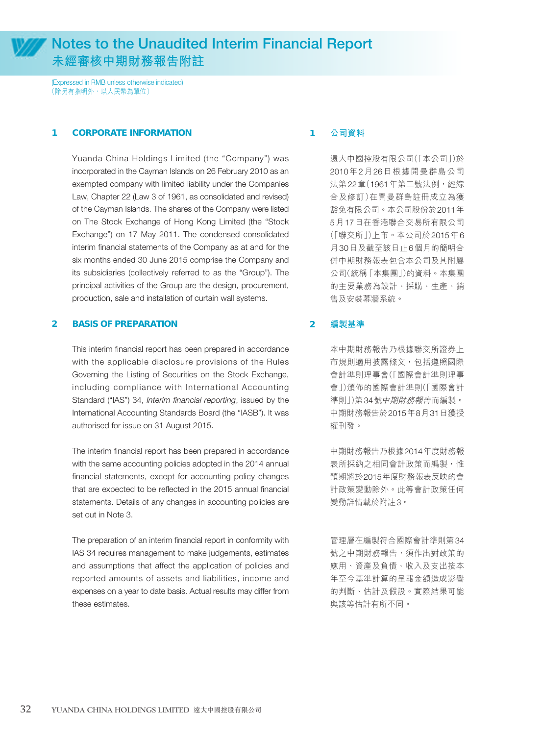

### **Notes to the Unaudited Interim Financial Report 未經審核中期財務報告附註**

(Expressed in RMB unless otherwise indicated) (除另有指明外,以人民幣為單位)

#### **1 CORPORATE INFORMATION**

Yuanda China Holdings Limited (the "Company") was incorporated in the Cayman Islands on 26 February 2010 as an exempted company with limited liability under the Companies Law, Chapter 22 (Law 3 of 1961, as consolidated and revised) of the Cayman Islands. The shares of the Company were listed on The Stock Exchange of Hong Kong Limited (the "Stock Exchange") on 17 May 2011. The condensed consolidated interim financial statements of the Company as at and for the six months ended 30 June 2015 comprise the Company and its subsidiaries (collectively referred to as the "Group"). The principal activities of the Group are the design, procurement, production, sale and installation of curtain wall systems.

#### **2 BASIS OF PREPARATION**

This interim financial report has been prepared in accordance with the applicable disclosure provisions of the Rules Governing the Listing of Securities on the Stock Exchange, including compliance with International Accounting Standard ("IAS") 34, Interim financial reporting, issued by the International Accounting Standards Board (the "IASB"). It was authorised for issue on 31 August 2015.

The interim financial report has been prepared in accordance with the same accounting policies adopted in the 2014 annual financial statements, except for accounting policy changes that are expected to be reflected in the 2015 annual financial statements. Details of any changes in accounting policies are set out in Note 3.

The preparation of an interim financial report in conformity with IAS 34 requires management to make judgements, estimates and assumptions that affect the application of policies and reported amounts of assets and liabilities, income and expenses on a year to date basis. Actual results may differ from these estimates.

#### **1 公司資料**

遠大中國控股有限公司(「本公司」)於 2010年2月26日根據開曼群島公司 法第22章(1961年第三號法例,經綜 合及修訂)在開曼群島註冊成立為獲 豁免有限公司。本公司股份於2011年 5月17日在香港聯合交易所有限公司 (「聯交所」)上市。本公司於2015年6 月30日及截至該日止6個月的簡明合 併中期財務報表包含本公司及其附屬 公司(統稱「本集團」)的資料。本集團 的主要業務為設計、採購、生產、銷 售及安裝幕牆系統。

#### **2 編製基準**

本中期財務報告乃根據聯交所證券上 市規則適用披露條文,包括遵照國際 會計準則理事會(「國際會計準則理事 會」)頒佈的國際會計準則(「國際會計 準則」)第34號中期財務報告而編製。 中期財務報告於2015年8月31日獲授 權刊發。

中期財務報告乃根據2014年度財務報 表所採納之相同會計政策而編製,惟 預期將於2015年度財務報表反映的會 計政策變動除外。此等會計政策任何 變動詳情載於附註3。

管理層在編製符合國際會計準則第34 號之中期財務報告,須作出對政策的 應用、資產及負債、收入及支出按本 年至今基準計算的呈報金額造成影響 的判斷、估計及假設。實際結果可能 與該等估計有所不同。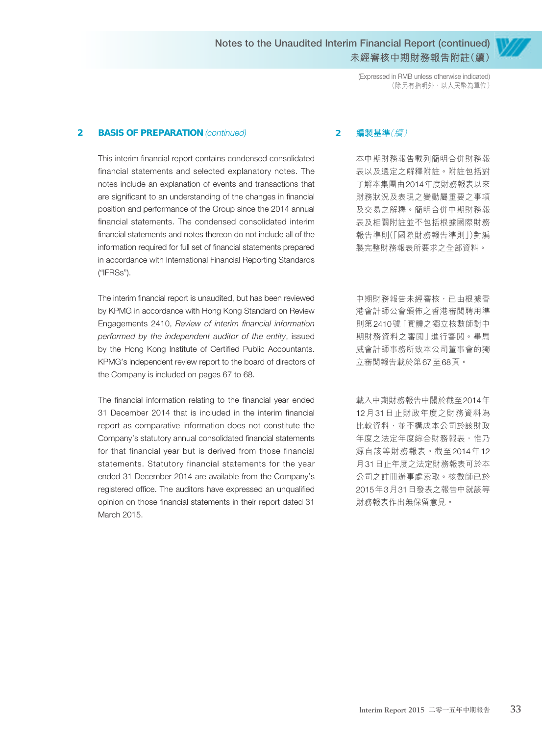> (Expressed in RMB unless otherwise indicated) (除另有指明外,以人民幣為單位)

#### **2** BASIS OF PREPARATION (continued)

This interim financial report contains condensed consolidated financial statements and selected explanatory notes. The notes include an explanation of events and transactions that are significant to an understanding of the changes in financial position and performance of the Group since the 2014 annual financial statements. The condensed consolidated interim financial statements and notes thereon do not include all of the information required for full set of financial statements prepared in accordance with International Financial Reporting Standards ("IFRSs").

The interim financial report is unaudited, but has been reviewed by KPMG in accordance with Hong Kong Standard on Review Engagements 2410, Review of interim financial information performed by the independent auditor of the entity, issued by the Hong Kong Institute of Certified Public Accountants. KPMG's independent review report to the board of directors of the Company is included on pages 67 to 68.

The financial information relating to the financial year ended 31 December 2014 that is included in the interim financial report as comparative information does not constitute the Company's statutory annual consolidated financial statements for that financial year but is derived from those financial statements. Statutory financial statements for the year ended 31 December 2014 are available from the Company's registered office. The auditors have expressed an unqualified opinion on those financial statements in their report dated 31 March 2015.

#### **2 編製基準**(續)

本中期財務報告載列簡明合併財務報 表以及選定之解釋附註。附註包括對 了解本集團由2014年度財務報表以來 財務狀況及表現之變動屬重要之事項 及交易之解釋。簡明合併中期財務報 表及相關附註並不包括根據國際財務 報告準則(「國際財務報告準則」)對編 製完整財務報表所要求之全部資料。

中期財務報告未經審核,已由根據香 港會計師公會頒佈之香港審閱聘用準 則第2410號「實體之獨立核數師對中 期財務資料之審閱」進行審閱。畢馬 威會計師事務所致本公司董事會的獨 立審閱報告載於第67至68頁。

載入中期財務報告中關於截至2014年 12月31日止財政年度之財務資料為 比較資料,並不構成本公司於該財政 年度之法定年度綜合財務報表,惟乃 源自該等財務報表。截至2014年12 月31日止年度之法定財務報表可於本 公司之註冊辦事處索取。核數師已於 2015年3月31日發表之報告中就該等 財務報表作出無保留意見。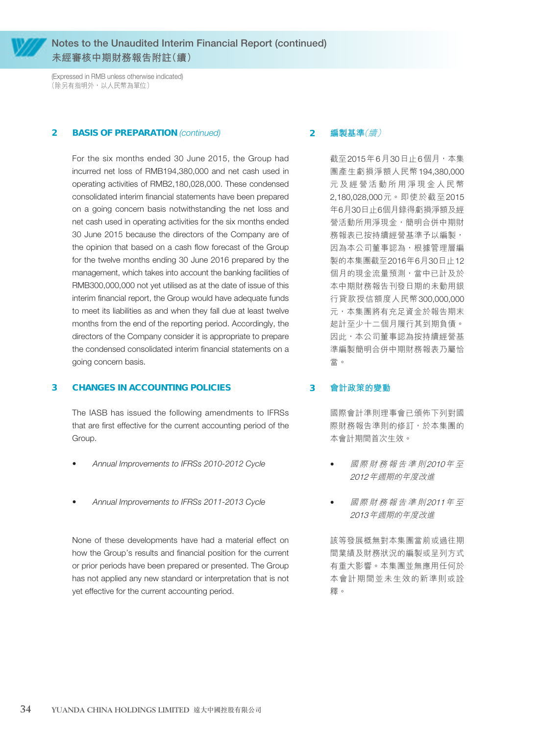

(Expressed in RMB unless otherwise indicated) (除另有指明外,以人民幣為單位)

#### **2** BASIS OF PREPARATION (continued)

For the six months ended 30 June 2015, the Group had incurred net loss of RMB194,380,000 and net cash used in operating activities of RMB2,180,028,000. These condensed consolidated interim financial statements have been prepared on a going concern basis notwithstanding the net loss and net cash used in operating activities for the six months ended 30 June 2015 because the directors of the Company are of the opinion that based on a cash flow forecast of the Group for the twelve months ending 30 June 2016 prepared by the management, which takes into account the banking facilities of RMB300,000,000 not yet utilised as at the date of issue of this interim financial report, the Group would have adequate funds to meet its liabilities as and when they fall due at least twelve months from the end of the reporting period. Accordingly, the directors of the Company consider it is appropriate to prepare the condensed consolidated interim financial statements on a going concern basis.

#### **3 CHANGES IN ACCOUNTING POLICIES**

The IASB has issued the following amendments to IFRSs that are first effective for the current accounting period of the Group.

- Annual Improvements to IFRSs 2010-2012 Cycle
- Annual Improvements to IFRSs 2011-2013 Cycle

None of these developments have had a material effect on how the Group's results and financial position for the current or prior periods have been prepared or presented. The Group has not applied any new standard or interpretation that is not yet effective for the current accounting period.

#### **2 編製基準**(續)

截至2015年6月30日止6個月,本集 團產生虧損淨額人民幣194,380,000 元及經營活動所用淨現金人民幣 2,180,028,000元。即使於截至2015 年6月30日止6個月錄得虧損淨額及經 營活動所用淨現金,簡明合併中期財 務報表已按持續經營基準予以編製, 因為本公司董事認為,根據管理層編 製的本集團截至2016年6月30日止12 個月的現金流量預測,當中已計及於 本中期財務報告刊發日期的未動用銀 行貸款授信額度人民幣300,000,000 元,本集團將有充足資金於報告期末 起計至少十二個月履行其到期負債。 因此,本公司董事認為按持續經營基 準編製簡明合併中期財務報表乃屬恰 當。

#### **3 會計政策的變動**

國際會計準則理事會已頒佈下列對國 際財務報告準則的修訂,於本集團的 本會計期間首次生效。

- 國際財務報告準則2010年 至 2012年週期的年度改進
- 國際財務報告準則2011年 至 2013年週期的年度改進

該等發展概無對本集團當前或過往期 間業績及財務狀況的編製或呈列方式 有重大影響。本集團並無應用任何於 本會計期間並未生效的新準則或詮 釋。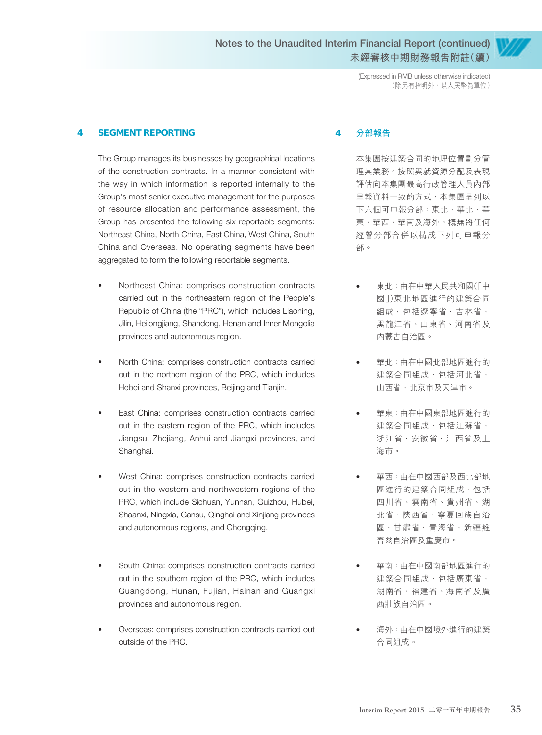> (Expressed in RMB unless otherwise indicated) (除另有指明外,以人民幣為單位)

#### **4 SEGMENT REPORTING**

The Group manages its businesses by geographical locations of the construction contracts. In a manner consistent with the way in which information is reported internally to the Group's most senior executive management for the purposes of resource allocation and performance assessment, the Group has presented the following six reportable segments: Northeast China, North China, East China, West China, South China and Overseas. No operating segments have been aggregated to form the following reportable segments.

- Northeast China: comprises construction contracts carried out in the northeastern region of the People's Republic of China (the "PRC"), which includes Liaoning, Jilin, Heilongjiang, Shandong, Henan and Inner Mongolia provinces and autonomous region.
- North China: comprises construction contracts carried out in the northern region of the PRC, which includes Hebei and Shanxi provinces, Beijing and Tianjin.
- East China: comprises construction contracts carried out in the eastern region of the PRC, which includes Jiangsu, Zhejiang, Anhui and Jiangxi provinces, and Shanghai.
- West China: comprises construction contracts carried out in the western and northwestern regions of the PRC, which include Sichuan, Yunnan, Guizhou, Hubei, Shaanxi, Ningxia, Gansu, Qinghai and Xinjiang provinces and autonomous regions, and Chongqing.
- South China: comprises construction contracts carried out in the southern region of the PRC, which includes Guangdong, Hunan, Fujian, Hainan and Guangxi provinces and autonomous region.
- Overseas: comprises construction contracts carried out outside of the PRC.

#### **4 分部報告**

本集團按建築合同的地理位置劃分管 理其業務。按照與就資源分配及表現 評估向本集團最高行政管理人員內部 呈報資料一致的方式,本集團呈列以 下六個可申報分部:東北、華北、華 東、華西、華南及海外。概無將任何 經營分部合併以構成下列可申報分 部。

- 東北:由在中華人民共和國(「中 國」)東北地區進行的建築合同 組成,包括遼寧省、吉林省、 黑龍江省、山東省、河南省及 內蒙古自治區。
- 華北:由在中國北部地區進行的 建築合同組成,包括河北省、 山西省、北京市及天津市。
- 華東:由在中國東部地區進行的 建築合同組成,包括江蘇省、 浙江省、安徽省、江西省及上 海市。
- 華西:由在中國西部及西北部地 區進行的建築合同組成,包括 四川省、雲南省、貴州省、湖 北省、陝西省、寧夏回族自治 區、甘肅省、青海省、新疆維 吾爾自治區及重慶市。
- 華南:由在中國南部地區進行的 建築合同組成,包括廣東省、 湖南省、福建省、海南省及廣 西壯族自治區。
- 海外:由在中國境外進行的建築 合同組成。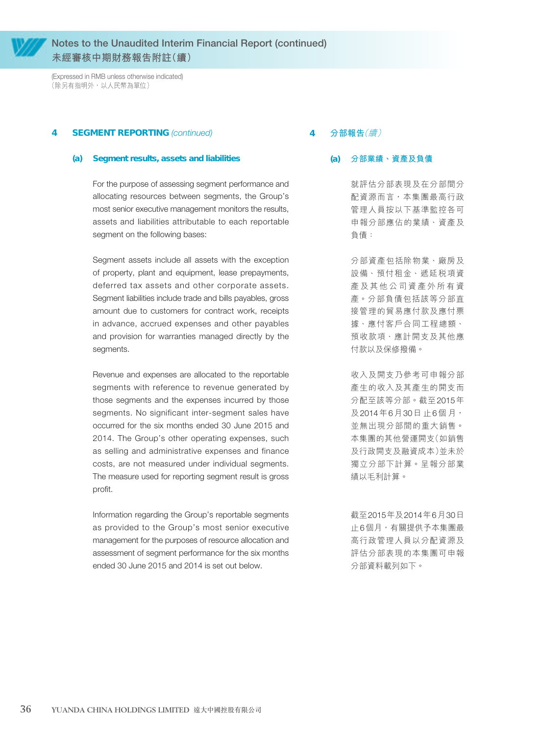

(Expressed in RMB unless otherwise indicated) (除另有指明外,以人民幣為單位)

#### **4** SEGMENT REPORTING (continued)

#### **(a) Segment results, assets and liabilities**

For the purpose of assessing segment performance and allocating resources between segments, the Group's most senior executive management monitors the results, assets and liabilities attributable to each reportable segment on the following bases:

Segment assets include all assets with the exception of property, plant and equipment, lease prepayments, deferred tax assets and other corporate assets. Segment liabilities include trade and bills payables, gross amount due to customers for contract work, receipts in advance, accrued expenses and other payables and provision for warranties managed directly by the segments.

Revenue and expenses are allocated to the reportable segments with reference to revenue generated by those segments and the expenses incurred by those segments. No significant inter-segment sales have occurred for the six months ended 30 June 2015 and 2014. The Group's other operating expenses, such as selling and administrative expenses and finance costs, are not measured under individual segments. The measure used for reporting segment result is gross profit.

Information regarding the Group's reportable segments as provided to the Group's most senior executive management for the purposes of resource allocation and assessment of segment performance for the six months ended 30 June 2015 and 2014 is set out below.

**4 分部報告**(續)

#### **(a) 分部業績、資產及負債**

就評估分部表現及在分部間分 配資源而言,本集團最高行政 管理人員按以下基準監控各可 申報分部應佔的業績、資產及 負債:

分部資產包括除物業、廠房及 設備、預付租金、遞延稅項資 產及其他公司資產外所有資 產。分部負債包括該等分部直 接管理的貿易應付款及應付票 據、應付客戶合同工程總額、 預收款項、應計開支及其他應 付款以及保修撥備。

收入及開支乃參考可申報分部 產生的收入及其產生的開支而 分配至該等分部。截至2015年 及2014年6月30日 止6個 月, 並無出現分部間的重大銷售。 本集團的其他營運開支(如銷售 及行政開支及融資成本)並未於 獨立分部下計算。呈報分部業 績以毛利計算。

截至2015年及2014年6月30日 止6個月,有關提供予本集團最 高行政管理人員以分配資源及 評估分部表現的本集團可申報 分部資料載列如下。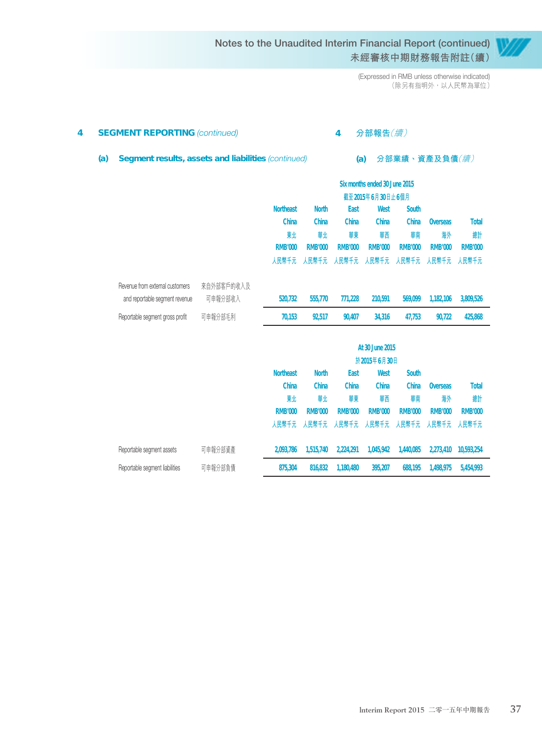> (Expressed in RMB unless otherwise indicated) (除另有指明外,以人民幣為單位)

| 4 |     | <b>SEGMENT REPORTING (continued)</b>                |            |                      |                |                | 分部報告(續)                       |                |                 |                |
|---|-----|-----------------------------------------------------|------------|----------------------|----------------|----------------|-------------------------------|----------------|-----------------|----------------|
|   | (a) | Segment results, assets and liabilities (continued) |            | 分部業績、資產及負債(續)<br>(a) |                |                |                               |                |                 |                |
|   |     |                                                     |            |                      |                |                | Six months ended 30 June 2015 |                |                 |                |
|   |     |                                                     |            |                      |                |                | 截至2015年6月30日止6個月              |                |                 |                |
|   |     |                                                     |            | <b>Northeast</b>     | <b>North</b>   | East           | West                          | <b>South</b>   |                 |                |
|   |     |                                                     |            | China                | China          | China          | China                         | China          | <b>Overseas</b> | <b>Total</b>   |
|   |     |                                                     |            | 東北                   | 華北             | 華東             | 華西                            | 華南             | 海外              | 總計             |
|   |     |                                                     |            | <b>RMB'000</b>       | <b>RMB'000</b> | <b>RMB'000</b> | <b>RMB'000</b>                | <b>RMB'000</b> | <b>RMB'000</b>  | <b>RMB'000</b> |
|   |     |                                                     |            | 人民幣千元                | 人民幣千元          | 人民幣千元          | 人民幣千元                         | 人民幣千元          | 人民幣千元           | 人民幣千元          |
|   |     | Revenue from external customers                     | 來自外部客戶的收入及 |                      |                |                |                               |                |                 |                |
|   |     | and reportable segment revenue                      | 可申報分部收入    | 520,732              | 555,770        | 771,228        | 210,591                       | 569,099        | 1,182,106       | 3,809,526      |
|   |     | Reportable segment gross profit                     | 可申報分部毛利    | 70.153               | 92,517         | 90,407         | 34,316                        | 47,753         | 90,722          | 425,868        |
|   |     |                                                     |            |                      |                |                | At 30 June 2015               |                |                 |                |
|   |     |                                                     |            |                      |                |                | 於2015年6月30日                   |                |                 |                |
|   |     |                                                     |            | <b>Northeast</b>     | <b>North</b>   | East           | West                          | <b>South</b>   |                 |                |
|   |     |                                                     |            | China                | China          | China          | China                         | China          | <b>Overseas</b> | <b>Total</b>   |
|   |     |                                                     |            | 東北                   | 華北             | 華東             | 華西                            | 華南             | 海外              | 總計             |
|   |     |                                                     |            | <b>RMB'000</b>       | <b>RMB'000</b> | <b>RMB'000</b> | <b>RMB'000</b>                | <b>RMB'000</b> | <b>RMB'000</b>  | <b>RMB'000</b> |
|   |     |                                                     |            | 人民幣千元                | 人民幣千元          | 人民幣千元          | 人民幣千元                         | 人民幣千元          | 人民幣千元           | 人民幣千元          |
|   |     | Reportable segment assets                           | 可申報分部資產    | 2,093,786            | 1,515,740      | 2,224,291      | 1,045,942                     | 1,440,085      | 2,273,410       | 10,593,254     |
|   |     | Reportable segment liabilities                      | 可申報分部負債    | 875,304              | 816,832        | 1,180,480      | 395,207                       | 688,195        | 1,498,975       | 5,454,993      |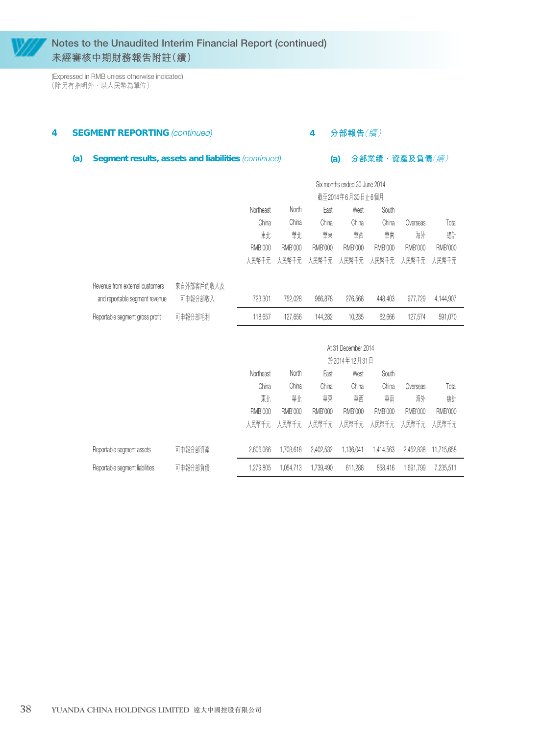(Expressed in RMB unless otherwise indicated) (除另有指明外,以人民幣為單位)

#### **4 SEGMENT REPORTING** (continued) **4 分部報告**(續)

#### **(a) Segment results, assets and liabilities** (continued)

## **(a) 分部業績、資產及負債**(續)

|                | Six months ended 30 June 2014 |                |                |                                           |                |                |  |  |  |  |
|----------------|-------------------------------|----------------|----------------|-------------------------------------------|----------------|----------------|--|--|--|--|
|                | 截至2014年6月30日止6個月              |                |                |                                           |                |                |  |  |  |  |
| Northeast      | North                         | East           | West           | South                                     |                |                |  |  |  |  |
| China          | China                         | China          | China          | China                                     | Overseas       | Total          |  |  |  |  |
| 東北             | 華北                            | 華東             | 華西             | 華南                                        | 海外             | 總計             |  |  |  |  |
| <b>RMB'000</b> | <b>RMB'000</b>                | <b>RMB'000</b> | <b>RMB'000</b> | <b>RMB'000</b>                            | <b>RMB'000</b> | <b>RMB'000</b> |  |  |  |  |
|                |                               |                |                | 人民幣千元 人民幣千元 人民幣千元 人民幣千元 人民幣千元 人民幣千元 人民幣千元 |                |                |  |  |  |  |

| Revenue from external customers | 來自外部客戶的收入及 |         |         |         |         |         |         |           |
|---------------------------------|------------|---------|---------|---------|---------|---------|---------|-----------|
| and reportable segment revenue  | 可申報分部收入    | 723.301 | 752.028 | 966.878 | 276.568 | 448.403 | 977.729 | 4.144.907 |
| Reportable segment gross profit | 可申報分部毛利    | 118.657 | 127.656 | 144.282 | 10.235  | 62.666  | 127.574 | 591,070   |

|                                |         |           | At 31 December 2014<br>於2014年12月31日 |           |           |           |           |                |  |  |  |
|--------------------------------|---------|-----------|-------------------------------------|-----------|-----------|-----------|-----------|----------------|--|--|--|
|                                |         | Northeast | <b>North</b>                        | East      | West      | South     |           |                |  |  |  |
|                                |         | China     | China                               | China     | China     | China     | Overseas  | Total          |  |  |  |
|                                |         | 勅         | 華北                                  | 華東        | 華西        | 華南        | 海外        | 總計             |  |  |  |
|                                |         | RMB'000   | RMB'000                             | RMB'000   | RMB'000   | RMB'000   | RMB'000   | <b>RMB'000</b> |  |  |  |
|                                |         | 人民幣千元     | 人民幣千元                               | 人民幣千元     | 人民幣千元     | 人民幣千元     | 人民幣千元     | 人民幣千元          |  |  |  |
| Reportable segment assets      | 可申報分部資產 | 2,606,066 | 1,703,618                           | 2,402,532 | 1.136.041 | 1.414.563 | 2,452,838 | 11.715.658     |  |  |  |
| Reportable segment liabilities | 可申報分部負債 | 1,279,805 | 1,054,713                           | 1,739,490 | 611,288   | 858.416   | 1,691,799 | 7,235,511      |  |  |  |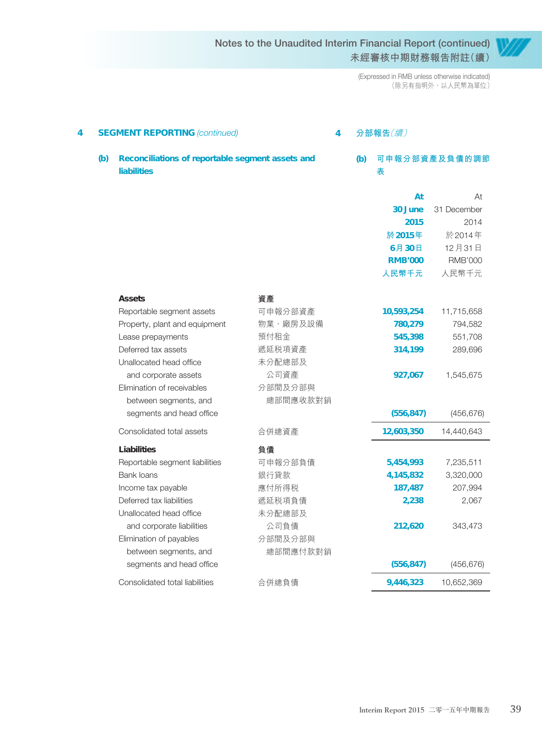> (Expressed in RMB unless otherwise indicated) (除另有指明外,以人民幣為單位)

| 4 |     | <b>SEGMENT REPORTING (continued)</b>                                   |          | 分部報告(續) |                    |                |  |
|---|-----|------------------------------------------------------------------------|----------|---------|--------------------|----------------|--|
|   | (b) | Reconciliations of reportable segment assets and<br><b>liabilities</b> |          | (b)     | 可申報分部資產及負債的調節<br>表 |                |  |
|   |     |                                                                        |          |         | At                 | At             |  |
|   |     |                                                                        |          |         | 30 June            | 31 December    |  |
|   |     |                                                                        |          |         | 2015               | 2014           |  |
|   |     |                                                                        |          |         | 於 2015年            | 於 2014年        |  |
|   |     |                                                                        |          |         | 6月30日              | 12月31日         |  |
|   |     |                                                                        |          |         | <b>RMB'000</b>     | <b>RMB'000</b> |  |
|   |     |                                                                        |          |         | 人民幣千元              | 人民幣千元          |  |
|   |     | <b>Assets</b>                                                          | 資產       |         |                    |                |  |
|   |     | Reportable segment assets                                              | 可申報分部資產  |         | 10,593,254         | 11,715,658     |  |
|   |     | Property, plant and equipment                                          | 物業、廠房及設備 |         | 780,279            | 794,582        |  |
|   |     | Lease prepayments                                                      | 預付租金     |         | 545,398            | 551,708        |  |
|   |     | Deferred tax assets                                                    | 遞延税項資產   |         | 314,199            | 289,696        |  |
|   |     | Unallocated head office                                                | 未分配總部及   |         |                    |                |  |
|   |     | and corporate assets                                                   | 公司資產     |         | 927,067            | 1,545,675      |  |
|   |     | Elimination of receivables                                             | 分部間及分部與  |         |                    |                |  |
|   |     | between segments, and                                                  | 總部間應收款對銷 |         |                    |                |  |
|   |     | segments and head office                                               |          |         | (556, 847)         | (456, 676)     |  |
|   |     | Consolidated total assets                                              | 合併總資產    |         | 12,603,350         | 14,440,643     |  |
|   |     | Liabilities                                                            | 負債       |         |                    |                |  |
|   |     | Reportable segment liabilities                                         | 可申報分部負債  |         | 5,454,993          | 7,235,511      |  |
|   |     | Bank loans                                                             | 銀行貸款     |         | 4,145,832          | 3,320,000      |  |
|   |     | Income tax payable                                                     | 應付所得税    |         | 187,487            | 207,994        |  |
|   |     | Deferred tax liabilities                                               | 遞延税項負債   |         | 2,238              | 2,067          |  |
|   |     | Unallocated head office                                                | 未分配總部及   |         |                    |                |  |
|   |     | and corporate liabilities                                              | 公司負債     |         | 212,620            | 343,473        |  |
|   |     | Elimination of payables                                                | 分部間及分部與  |         |                    |                |  |
|   |     | between segments, and                                                  | 總部間應付款對銷 |         |                    |                |  |
|   |     | segments and head office                                               |          |         | (556, 847)         | (456, 676)     |  |
|   |     | Consolidated total liabilities                                         | 合併總負債    |         | 9,446,323          | 10,652,369     |  |
|   |     |                                                                        |          |         |                    |                |  |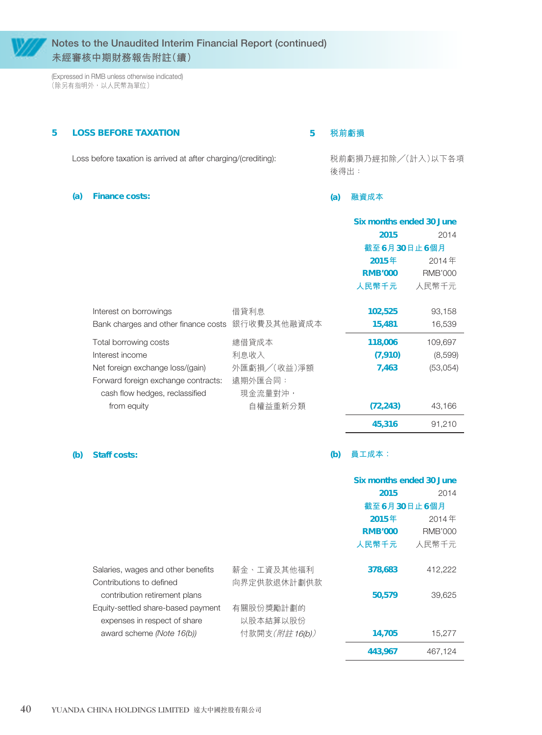(Expressed in RMB unless otherwise indicated) (除另有指明外,以人民幣為單位)

#### **5 LOSS BEFORE TAXATION**

Loss before taxation is arrived at after charging/(crediting):

**(a) Finance costs:**

#### **5 稅前虧損**

稅前虧損乃經扣除╱(計入)以下各項 後得出:

**(a) 融資成本**

|                                      |             | Six months ended 30 June |                |
|--------------------------------------|-------------|--------------------------|----------------|
|                                      |             | 2015                     | 2014           |
|                                      |             | 截至6月30日止6個月              |                |
|                                      |             | 2015年                    | 2014年          |
|                                      |             | <b>RMB'000</b>           | <b>RMB'000</b> |
|                                      |             | 人民幣千元                    | 人民幣千元          |
|                                      |             |                          |                |
| Interest on borrowings               | 借貸利息        | 102,525                  | 93,158         |
| Bank charges and other finance costs | 銀行收費及其他融資成本 | 15,481                   | 16,539         |
| Total borrowing costs                | 總借貸成本       | 118,006                  | 109,697        |
| Interest income                      | 利息收入        | (7, 910)                 | (8,599)        |
| Net foreign exchange loss/(gain)     | 外匯虧損/(收益)淨額 | 7,463                    | (53,054)       |
| Forward foreign exchange contracts:  | 遠期外匯合同:     |                          |                |
| cash flow hedges, reclassified       | 現金流量對沖,     |                          |                |
| from equity                          | 自權益重新分類     | (72, 243)                | 43,166         |
|                                      |             | 45,316                   | 91,210         |

#### **(b) Staff costs:**

**(b) 員工成本:**

|                                    |                       | Six months ended 30 June |                |
|------------------------------------|-----------------------|--------------------------|----------------|
|                                    |                       | 2015                     | 2014           |
|                                    |                       | 截至6月30日止6個月              |                |
|                                    |                       | 2015年                    | 2014年          |
|                                    |                       | <b>RMB'000</b>           | <b>RMB'000</b> |
|                                    |                       | 人民幣千元                    | 人民幣千元          |
|                                    |                       |                          |                |
| Salaries, wages and other benefits | 薪金、工資及其他福利            | 378,683                  | 412,222        |
| Contributions to defined           | 向界定供款退休計劃供款           |                          |                |
| contribution retirement plans      |                       | 50,579                   | 39,625         |
| Equity-settled share-based payment | 有關股份獎勵計劃的             |                          |                |
| expenses in respect of share       | 以股本結算以股份              |                          |                |
| award scheme (Note 16(b))          | 付款開支( <i>附註16(b))</i> | 14,705                   | 15,277         |
|                                    |                       | 443,967                  | 467.124        |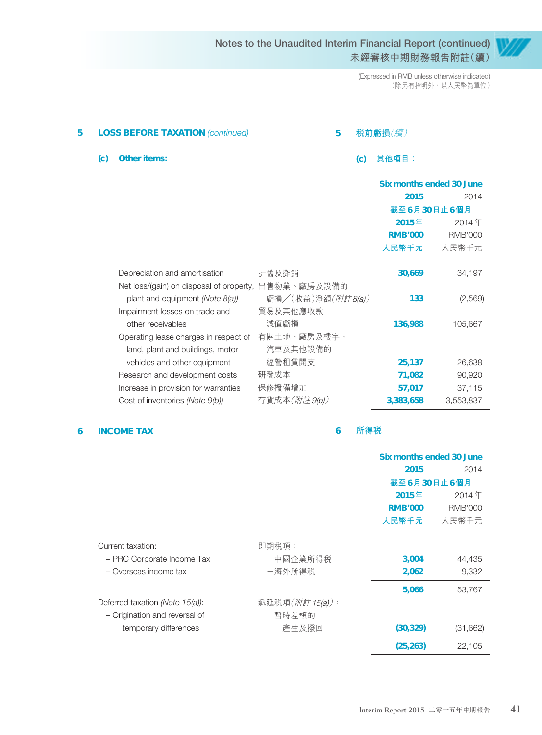> (Expressed in RMB unless otherwise indicated) (除另有指明外,以人民幣為單位)

| 5 |     | <b>LOSS BEFORE TAXATION (continued)</b>              | 5                         |                   | 税前虧損 $(\frac{1}{2})$     |                |
|---|-----|------------------------------------------------------|---------------------------|-------------------|--------------------------|----------------|
|   | (c) | <b>Other items:</b>                                  |                           | $\left( c\right)$ | 其他項目:                    |                |
|   |     |                                                      |                           |                   | Six months ended 30 June |                |
|   |     |                                                      |                           |                   | 2015                     | 2014           |
|   |     |                                                      |                           |                   | 截至6月30日止6個月              |                |
|   |     |                                                      |                           |                   | 2015年                    | 2014年          |
|   |     |                                                      |                           |                   | <b>RMB'000</b>           | <b>RMB'000</b> |
|   |     |                                                      |                           |                   | 人民幣千元                    | 人民幣千元          |
|   |     | Depreciation and amortisation                        | 折舊及攤銷                     |                   | 30,669                   | 34,197         |
|   |     | Net loss/(gain) on disposal of property, 出售物業、廠房及設備的 |                           |                   |                          |                |
|   |     | plant and equipment (Note 8(a))                      | 虧損/(收益)淨額( <i>附註8(a))</i> |                   | 133                      | (2,569)        |
|   |     | Impairment losses on trade and                       | 貿易及其他應收款                  |                   |                          |                |
|   |     | other receivables                                    | 減值虧損                      |                   | 136,988                  | 105,667        |
|   |     | Operating lease charges in respect of                | 有關土地、廠房及樓宇、               |                   |                          |                |
|   |     | land, plant and buildings, motor                     | 汽車及其他設備的                  |                   |                          |                |
|   |     | vehicles and other equipment                         | 經營租賃開支                    |                   | 25,137                   | 26,638         |
|   |     | Research and development costs                       | 研發成本                      |                   | 71,082                   | 90,920         |
|   |     | Increase in provision for warranties                 | 保修撥備增加                    |                   | 57,017                   | 37,115         |
|   |     | Cost of inventories (Note 9(b))                      | 存貨成本(附註9(b))              |                   | 3,383,658                | 3,553,837      |

#### **6 INCOME TAX**

#### **6 所得稅**

|                                 |                          | Six months ended 30 June |                |
|---------------------------------|--------------------------|--------------------------|----------------|
|                                 |                          | 2015                     | 2014           |
|                                 |                          | 截至6月30日止6個月              |                |
|                                 |                          | 2015年                    | 2014年          |
|                                 |                          | <b>RMB'000</b>           | <b>RMB'000</b> |
|                                 |                          | 人民幣千元                    | 人民幣千元          |
| Current taxation:               | 即期税項:                    |                          |                |
| - PRC Corporate Income Tax      | 一中國企業所得税                 | 3,004                    | 44,435         |
| - Overseas income tax           | -海外所得税                   | 2,062                    | 9,332          |
|                                 |                          | 5,066                    | 53,767         |
| Deferred taxation (Note 15(a)): | 遞延税項( <i>附註 15(a))</i> : |                          |                |
| - Origination and reversal of   | 一暫時差額的                   |                          |                |
| temporary differences           | 產生及撥回                    | (30, 329)                | (31,662)       |
|                                 |                          | (25, 263)                | 22,105         |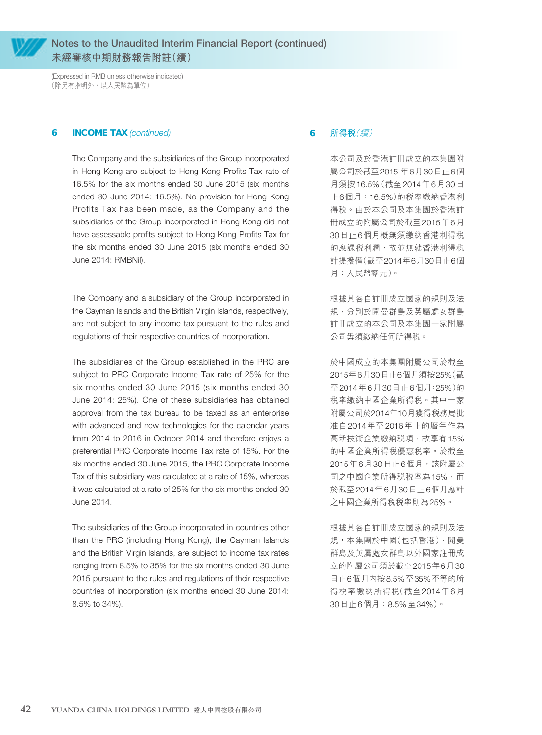

(Expressed in RMB unless otherwise indicated) (除另有指明外,以人民幣為單位)

#### **6 INCOME TAX** (continued)

The Company and the subsidiaries of the Group incorporated in Hong Kong are subject to Hong Kong Profits Tax rate of 16.5% for the six months ended 30 June 2015 (six months ended 30 June 2014: 16.5%). No provision for Hong Kong Profits Tax has been made, as the Company and the subsidiaries of the Group incorporated in Hong Kong did not have assessable profits subject to Hong Kong Profits Tax for the six months ended 30 June 2015 (six months ended 30 June 2014: RMBNil).

The Company and a subsidiary of the Group incorporated in the Cayman Islands and the British Virgin Islands, respectively, are not subject to any income tax pursuant to the rules and regulations of their respective countries of incorporation.

The subsidiaries of the Group established in the PRC are subject to PRC Corporate Income Tax rate of 25% for the six months ended 30 June 2015 (six months ended 30 June 2014: 25%). One of these subsidiaries has obtained approval from the tax bureau to be taxed as an enterprise with advanced and new technologies for the calendar years from 2014 to 2016 in October 2014 and therefore enjoys a preferential PRC Corporate Income Tax rate of 15%. For the six months ended 30 June 2015, the PRC Corporate Income Tax of this subsidiary was calculated at a rate of 15%, whereas it was calculated at a rate of 25% for the six months ended 30 June 2014.

The subsidiaries of the Group incorporated in countries other than the PRC (including Hong Kong), the Cayman Islands and the British Virgin Islands, are subject to income tax rates ranging from 8.5% to 35% for the six months ended 30 June 2015 pursuant to the rules and regulations of their respective countries of incorporation (six months ended 30 June 2014: 8.5% to 34%).

#### **6 所得稅**(續)

本公司及於香港註冊成立的本集團附 屬公司於截至2015 年6月30日止6個 月須按16.5%(截至2014年6月30日 止6個月:16.5%)的稅率繳納香港利 得稅。由於本公司及本集團於香港註 冊成立的附屬公司於截至2015年6月 30日止6個月概無須繳納香港利得稅 的應課稅利潤,故並無就香港利得稅 計提撥備(截至2014年6月30日止6個 月:人民幣零元)。

根據其各自註冊成立國家的規則及法 規,分別於開曼群島及英屬處女群島 註冊成立的本公司及本集團一家附屬 公司毋須繳納任何所得稅。

於中國成立的本集團附屬公司於截至 2015年6月30日止6個月須按25%(截 至2014年6月30日止6個月:25%)的 稅率繳納中國企業所得稅。其中一家 附屬公司於2014年10月獲得稅務局批 准自2014年至2016年止的曆年作為 高新技術企業繳納稅項,故享有15% 的中國企業所得稅優惠稅率。於截至 2015年6月30日止6個月,該附屬公 司之中國企業所得稅稅率為15%,而 於截至2014年6月30日止6個月應計 之中國企業所得稅稅率則為25%。

根據其各自註冊成立國家的規則及法 規,本集團於中國(包括香港)、開曼 群島及英屬處女群島以外國家註冊成 立的附屬公司須於截至2015年6月30 日止6個月內按8.5%至35%不等的所 得稅率繳納所得稅(截至2014年6月 30日止6個月:8.5%至34%)。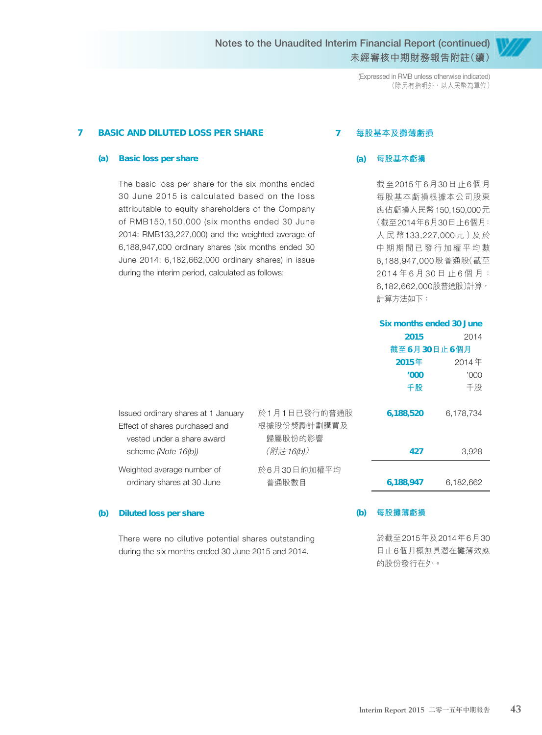> (Expressed in RMB unless otherwise indicated) (除另有指明外,以人民幣為單位)

#### **7 BASIC AND DILUTED LOSS PER SHARE**

#### **(a) Basic loss per share**

The basic loss per share for the six months ended 30 June 2015 is calculated based on the loss attributable to equity shareholders of the Company of RMB150,150,000 (six months ended 30 June 2014: RMB133,227,000) and the weighted average of 6,188,947,000 ordinary shares (six months ended 30 June 2014: 6,182,662,000 ordinary shares) in issue during the interim period, calculated as follows:

#### **7 每股基本及攤薄虧損**

#### **(a) 每股基本虧損**

截至2015年6月30日止6個月 每股基本虧損根據本公司股東 應佔虧損人民幣150,150,000元 (截至2014年6月30日止6個月: 人民幣133,227,000 元 )及 於 中期期間已發行加權平均數 6,188,947,000 股普通股(截至 2014 年 6 月 30 日 止 6 個 月: 6,182,662,000股普通股)計算, 計算方法如下:

|                                                                                                     |                                        | Six months ended 30 June |           |
|-----------------------------------------------------------------------------------------------------|----------------------------------------|--------------------------|-----------|
|                                                                                                     |                                        | 2015                     | 2014      |
|                                                                                                     |                                        | 截至6月30日止6個月              |           |
|                                                                                                     |                                        | 2015年                    | 2014年     |
|                                                                                                     |                                        | '000                     | 000'      |
|                                                                                                     |                                        | 千股                       | 千股        |
| Issued ordinary shares at 1 January<br>Effect of shares purchased and<br>vested under a share award | 於1月1日已發行的普通股<br>根據股份獎勵計劃購買及<br>歸屬股份的影響 | 6,188,520                | 6,178,734 |
| scheme (Note 16(b))                                                                                 | (附註 16(b))                             | 427                      | 3,928     |
| Weighted average number of<br>ordinary shares at 30 June                                            | 於6月30日的加權平均<br>普通股數目                   | 6,188,947                | 6,182,662 |
|                                                                                                     |                                        |                          |           |

**(b) Diluted loss per share**

There were no dilutive potential shares outstanding during the six months ended 30 June 2015 and 2014.

#### **(b) 每股攤薄虧損**

於截至2015年及2014年6月30 日止6個月概無具潛在攤薄效應 的股份發行在外。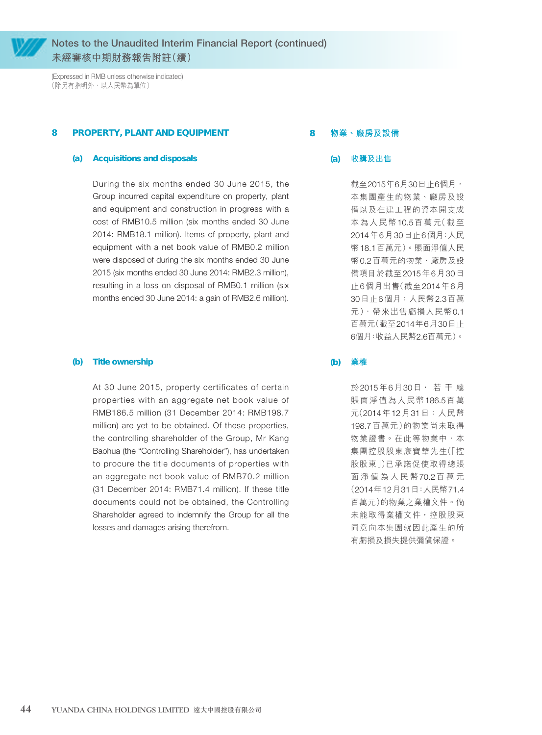

(Expressed in RMB unless otherwise indicated) (除另有指明外,以人民幣為單位)

#### **8 PROPERTY, PLANT AND EQUIPMENT**

#### **(a) Acquisitions and disposals**

During the six months ended 30 June 2015, the Group incurred capital expenditure on property, plant and equipment and construction in progress with a cost of RMB10.5 million (six months ended 30 June 2014: RMB18.1 million). Items of property, plant and equipment with a net book value of RMB0.2 million were disposed of during the six months ended 30 June 2015 (six months ended 30 June 2014: RMB2.3 million), resulting in a loss on disposal of RMB0.1 million (six months ended 30 June 2014: a gain of RMB2.6 million).

#### **(b) Title ownership**

At 30 June 2015, property certificates of certain properties with an aggregate net book value of RMB186.5 million (31 December 2014: RMB198.7 million) are yet to be obtained. Of these properties, the controlling shareholder of the Group, Mr Kang Baohua (the "Controlling Shareholder"), has undertaken to procure the title documents of properties with an aggregate net book value of RMB70.2 million (31 December 2014: RMB71.4 million). If these title documents could not be obtained, the Controlling Shareholder agreed to indemnify the Group for all the losses and damages arising therefrom.

#### **8 物業、廠房及設備**

#### **(a) 收購及出售**

截至2015年6月30日止6個月, 本集團產生的物業、廠房及設 備以及在建工程的資本開支成 本為人民幣10.5百萬元(截至 2014年6月30日止6個月:人民 幣18.1百萬元)。賬面淨值人民 幣0.2百萬元的物業、廠房及設 備項目於截至2015年6月30日 止6個月出售(截至2014年6月 30日止6個月:人民幣2.3百萬 元),帶來出售虧損人民幣0.1 百萬元(截至2014年6月30日止 6個月:收益人民幣2.6百萬元)。

#### **(b) 業權**

於2015年6月30日, 若 干 總 賬面淨值為人民幣186.5百萬 元(2014年12月31日:人民幣 198.7百萬元)的物業尚未取得 物業證書。在此等物業中,本 集團控股股東康寶華先生(「控 股股東」)已承諾促使取得總賬 面淨值為人民幣70.2百萬元 (2014年12月31日:人民幣71.4 百萬元)的物業之業權文件。倘 未能取得業權文件,控股股東 同意向本集團就因此產生的所 有虧損及損失提供彌償保證。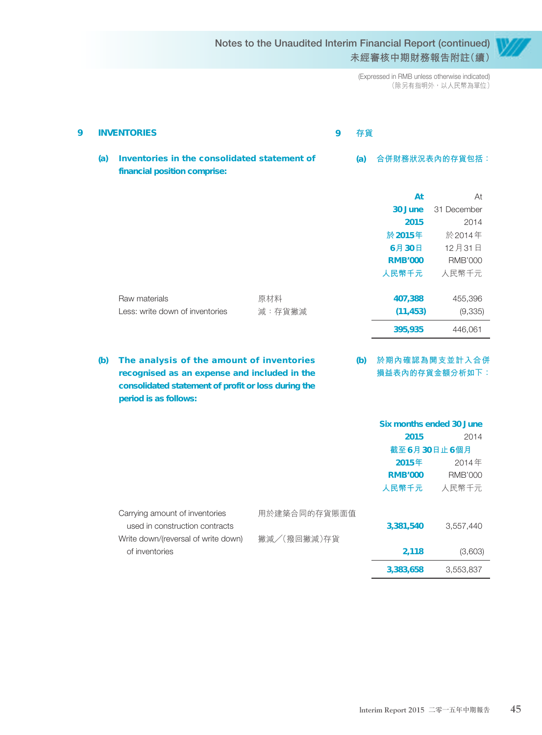> (Expressed in RMB unless otherwise indicated) (除另有指明外,以人民幣為單位)

| 9 |     | <b>INVENTORIES</b>                                                                                                                                                        |              | 9 | 存貨  |                |                                 |
|---|-----|---------------------------------------------------------------------------------------------------------------------------------------------------------------------------|--------------|---|-----|----------------|---------------------------------|
|   | (a) | Inventories in the consolidated statement of<br>financial position comprise:                                                                                              |              |   | (a) |                | 合併財務狀況表內的存貨包括:                  |
|   |     |                                                                                                                                                                           |              |   |     | At             | At                              |
|   |     |                                                                                                                                                                           |              |   |     | 30 June        | 31 December                     |
|   |     |                                                                                                                                                                           |              |   |     | 2015           | 2014                            |
|   |     |                                                                                                                                                                           |              |   |     | 於 2015年        | 於2014年                          |
|   |     |                                                                                                                                                                           |              |   |     | 6月30日          | 12月31日                          |
|   |     |                                                                                                                                                                           |              |   |     | <b>RMB'000</b> | <b>RMB'000</b>                  |
|   |     |                                                                                                                                                                           |              |   |     | 人民幣千元          | 人民幣千元                           |
|   |     | Raw materials                                                                                                                                                             | 原材料          |   |     | 407,388        | 455,396                         |
|   |     | Less: write down of inventories                                                                                                                                           | 減:存貨撇減       |   |     | (11, 453)      | (9, 335)                        |
|   |     |                                                                                                                                                                           |              |   |     | 395,935        | 446,061                         |
|   | (b) | The analysis of the amount of inventories<br>recognised as an expense and included in the<br>consolidated statement of profit or loss during the<br>period is as follows: |              |   | (b) |                | 於期內確認為開支並計入合併<br>損益表內的存貨金額分析如下: |
|   |     |                                                                                                                                                                           |              |   |     |                | Six months ended 30 June        |
|   |     |                                                                                                                                                                           |              |   |     | 2015           | 2014                            |
|   |     |                                                                                                                                                                           |              |   |     |                | 截至6月30日止6個月                     |
|   |     |                                                                                                                                                                           |              |   |     | 2015年          | 2014年                           |
|   |     |                                                                                                                                                                           |              |   |     | <b>RMB'000</b> | <b>RMB'000</b>                  |
|   |     |                                                                                                                                                                           |              |   |     | 人民幣千元          | 人民幣千元                           |
|   |     | Carrying amount of inventories                                                                                                                                            | 用於建築合同的存貨賬面值 |   |     |                |                                 |
|   |     | used in construction contracts                                                                                                                                            |              |   |     | 3,381,540      | 3,557,440                       |
|   |     | Write down/(reversal of write down)<br>of inventories                                                                                                                     | 撇減/(撥回撇減)存貨  |   |     | 2,118          | (3,603)                         |
|   |     |                                                                                                                                                                           |              |   |     |                |                                 |
|   |     |                                                                                                                                                                           |              |   |     | 3,383,658      | 3,553,837                       |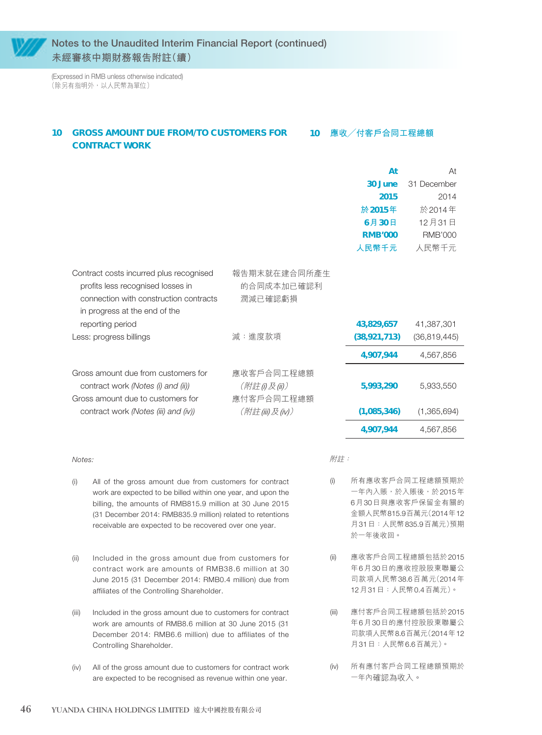(Expressed in RMB unless otherwise indicated) (除另有指明外,以人民幣為單位)

in progress at the end of the

#### **10 GROSS AMOUNT DUE FROM/TO CUSTOMERS FOR CONTRACT WORK**

#### **10 應收╱付客戶合同工程總額**

|                                                                              |                            | At             | At             |
|------------------------------------------------------------------------------|----------------------------|----------------|----------------|
|                                                                              |                            | 30 June        | 31 December    |
|                                                                              |                            | 2015           | 2014           |
|                                                                              |                            | 於 2015年        | 於2014年         |
|                                                                              |                            | 6月30日          | 12月31日         |
|                                                                              |                            | <b>RMB'000</b> | <b>RMB'000</b> |
|                                                                              |                            | 人民幣千元          | 人民幣千元          |
| Contract costs incurred plus recognised<br>profits less recognised losses in | 報告期末就在建合同所產生<br>的合同成本加已確認利 |                |                |
| connection with construction contracts                                       | 潤減已確認虧損                    |                |                |
| in program of the and of the                                                 |                            |                |                |

| reporting period                     |                | 43,829,657     | 41,387,301     |
|--------------------------------------|----------------|----------------|----------------|
| Less: progress billings              | 減:進度款項         | (38, 921, 713) | (36, 819, 445) |
|                                      |                | 4,907,944      | 4,567,856      |
| Gross amount due from customers for  | 應收客戶合同工程總額     |                |                |
| contract work (Notes (i) and (ii))   | (附註(i)及(ii))   | 5,993,290      | 5,933,550      |
| Gross amount due to customers for    | 應付客戶合同工程總額     |                |                |
| contract work (Notes (iii) and (iv)) | (附註(iii)及(iv)) | (1,085,346)    | (1,365,694)    |
|                                      |                | 4.907.944      | 4.567.856      |

#### Notes:

#### 附註:

- (i) All of the gross amount due from customers for contract work are expected to be billed within one year, and upon the billing, the amounts of RMB815.9 million at 30 June 2015 (31 December 2014: RMB835.9 million) related to retentions receivable are expected to be recovered over one year.
- (ii) Included in the gross amount due from customers for contract work are amounts of RMB38.6 million at 30 June 2015 (31 December 2014: RMB0.4 million) due from affiliates of the Controlling Shareholder.
- (iii) Included in the gross amount due to customers for contract work are amounts of RMB8.6 million at 30 June 2015 (31 December 2014: RMB6.6 million) due to affiliates of the Controlling Shareholder.
- (iv) All of the gross amount due to customers for contract work are expected to be recognised as revenue within one year.

6月30日與應收客戶保留金有關的 金額人民幣815.9百萬元(2014年12 月31日:人民幣835.9百萬元)預期 於一年後收回。

(i) 所有應收客戶合同工程總額預期於 一年內入賬,於入賬後,於2015年

- (ii) 應收客戶合同工程總額包括於2015 年6月30日的應收控股股東聯屬公 司款項人民幣38.6百萬元(2014年 12月31日:人民幣0.4百萬元)。
- (iii) 應付客戶合同工程總額包括於2015 年6月30日的應付控股股東聯屬公 司款項人民幣8.6百萬元(2014年12 月31日:人民幣6.6百萬元)。
- (iv) 所有應付客戶合同工程總額預期於 一年內確認為收入。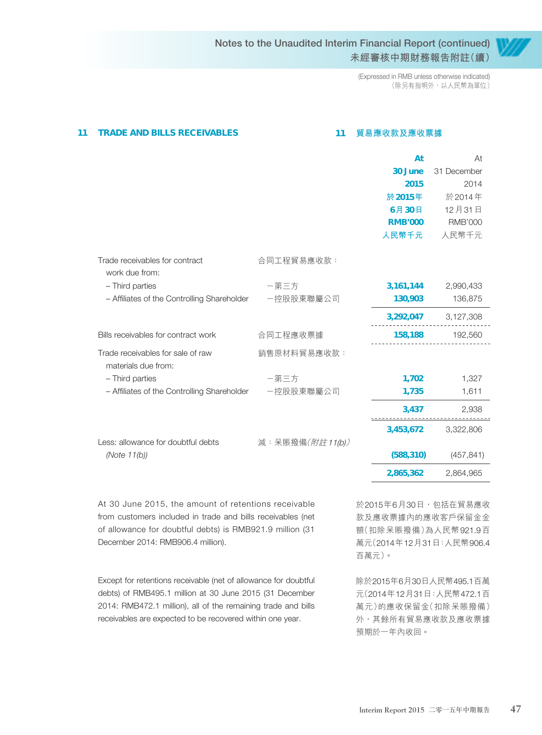> (Expressed in RMB unless otherwise indicated) (除另有指明外,以人民幣為單位)

| <b>TRADE AND BILLS RECEIVABLES</b><br>11 |                                                          | 11               | 貿易應收款及應收票據     |                |  |
|------------------------------------------|----------------------------------------------------------|------------------|----------------|----------------|--|
|                                          |                                                          |                  | At             | At             |  |
|                                          |                                                          |                  | 30 June        | 31 December    |  |
|                                          |                                                          |                  | 2015           | 2014           |  |
|                                          |                                                          |                  | 於 2015年        | 於2014年         |  |
|                                          |                                                          |                  | 6月30日          | 12月31日         |  |
|                                          |                                                          |                  | <b>RMB'000</b> | <b>RMB'000</b> |  |
|                                          |                                                          |                  | 人民幣千元          | 人民幣千元          |  |
|                                          | Trade receivables for contract<br>work due from:         | 合同工程貿易應收款:       |                |                |  |
|                                          | - Third parties                                          | 一第三方             | 3,161,144      | 2,990,433      |  |
|                                          | - Affiliates of the Controlling Shareholder              | 一控股股東聯屬公司        | 130,903        | 136,875        |  |
|                                          |                                                          |                  | 3,292,047      | 3,127,308      |  |
|                                          | Bills receivables for contract work                      | 合同工程應收票據         | 158,188        | 192,560        |  |
|                                          | Trade receivables for sale of raw<br>materials due from: | 銷售原材料貿易應收款:      |                |                |  |
|                                          | - Third parties                                          | 一第三方             | 1,702          | 1,327          |  |
|                                          | - Affiliates of the Controlling Shareholder              | 一控股股東聯屬公司        | 1,735          | 1,611          |  |
|                                          |                                                          |                  | 3,437          | 2,938          |  |
|                                          | Less: allowance for doubtful debts                       | 減: 呆賬撥備(附註11(b)) | 3,453,672      | 3,322,806      |  |
|                                          | (Note $11(b)$ )                                          |                  | (588, 310)     | (457, 841)     |  |
|                                          |                                                          |                  | 2,865,362      | 2,864,965      |  |
|                                          |                                                          |                  |                |                |  |

At 30 June 2015, the amount of retentions receivable from customers included in trade and bills receivables (net of allowance for doubtful debts) is RMB921.9 million (31 December 2014: RMB906.4 million).

Except for retentions receivable (net of allowance for doubtful debts) of RMB495.1 million at 30 June 2015 (31 December 2014: RMB472.1 million), all of the remaining trade and bills receivables are expected to be recovered within one year.

於2015年6月30日,包括在貿易應收 款及應收票據內的應收客戶保留金金 額(扣除呆賬撥備)為人民幣921.9百 萬元(2014年12月31日:人民幣906.4 百萬元)。

除於2015年6月30日人民幣495.1百萬 元(2014年12月31日:人民幣472.1百 萬元)的應收保留金(扣除呆賬撥備) 外,其餘所有貿易應收款及應收票據 預期於一年內收回。

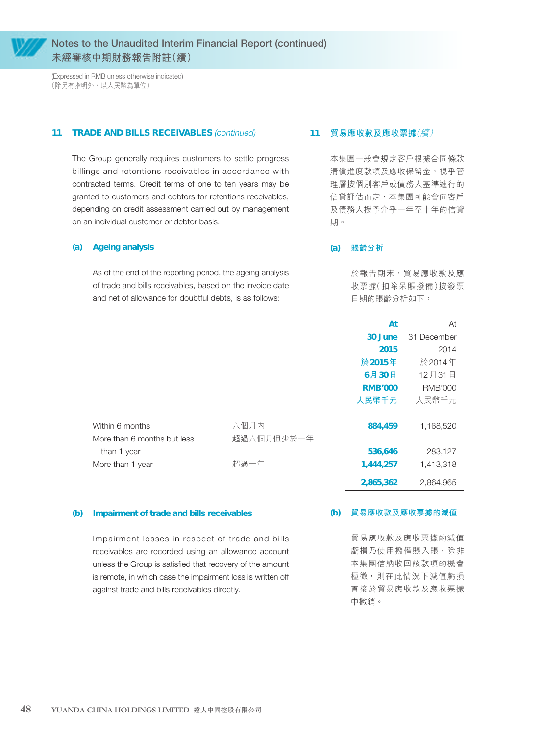

(Expressed in RMB unless otherwise indicated) (除另有指明外,以人民幣為單位)

#### 11 TRADE AND BILLS RECEIVABLES (continued)

The Group generally requires customers to settle progress billings and retentions receivables in accordance with contracted terms. Credit terms of one to ten years may be granted to customers and debtors for retentions receivables, depending on credit assessment carried out by management on an individual customer or debtor basis.

#### **(a) Ageing analysis**

As of the end of the reporting period, the ageing analysis of trade and bills receivables, based on the invoice date and net of allowance for doubtful debts, is as follows:

#### **11 貿易應收款及應收票據**(續)

本集團一般會規定客戶根據合同條款 清償進度款項及應收保留金。視乎管 理層按個別客戶或債務人基準進行的 信貸評估而定,本集團可能會向客戶 及債務人授予介乎一年至十年的信貸 期。

#### **(a) 賬齡分析**

於報告期末,貿易應收款及應 收票據(扣除呆賬撥備)按發票 日期的賬齡分析如下:

|                             |            | At             | At             |
|-----------------------------|------------|----------------|----------------|
|                             |            | 30 June        | 31 December    |
|                             |            | 2015           | 2014           |
|                             |            | 於 2015年        | 於2014年         |
|                             |            | 6月30日          | 12月31日         |
|                             |            | <b>RMB'000</b> | <b>RMB'000</b> |
|                             |            | 人民幣千元          | 人民幣千元          |
| Within 6 months             | 六個月內       | 884,459        | 1,168,520      |
| More than 6 months but less | 超過六個月但少於一年 |                |                |
| than 1 year                 |            | 536,646        | 283,127        |
| More than 1 year            | 超過一年       | 1,444,257      | 1,413,318      |
|                             |            | 2,865,362      | 2,864,965      |

#### **(b) Impairment of trade and bills receivables**

Impairment losses in respect of trade and bills receivables are recorded using an allowance account unless the Group is satisfied that recovery of the amount is remote, in which case the impairment loss is written off against trade and bills receivables directly.

#### **(b) 貿易應收款及應收票據的減值**

貿易應收款及應收票據的減值 虧損乃使用撥備賬入賬,除非 本集團信納收回該款項的機會 極微,則在此情況下減值虧損 直接於貿易應收款及應收票據 中撇銷。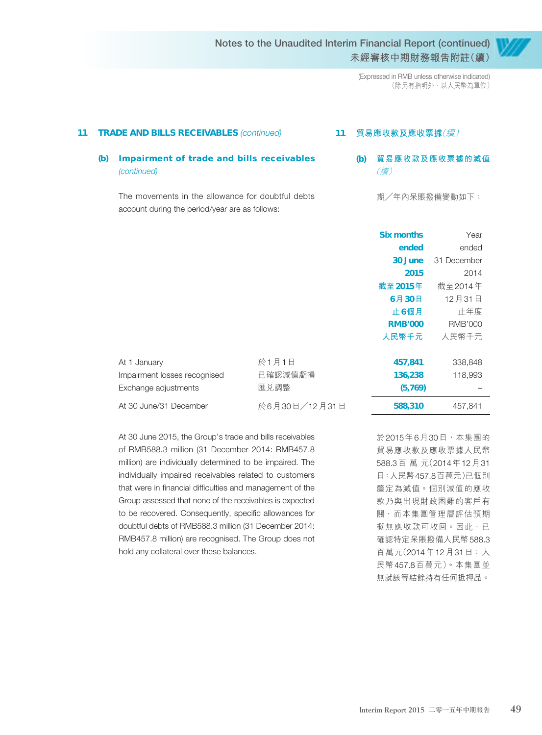> (Expressed in RMB unless otherwise indicated) (除另有指明外,以人民幣為單位)

| 11 |     | <b>TRADE AND BILLS RECEIVABLES (continued)</b>                                                      |  | 11 貿易應收款及應收票據(續) |                      |
|----|-----|-----------------------------------------------------------------------------------------------------|--|------------------|----------------------|
|    | (b) | Impairment of trade and bills receivables<br>(continued)                                            |  | (b)              | 貿易應收款及應收票據的減值<br>(續) |
|    |     | The movements in the allowance for doubtful debts<br>account during the period/year are as follows: |  |                  | 期/年內呆賬撥備變動如下:        |

|                              |               | <b>Six months</b> | Year           |
|------------------------------|---------------|-------------------|----------------|
|                              |               | ended             | ended          |
|                              |               | 30 June           | 31 December    |
|                              |               | 2015              | 2014           |
|                              |               | 截至 2015年          | 截至2014年        |
|                              |               | 6月30日             | 12月31日         |
|                              |               | 止6個月              | 止年度            |
|                              |               | <b>RMB'000</b>    | <b>RMB'000</b> |
|                              |               | 人民幣千元             | 人民幣千元          |
| At 1 January                 | 於1月1日         | 457,841           | 338,848        |
| Impairment losses recognised | 已確認減值虧損       | 136,238           | 118,993        |
| Exchange adjustments         | 匯兑調整          | (5, 769)          |                |
| At 30 June/31 December       | 於6月30日/12月31日 | 588,310           | 457.841        |

At 30 June 2015, the Group's trade and bills receivables of RMB588.3 million (31 December 2014: RMB457.8 million) are individually determined to be impaired. The individually impaired receivables related to customers that were in financial difficulties and management of the Group assessed that none of the receivables is expected to be recovered. Consequently, specific allowances for doubtful debts of RMB588.3 million (31 December 2014: RMB457.8 million) are recognised. The Group does not hold any collateral over these balances.

於2015年6月30日,本集團的 貿易應收款及應收票據人民幣 588.3百萬元(2014年12月31 日:人民幣457.8百萬元)已個別 釐定為減值。個別減值的應收 款乃與出現財政困難的客戶有 關,而本集團管理層評估預期 概無應收款可收回。因此,已 確認特定呆賬撥備人民幣588.3 百萬元(2014年12月31日:人 民幣457.8百萬元)。本集團並 無就該等結餘持有任何抵押品。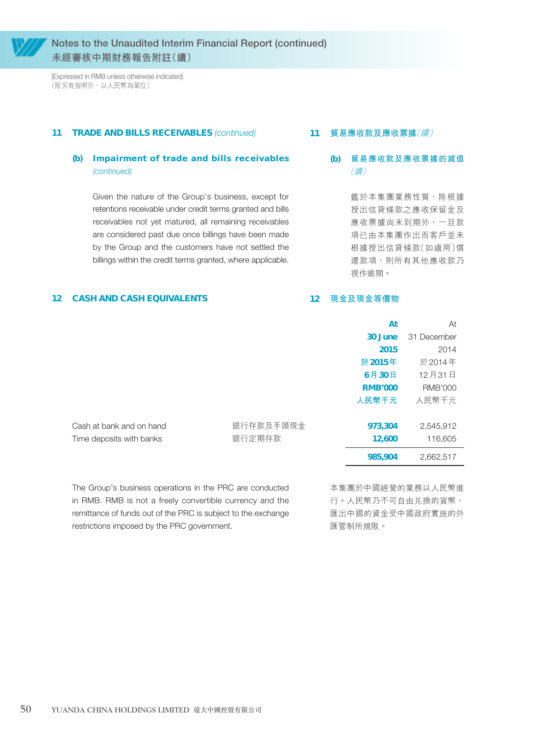

(Expressed in RMB unless otherwise indicated) (除另有指明外,以人民幣為單位)

#### **11 TRADE AND BILLS RECEIVABLES** (continued)

#### **(b) Impairment of trade and bills receivables**  (continued)

Given the nature of the Group's business, except for retentions receivable under credit terms granted and bills receivables not yet matured, all remaining receivables are considered past due once billings have been made by the Group and the customers have not settled the billings within the credit terms granted, where applicable.

#### **12 CASH AND CASH EQUIVALENTS**

#### **11 貿易應收款及應收票據**(續)

#### **(b) 貿易應收款及應收票據的減值** (續)

鑑於本集團業務性質,除根據 授出信貸條款之應收保留金及 應收票據尚未到期外,一旦款 項已由本集團作出而客戶並未 根據授出信貸條款(如適用)償 還款項,則所有其他應收款乃 視作逾期。

#### **12 現金及現金等價物**

|                          |           | At             | At             |
|--------------------------|-----------|----------------|----------------|
|                          |           | 30 June        | 31 December    |
|                          |           | 2015           | 2014           |
|                          |           | 於2015年         | 於2014年         |
|                          |           | 6月30日          | 12月31日         |
|                          |           | <b>RMB'000</b> | <b>RMB'000</b> |
|                          |           | 人民幣千元          | 人民幣千元          |
| Cash at bank and on hand | 銀行存款及手頭現金 | 973,304        | 2,545,912      |
| Time deposits with banks | 銀行定期存款    | 12,600         | 116,605        |
|                          |           | 985,904        | 2,662,517      |
|                          |           |                |                |

The Group's business operations in the PRC are conducted in RMB. RMB is not a freely convertible currency and the remittance of funds out of the PRC is subject to the exchange restrictions imposed by the PRC government.

本集團於中國經營的業務以人民幣進 行。人民幣乃不可自由兌換的貨幣, 匯出中國的資金受中國政府實施的外 匯管制所規限。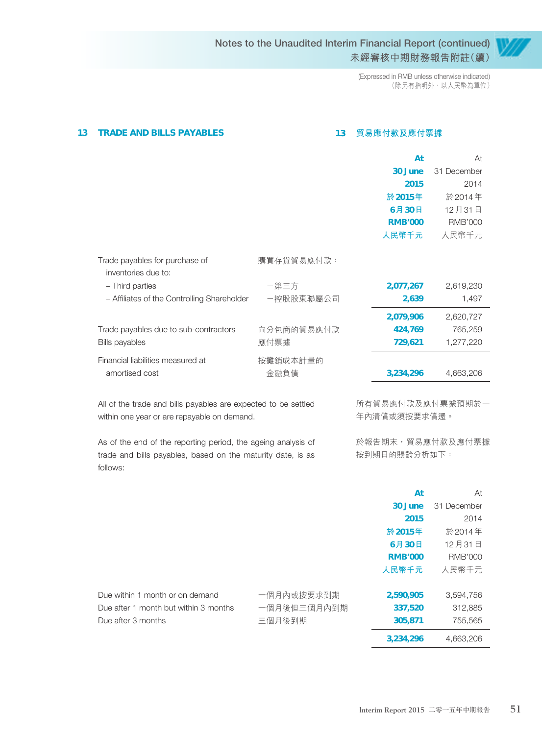> (Expressed in RMB unless otherwise indicated) (除另有指明外,以人民幣為單位)

#### **13 TRADE AND BILLS PAYABLES**

#### **13 貿易應付款及應付票據**

|                                                                                                               |                  | At                               | At             |
|---------------------------------------------------------------------------------------------------------------|------------------|----------------------------------|----------------|
|                                                                                                               |                  | 30 June                          | 31 December    |
|                                                                                                               |                  | 2015                             | 2014           |
|                                                                                                               |                  | 於 2015年                          | 於2014年         |
|                                                                                                               |                  | 6月30日                            | 12月31日         |
|                                                                                                               |                  | <b>RMB'000</b>                   | <b>RMB'000</b> |
|                                                                                                               |                  | 人民幣千元                            | 人民幣千元          |
| Trade payables for purchase of<br>inventories due to:                                                         | 購買存貨貿易應付款:       |                                  |                |
| - Third parties                                                                                               | 一第三方             | 2,077,267                        | 2,619,230      |
| - Affiliates of the Controlling Shareholder                                                                   | 一控股股東聯屬公司        | 2,639                            | 1,497          |
|                                                                                                               |                  | 2,079,906                        | 2,620,727      |
| Trade payables due to sub-contractors                                                                         | 向分包商的貿易應付款       | 424,769                          | 765,259        |
| Bills payables                                                                                                | 應付票據             | 729,621                          | 1,277,220      |
| Financial liabilities measured at<br>amortised cost                                                           | 按攤銷成本計量的<br>金融負債 | 3,234,296                        | 4,663,206      |
| All of the trade and bills payables are expected to be settled<br>within one year or are repayable on demand. |                  | 所有貿易應付款及應付票據預期於一<br>年內清償或須按要求償還。 |                |
|                                                                                                               |                  |                                  |                |

As of the end of the reporting period, the ageing analysis of trade and bills payables, based on the maturity date, is as follows:

於報告期末,貿易應付款及應付票據 按到期日的賬齡分析如下:

|                                       |             | At             | At             |
|---------------------------------------|-------------|----------------|----------------|
|                                       |             | 30 June        | 31 December    |
|                                       |             | 2015           | 2014           |
|                                       |             | 於 2015年        | 於 2014年        |
|                                       |             | 6月30日          | 12月31日         |
|                                       |             | <b>RMB'000</b> | <b>RMB'000</b> |
|                                       |             | 人民幣千元          | 人民幣千元          |
| Due within 1 month or on demand       | 一個月內或按要求到期  | 2,590,905      | 3,594,756      |
| Due after 1 month but within 3 months | 一個月後但三個月內到期 | 337,520        | 312,885        |
| Due after 3 months                    | 三個月後到期      | 305,871        | 755,565        |
|                                       |             | 3,234,296      | 4,663,206      |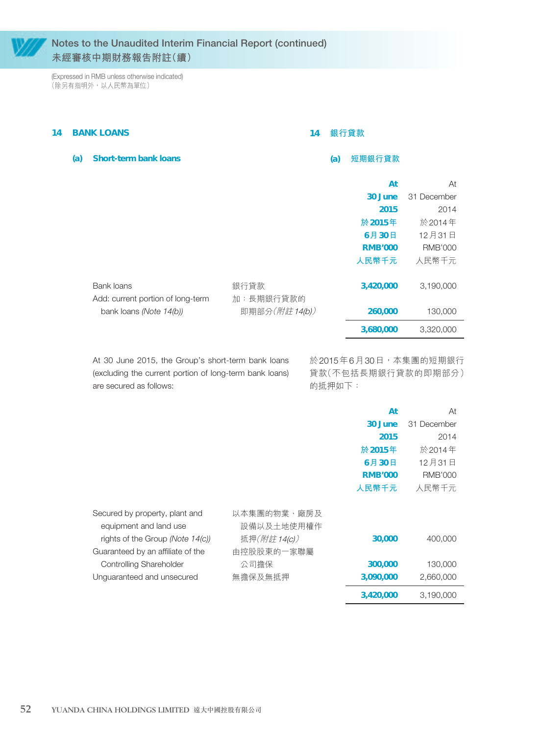(Expressed in RMB unless otherwise indicated) (除另有指明外,以人民幣為單位)

#### **14 BANK LOANS**

#### **14 銀行貸款**

**(a) Short-term bank loans (a) 短期銀行貸款**

|                                                 |                   | At             | At             |
|-------------------------------------------------|-------------------|----------------|----------------|
|                                                 |                   | 30 June        | 31 December    |
|                                                 |                   | 2015           | 2014           |
|                                                 |                   | 於 2015年        | 於2014年         |
|                                                 |                   | 6月30日          | 12月31日         |
|                                                 |                   | <b>RMB'000</b> | <b>RMB'000</b> |
|                                                 |                   | 人民幣千元          | 人民幣千元          |
| Bank loans<br>Add: current portion of long-term | 銀行貸款<br>加:長期銀行貸款的 | 3,420,000      | 3,190,000      |
| bank loans (Note 14(b))                         | 即期部分(附註14(b))     | 260,000        | 130,000        |
|                                                 |                   | 3,680,000      | 3,320,000      |

At 30 June 2015, the Group's short-term bank loans (excluding the current portion of long-term bank loans) are secured as follows:

於2015年6月30日,本集團的短期銀行 貸款(不包括長期銀行貸款的即期部分) 的抵押如下:

|                                                                                              |                                          | At             | At             |
|----------------------------------------------------------------------------------------------|------------------------------------------|----------------|----------------|
|                                                                                              |                                          | 30 June        | 31 December    |
|                                                                                              |                                          | 2015           | 2014           |
|                                                                                              |                                          | 於 2015年        | 於2014年         |
|                                                                                              |                                          | $6$ 月30日       | 12月31日         |
|                                                                                              |                                          | <b>RMB'000</b> | <b>RMB'000</b> |
|                                                                                              |                                          | 人民幣千元          | 人民幣千元          |
| Secured by property, plant and<br>equipment and land use<br>rights of the Group (Note 14(c)) | 以本集團的物業、廠房及<br>設備以及土地使用權作<br>抵押(附註14(c)) | 30,000         | 400,000        |
| Guaranteed by an affiliate of the                                                            | 由控股股東的一家聯屬                               |                |                |
| <b>Controlling Shareholder</b>                                                               | 公司擔保                                     | 300,000        | 130,000        |
| Unguaranteed and unsecured                                                                   | 無擔保及無抵押                                  | 3,090,000      | 2,660,000      |
|                                                                                              |                                          | 3,420,000      | 3.190.000      |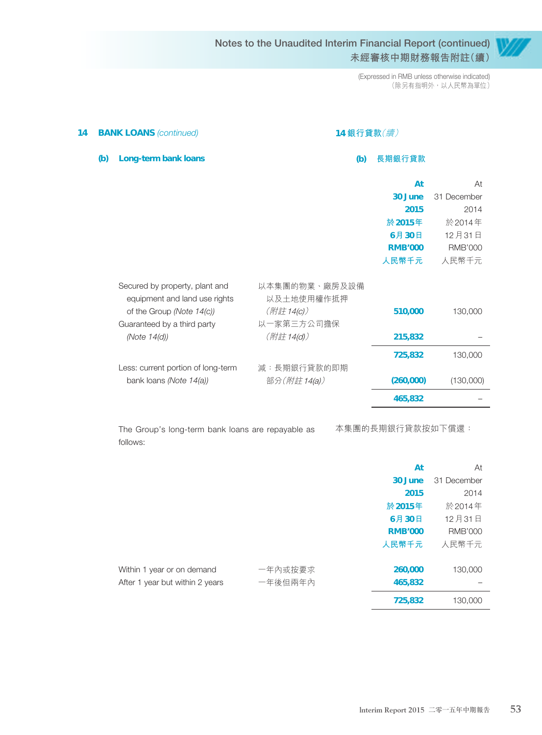> (Expressed in RMB unless otherwise indicated) (除另有指明外,以人民幣為單位)

| 14 |     | <b>BANK LOANS (continued)</b>                                   | 14 銀行貸款(續)                  |                |                |  |  |  |
|----|-----|-----------------------------------------------------------------|-----------------------------|----------------|----------------|--|--|--|
|    | (b) | Long-term bank loans                                            | (b)                         | 長期銀行貸款         |                |  |  |  |
|    |     |                                                                 |                             | At             | At             |  |  |  |
|    |     |                                                                 |                             | 30 June        | 31 December    |  |  |  |
|    |     |                                                                 |                             | 2015           | 2014           |  |  |  |
|    |     |                                                                 |                             | 於 2015年        | 於2014年         |  |  |  |
|    |     |                                                                 |                             | 6月30日          | 12月31日         |  |  |  |
|    |     |                                                                 |                             | <b>RMB'000</b> | <b>RMB'000</b> |  |  |  |
|    |     |                                                                 |                             | 人民幣千元          | 人民幣千元          |  |  |  |
|    |     | Secured by property, plant and<br>equipment and land use rights | 以本集團的物業、廠房及設備<br>以及土地使用權作抵押 |                |                |  |  |  |
|    |     | of the Group (Note 14(c))<br>Guaranteed by a third party        | (附註14(c))<br>以一家第三方公司擔保     | 510,000        | 130,000        |  |  |  |
|    |     | (Note 14(d))                                                    | (附註14(d))                   | 215,832        |                |  |  |  |
|    |     |                                                                 |                             | 725,832        | 130,000        |  |  |  |
|    |     | Less: current portion of long-term                              | 減: 長期銀行貸款的即期                |                |                |  |  |  |
|    |     | bank loans (Note 14(a))                                         | 部分( <i>附註14(a))</i>         | (260,000)      | (130,000)      |  |  |  |
|    |     |                                                                 |                             | 465,832        |                |  |  |  |

The Group's long-term bank loans are repayable as fo

本集團的長期銀行貸款按如下償還:

| pllows: |  |
|---------|--|
|---------|--|

|                                 |         | At             | At             |
|---------------------------------|---------|----------------|----------------|
|                                 |         | 30 June        | 31 December    |
|                                 |         | 2015           | 2014           |
|                                 |         | 於 2015年        | 於2014年         |
|                                 |         | 6月30日          | 12月31日         |
|                                 |         | <b>RMB'000</b> | <b>RMB'000</b> |
|                                 |         | 人民幣千元          | 人民幣千元          |
| Within 1 year or on demand      | 一年內或按要求 | 260,000        | 130,000        |
| After 1 year but within 2 years | 一年後但兩年內 | 465,832        |                |
|                                 |         | 725,832        | 130,000        |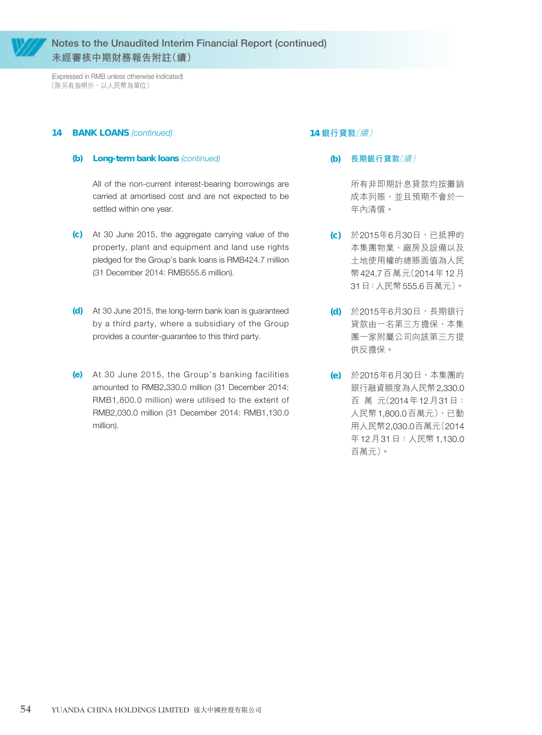

(Expressed in RMB unless otherwise indicated) (除另有指明外,以人民幣為單位)

#### 14 **BANK LOANS** (continued)

#### **(b) Long-term bank loans** (continued)

All of the non-current interest-bearing borrowings are carried at amortised cost and are not expected to be settled within one year.

- **(c)** At 30 June 2015, the aggregate carrying value of the property, plant and equipment and land use rights pledged for the Group's bank loans is RMB424.7 million (31 December 2014: RMB555.6 million).
- **(d)** At 30 June 2015, the long-term bank loan is guaranteed by a third party, where a subsidiary of the Group provides a counter-guarantee to this third party.
- **(e)** At 30 June 2015, the Group's banking facilities amounted to RMB2,330.0 million (31 December 2014: RMB1,800.0 million) were utilised to the extent of RMB2,030.0 million (31 December 2014: RMB1,130.0 million).

#### **14 銀行貸款**(續)

#### **(b) 長期銀行貸款**(續)

所有非即期計息貸款均按攤銷 成本列賬,並且預期不會於一 年內清償。

- **(c)** 於2015年6月30日,已抵押的 本集團物業、廠房及設備以及 土地使用權的總賬面值為人民 幣424.7百萬元(2014年12月 31日:人民幣555.6百萬元)。
- **(d)** 於2015年6月30日,長期銀行 貸款由一名第三方擔保,本集 團一家附屬公司向該第三方提 供反擔保。
- **(e)** 於2015年6月30日,本集團的 銀行融資額度為人民幣2,330.0 百萬元(2014年12月31日: 人民幣1,800.0百萬元),已動 用人民幣2,030.0百萬元(2014 年12月31日:人民幣1,130.0 百萬元)。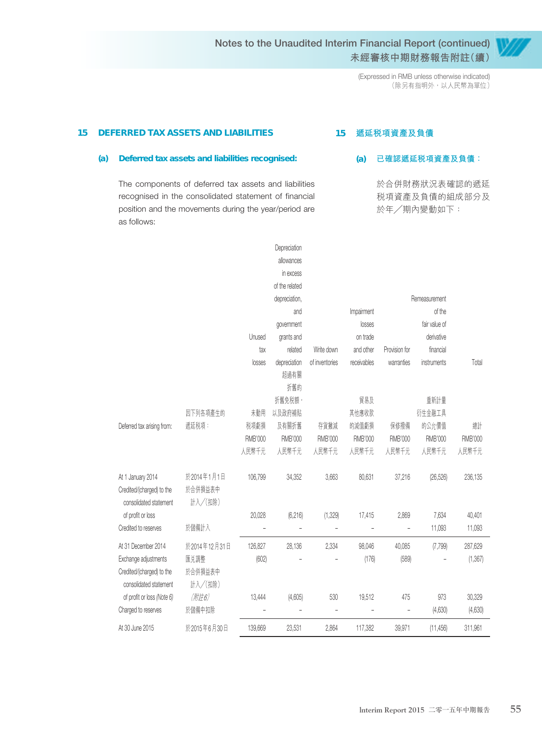> (Expressed in RMB unless otherwise indicated) (除另有指明外,以人民幣為單位)

#### **15 遞延稅項資產及負債 15 DEFERRED TAX ASSETS AND LIABILITIES**

#### **(a) Deferred tax assets and liabilities recognised:**

The components of deferred tax assets and liabilities recognised in the consolidated statement of financial position and the movements during the year/period are as follows:

|  | 遞延祝垻貸産及貝慎 |  |
|--|-----------|--|
|  |           |  |

#### **(a) 已確認遞延稅項資產及負債:**

於合併財務狀況表確認的遞延 稅項資產及負債的組成部分及 於年╱期內變動如下:

|                                                                             |                                  |                | Depreciation   |                |                |                          |               |          |
|-----------------------------------------------------------------------------|----------------------------------|----------------|----------------|----------------|----------------|--------------------------|---------------|----------|
|                                                                             |                                  |                | allowances     |                |                |                          |               |          |
|                                                                             |                                  |                | in excess      |                |                |                          |               |          |
|                                                                             |                                  |                | of the related |                |                |                          |               |          |
|                                                                             |                                  |                | depreciation,  |                |                |                          | Remeasurement |          |
|                                                                             |                                  |                | and            |                | Impairment     |                          | of the        |          |
|                                                                             |                                  |                | government     |                | losses         |                          | fair value of |          |
|                                                                             |                                  | Unused         | grants and     |                | on trade       |                          | derivative    |          |
|                                                                             |                                  | tax            | related        | Write down     | and other      | Provision for            | financial     |          |
|                                                                             |                                  | losses         | depreciation   | of inventories | receivables    | warranties               | instruments   | Total    |
|                                                                             |                                  |                | 超過有關           |                |                |                          |               |          |
|                                                                             |                                  |                | 折舊的            |                |                |                          |               |          |
|                                                                             |                                  |                | 折舊免税額,         |                | 貿易及            |                          | 重新計量          |          |
|                                                                             | 因下列各項產生的                         | 未動用            | 以及政府補貼         |                | 其他應收款          |                          | 衍生金融工具        |          |
| Deferred tax arising from:                                                  | 遞延税項:                            | 税項虧損           | 及有關折舊          | 存貨撇減           | 的減值虧損          | 保修撥備                     | 的公允價值         | 總計       |
|                                                                             |                                  | <b>RMB'000</b> | <b>RMB'000</b> | <b>RMB'000</b> | <b>RMB'000</b> | <b>RMB'000</b>           | RMB'000       | RMB'000  |
|                                                                             |                                  | 人民幣千元          | 人民幣千元          | 人民幣千元          | 人民幣千元          | 人民幣千元                    | 人民幣千元         | 人民幣千元    |
| At 1 January 2014<br>Credited/(charged) to the<br>consolidated statement    | 於2014年1月1日<br>於合併損益表中<br>計入/(扣除) | 106,799        | 34,352         | 3,663          | 80,631         | 37,216                   | (26, 526)     | 236,135  |
| of profit or loss                                                           |                                  | 20,028         | (6, 216)       | (1, 329)       | 17,415         | 2,869                    | 7,634         | 40,401   |
| Credited to reserves                                                        | 於儲備計入                            |                |                |                |                |                          | 11,093        | 11,093   |
| At 31 December 2014                                                         | 於2014年12月31日                     | 126,827        | 28,136         | 2,334          | 98,046         | 40,085                   | (7, 799)      | 287,629  |
| Exchange adjustments<br>Credited/(charged) to the<br>consolidated statement | 匯兑調整<br>於合併損益表中<br>計入/(扣除)       | (602)          |                |                | (176)          | (589)                    |               | (1, 367) |
| of profit or loss (Note 6)                                                  | (附註6)                            | 13,444         | (4,605)        | 530            | 19,512         | 475                      | 973           | 30,329   |
| Charged to reserves                                                         | 於儲備中扣除                           |                |                |                |                | $\overline{\phantom{0}}$ | (4,630)       | (4,630)  |
| At 30 June 2015                                                             | 於2015年6月30日                      | 139,669        | 23,531         | 2,864          | 117,382        | 39,971                   | (11, 456)     | 311,961  |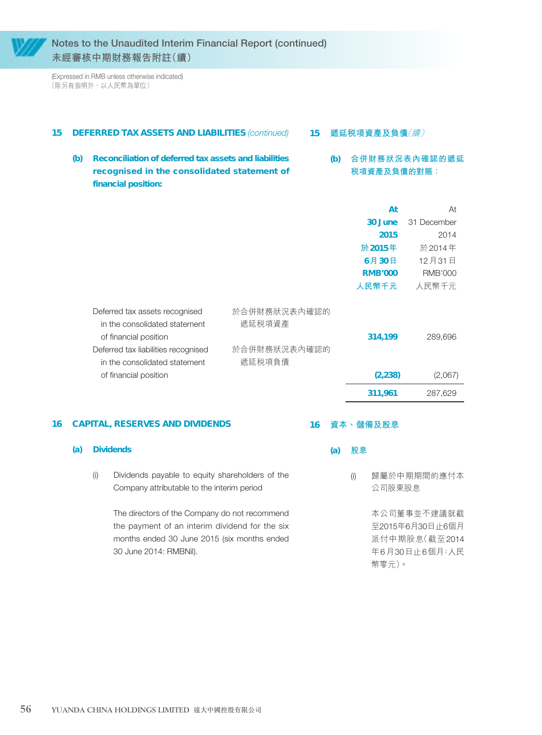(Expressed in RMB unless otherwise indicated) (除另有指明外,以人民幣為單位)

#### 15 **DEFERRED TAX ASSETS AND LIABILITIES** (continued)

- **(b) Reconciliation of deferred tax assets and liabilities recognised in the consolidated statement of financial position:**
- **15 遞延稅項資產及負債**(續)
	- **(b) 合併財務狀況表內確認的遞延 稅項資產及負債的對賬:**

|                                                                                                                                                                  |                                                  | At             | At             |
|------------------------------------------------------------------------------------------------------------------------------------------------------------------|--------------------------------------------------|----------------|----------------|
|                                                                                                                                                                  |                                                  | 30 June        | 31 December    |
|                                                                                                                                                                  |                                                  | 2015           | 2014           |
|                                                                                                                                                                  |                                                  | 於 2015年        | 於2014年         |
|                                                                                                                                                                  |                                                  | 6月30日          | 12月31日         |
|                                                                                                                                                                  |                                                  | <b>RMB'000</b> | <b>RMB'000</b> |
|                                                                                                                                                                  |                                                  | 人民幣千元          | 人民幣千元          |
| Deferred tax assets recognised<br>in the consolidated statement<br>of financial position<br>Deferred tax liabilities recognised<br>in the consolidated statement | 於合併財務狀況表內確認的<br>遞延税項資產<br>於合併財務狀況表內確認的<br>遞延税項負債 | 314,199        | 289,696        |
| of financial position                                                                                                                                            |                                                  | (2, 238)       | (2,067)        |
|                                                                                                                                                                  |                                                  | 311,961        | 287,629        |

#### **16 CAPITAL, RESERVES AND DIVIDENDS**

#### **(a) Dividends**

(i) Dividends payable to equity shareholders of the Company attributable to the interim period

> The directors of the Company do not recommend the payment of an interim dividend for the six months ended 30 June 2015 (six months ended 30 June 2014: RMBNil).

#### **16 資本、儲備及股息**

- **(a) 股息**
	- (i) 歸屬於中期期間的應付本 公司股東股息

本公司董事並不建議就截 至2015年6月30日止6個月 派付中期股息(截至2014 年6月30日止6個月:人民 幣零元)。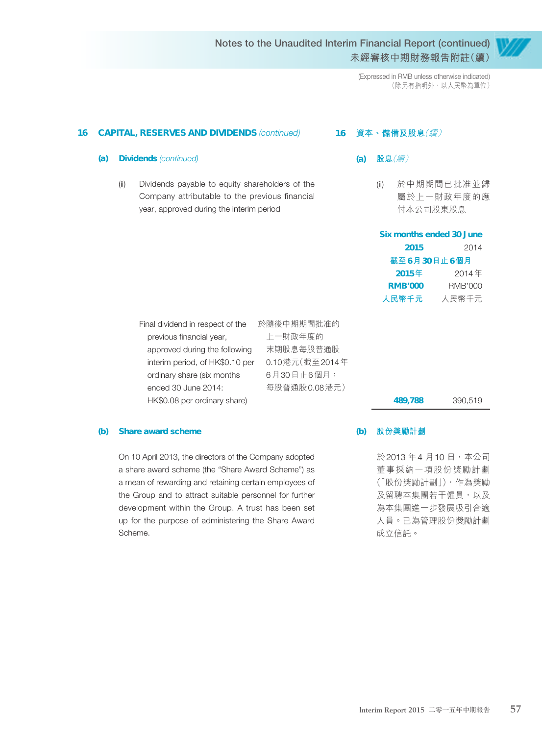> (Expressed in RMB unless otherwise indicated) (除另有指明外,以人民幣為單位)

#### 16 CAPITAL, RESERVES AND DIVIDENDS (continued)

#### **(a) Dividends** (continued)

(ii) Dividends payable to equity shareholders of the Company attributable to the previous financial year, approved during the interim period

**16 資本、儲備及股息**(續)

#### **(a) 股息**(續)

(ii) 於中期期間已批准並歸 屬於上一財政年度的應 付本公司股東股息

|                | Six months ended 30 June |  |  |
|----------------|--------------------------|--|--|
|                | 2014<br>2015             |  |  |
|                | 截至6月30日止6個月              |  |  |
| 2015 年         | 2014年                    |  |  |
| <b>RMB'000</b> | RMB'000                  |  |  |
| 人民幣千元          | 人民幣千元                    |  |  |

| Final dividend in respect of the | 於隨後中期期間批准的       |         |         |
|----------------------------------|------------------|---------|---------|
| previous financial year,         | 上一財政年度的          |         |         |
| approved during the following    | 末期股息每股普通股        |         |         |
| interim period, of HK\$0.10 per  | 0.10 港元 (截至2014年 |         |         |
| ordinary share (six months       | $6$ 月30日止6個月:    |         |         |
| ended 30 June 2014:              | 每股普通股0.08港元)     |         |         |
| HK\$0.08 per ordinary share)     |                  | 489.788 | 390,519 |

#### **(b) Share award scheme**

On 10 April 2013, the directors of the Company adopted a share award scheme (the "Share Award Scheme") as a mean of rewarding and retaining certain employees of the Group and to attract suitable personnel for further development within the Group. A trust has been set up for the purpose of administering the Share Award Scheme.

#### **(b) 股份獎勵計劃**

於2013年4月10日,本公司 董事採納一項股份獎勵計劃 (「股份獎勵計劃」),作為獎勵 及留聘本集團若干僱員,以及 為本集團進一步發展吸引合適 人員。已為管理股份獎勵計劃 成立信託。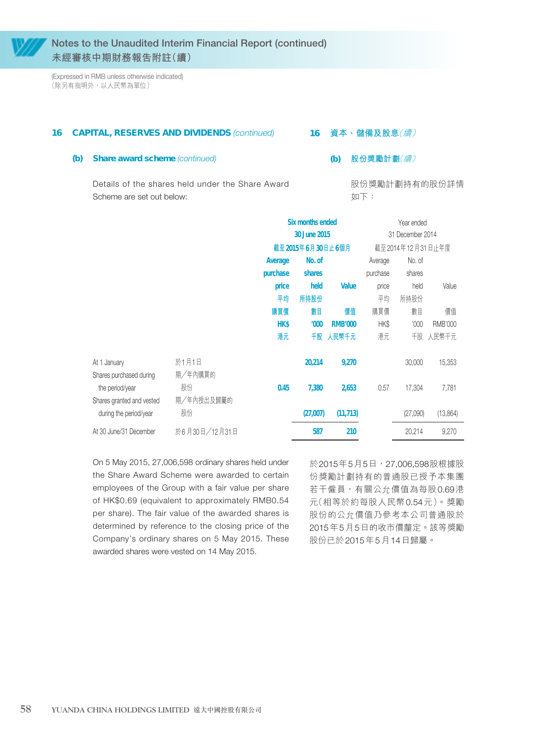(Expressed in RMB unless otherwise indicated) (除另有指明外,以人民幣為單位)

#### 16 CAPITAL, RESERVES AND DIVIDENDS (continued)

#### **16 資本、儲備及股息**(續)

如下:

**(b) 股份獎勵計劃**(續)

#### **(b) Share award scheme** (continued)

股份獎勵計劃持有的股份詳情

Details of the shares held under the Share Award Scheme are set out below:

|                                                     |                  | <b>Six months ended</b> |                  | Year ended     |                  |                  |                |
|-----------------------------------------------------|------------------|-------------------------|------------------|----------------|------------------|------------------|----------------|
|                                                     |                  |                         | 30 June 2015     |                | 31 December 2014 |                  |                |
|                                                     |                  |                         | 截至2015年6月30日止6個月 |                |                  | 截至2014年12月31日止年度 |                |
|                                                     |                  | Average                 | No. of           |                | Average          | No. of           |                |
|                                                     |                  | purchase                | shares           |                | purchase         | shares           |                |
|                                                     |                  | price                   | held             | Value          | price            | held             | Value          |
|                                                     |                  | 平均                      | 所持股份             |                | 平均               | 所持股份             |                |
|                                                     |                  | 購買價                     | 數目               | 價值             | 購買價              | 數目               | 價值             |
|                                                     |                  | <b>HK\$</b>             | '000             | <b>RMB'000</b> | HK\$             | '000'            | <b>RMB'000</b> |
|                                                     |                  | 港元                      |                  | 千股 人民幣千元       | 港元               | 千股               | 人民幣千元          |
| At 1 January                                        | 於1月1日            |                         | 20,214           | 9,270          |                  | 30,000           | 15,353         |
| Shares purchased during<br>the period/year          | 期/年內購買的<br>股份    | 0.45                    | 7,380            | 2,653          | 0.57             | 17,304           | 7,781          |
| Shares granted and vested<br>during the period/year | 期/年內授出及歸屬的<br>股份 |                         | (27,007)         | (11, 713)      |                  | (27,090)         | (13, 864)      |
| At 30 June/31 December                              | 於6月30日/12月31日    |                         | 587              | 210            |                  | 20,214           | 9,270          |

On 5 May 2015, 27,006,598 ordinary shares held under the Share Award Scheme were awarded to certain employees of the Group with a fair value per share of HK\$0.69 (equivalent to approximately RMB0.54 per share). The fair value of the awarded shares is determined by reference to the closing price of the Company's ordinary shares on 5 May 2015. These awarded shares were vested on 14 May 2015.

於2015年5月5日, 27,006,598股根據股 份獎勵計劃持有的普通股已授予本集團 若干僱員,有關公允價值為每股0.69港 元(相等於約每股人民幣0.54元)。獎勵 股份的公允價值乃參考本公司普通股於 2015年5月5日的收市價釐定。該等獎勵 股份已於2015年5月14日歸屬。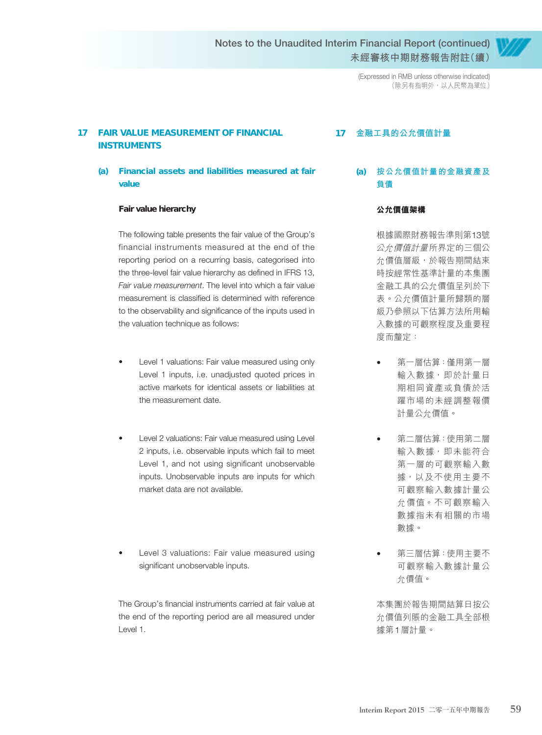> (Expressed in RMB unless otherwise indicated) (除另有指明外,以人民幣為單位)

#### **17 FAIR VALUE MEASUREMENT OF FINANCIAL INSTRUMENTS**

#### **(a) Financial assets and liabilities measured at fair value**

#### **Fair value hierarchy**

The following table presents the fair value of the Group's financial instruments measured at the end of the reporting period on a recurring basis, categorised into the three-level fair value hierarchy as defined in IFRS 13, Fair value measurement. The level into which a fair value measurement is classified is determined with reference to the observability and significance of the inputs used in the valuation technique as follows:

- Level 1 valuations: Fair value measured using only Level 1 inputs, i.e. unadjusted quoted prices in active markets for identical assets or liabilities at the measurement date.
- Level 2 valuations: Fair value measured using Level 2 inputs, i.e. observable inputs which fail to meet Level 1, and not using significant unobservable inputs. Unobservable inputs are inputs for which market data are not available.
- Level 3 valuations: Fair value measured using significant unobservable inputs.

The Group's financial instruments carried at fair value at the end of the reporting period are all measured under Level 1.

#### **17 金融工具的公允價值計量**

**(a) 按公允價值計量的金融資產及 負債**

#### **公允價值架構**

根據國際財務報告準則第13號 公允價值計量所界定的三個公 允價值層級,於報告期間結束 時按經常性基準計量的本集團 金融工具的公允價值呈列於下 表。公允價值計量所歸類的層 級乃參照以下估算方法所用輸 入數據的可觀察程度及重要程 度而釐定:

- 第一層估算:僅用第一層 輸入數據,即於計量日 期相同資產或負債於活 躍市場的未經調整報價 計量公允價值。
- 第二層估算:使用第二層 輸入數據,即未能符合 第一層的可觀察輸入數 據,以及不使用主要不 可觀察輸入數據計量公 允價值。不可觀察輸入 數據指未有相關的市場 數據。
- 第三層估算:使用主要不 可觀察輸入數據計量公 允價值。

本集團於報告期間結算日按公 允價值列賬的金融工具全部根 據第1層計量。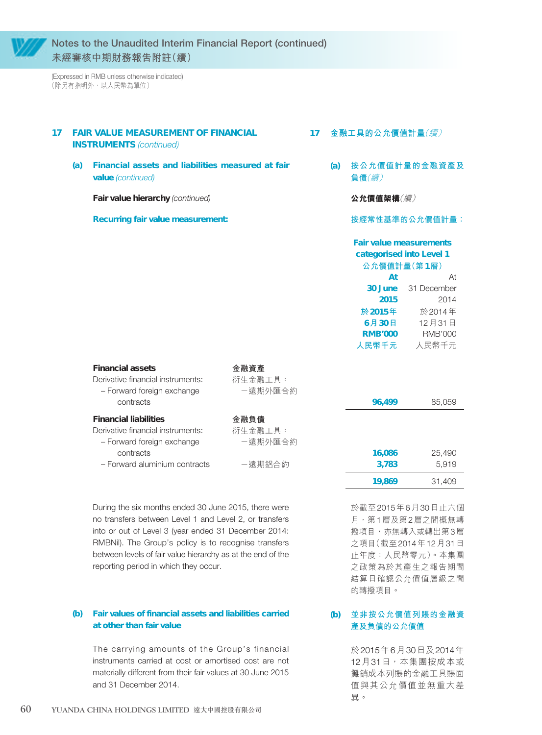(Expressed in RMB unless otherwise indicated) (除另有指明外,以人民幣為單位)

#### **17 FAIR VALUE MEASUREMENT OF FINANCIAL INSTRUMENTS** (continued)

**(a) Financial assets and liabilities measured at fair value** (continued)

**Fair value hierarchy (continued)** 

**Recurring fair value measurement:**

- **17 金融工具的公允價值計量**(續)
	- **(a) 按公允價值計量的金融資產及 負債**(續)

**公允價值架構**(續)

**按經常性基準的公允價值計量:**

|                                   |         | <b>Fair value measurements</b><br>categorised into Level 1<br>公允價值計量(第1層) |                |
|-----------------------------------|---------|---------------------------------------------------------------------------|----------------|
|                                   |         |                                                                           |                |
|                                   |         |                                                                           |                |
|                                   |         | At                                                                        | At             |
|                                   |         | 30 June                                                                   | 31 December    |
|                                   |         | 2015                                                                      | 2014           |
|                                   |         | 於 2015 年                                                                  | 於2014年         |
|                                   |         | 6月30日                                                                     | 12月31日         |
|                                   |         | <b>RMB'000</b>                                                            | <b>RMB'000</b> |
|                                   |         | 人民幣千元                                                                     | 人民幣千元          |
| <b>Financial assets</b>           | 金融資產    |                                                                           |                |
| Derivative financial instruments: | 衍生金融工具: |                                                                           |                |
| - Forward foreign exchange        | 一遠期外匯合約 |                                                                           |                |
| contracts                         |         | 96,499                                                                    | 85,059         |
| <b>Financial liabilities</b>      | 金融負債    |                                                                           |                |
| Derivative financial instruments: | 衍生金融工具: |                                                                           |                |
| - Forward foreign exchange        | -遠期外匯合約 |                                                                           |                |
| contracts                         |         | 16,086                                                                    | 25,490         |
| - Forward aluminium contracts     | -遠期鋁合約  | 3,783                                                                     | 5,919          |

During the six months ended 30 June 2015, there were no transfers between Level 1 and Level 2, or transfers into or out of Level 3 (year ended 31 December 2014: RMBNil). The Group's policy is to recognise transfers between levels of fair value hierarchy as at the end of the reporting period in which they occur.

#### **(b) Fair values of financial assets and liabilities carried at other than fair value**

The carrying amounts of the Group's financial instruments carried at cost or amortised cost are not materially different from their fair values at 30 June 2015 and 31 December 2014.

於截至2015年6月30日止六個 月,第1層及第2層之間概無轉 撥項目,亦無轉入或轉出第3層 之項目(截至2014年12月31日 止年度:人民幣零元)。本集團 之政策為於其產生之報告期間 結算日確認公允價值層級之間 的轉撥項目。

**19,869** 31,409

#### **(b) 並非按公允價值列賬的金融資 產及負債的公允價值**

於2015年6月30日及2014年 12月31日,本集團按成本或 攤銷成本列賬的金融工具賬面 值與其公允價值並無重大差 異。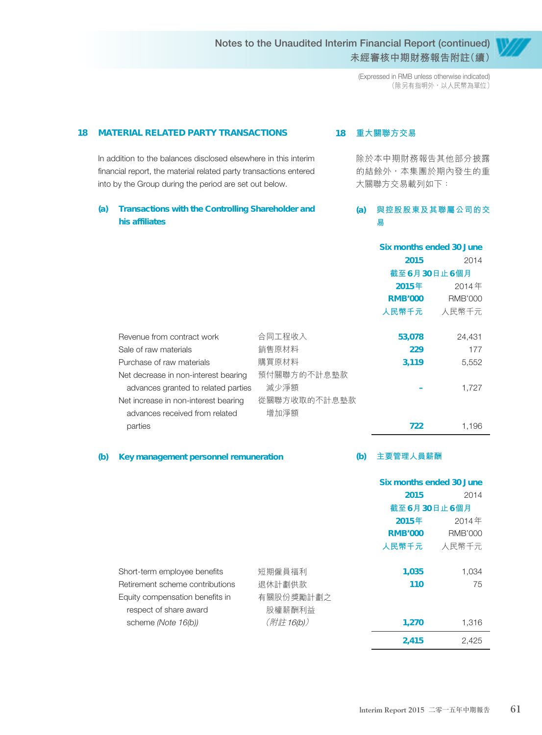> (Expressed in RMB unless otherwise indicated) (除另有指明外,以人民幣為單位)

#### **18 MATERIAL RELATED PARTY TRANSACTIONS**

In addition to the balances disclosed elsewhere in this interim financial report, the material related party transactions entered into by the Group during the period are set out below.

#### **(a) Transactions with the Controlling Shareholder and his affiliates**

#### **18 重大關聯方交易**

除於本中期財務報告其他部分披露 的結餘外,本集團於期內發生的重 大關聯方交易載列如下:

#### **(a) 與控股股東及其聯屬公司的交 易**

|                                      |              | Six months ended 30 June |                |
|--------------------------------------|--------------|--------------------------|----------------|
|                                      |              | 2015                     | 2014           |
|                                      |              | 截至6月30日止6個月              |                |
|                                      |              | 2015年                    | 2014年          |
|                                      |              | <b>RMB'000</b>           | <b>RMB'000</b> |
|                                      |              | 人民幣千元                    | 人民幣千元          |
|                                      |              |                          |                |
| Revenue from contract work           | 合同工程收入       | 53,078                   | 24,431         |
| Sale of raw materials                | 銷售原材料        | 229                      | 177            |
| Purchase of raw materials            | 購買原材料        | 3,119                    | 5,552          |
| Net decrease in non-interest bearing | 預付關聯方的不計息墊款  |                          |                |
| advances granted to related parties  | 減少淨額         |                          | 1,727          |
| Net increase in non-interest bearing | 從關聯方收取的不計息墊款 |                          |                |
| advances received from related       | 增加淨額         |                          |                |
| parties                              |              | 722                      | 1,196          |

#### **(b) Key management personnel remuneration**

#### **(b) 主要管理人員薪酬**

|                                 |            | Six months ended 30 June |                |
|---------------------------------|------------|--------------------------|----------------|
|                                 |            | 2015                     | 2014           |
|                                 |            | 截至6月30日止6個月              |                |
|                                 |            | 2015年                    | 2014年          |
|                                 |            | <b>RMB'000</b>           | <b>RMB'000</b> |
|                                 |            | 人民幣千元                    | 人民幣千元          |
| Short-term employee benefits    | 短期僱員福利     | 1,035                    | 1,034          |
| Retirement scheme contributions | 退休計劃供款     | 110                      | 75             |
| Equity compensation benefits in | 有關股份獎勵計劃之  |                          |                |
| respect of share award          | 股權薪酬利益     |                          |                |
| scheme (Note 16(b))             | (附註 16(b)) | 1,270                    | 1,316          |
|                                 |            | 2,415                    | 2,425          |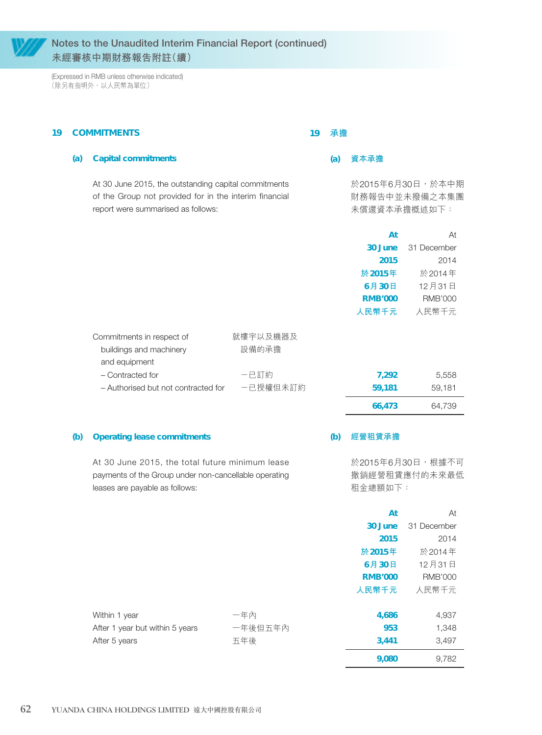

(Expressed in RMB unless otherwise indicated) (除另有指明外,以人民幣為單位)

#### **19 COMMITMENTS**

#### **(a) Capital commitments**

At 30 June 2015, the outstanding capital commitments of the Group not provided for in the interim financial report were summarised as follows:

#### **19 承擔**

#### **(a) 資本承擔**

於2015年6月30日,於本中期 財務報告中並未撥備之本集團 未償還資本承擔概述如下:

|                                     |          | At             | At             |
|-------------------------------------|----------|----------------|----------------|
|                                     |          | 30 June        | 31 December    |
|                                     |          | 2015           | 2014           |
|                                     |          | 於 2015年        | 於2014年         |
|                                     |          | 6月30日          | 12月31日         |
|                                     |          | <b>RMB'000</b> | <b>RMB'000</b> |
|                                     |          | 人民幣千元          | 人民幣千元          |
|                                     |          |                |                |
| Commitments in respect of           | 就樓宇以及機器及 |                |                |
| buildings and machinery             | 設備的承擔    |                |                |
| and equipment                       |          |                |                |
| - Contracted for                    | 一已訂約     | 7,292          | 5,558          |
| - Authorised but not contracted for | 一已授權但未訂約 | 59,181         | 59,181         |
|                                     |          | 66,473         | 64,739         |

#### **(b) Operating lease commitments**

#### **(b) 經營租賃承擔**

At 30 June 2015, the total future minimum lease payments of the Group under non-cancellable operating leases are payable as follows:

| 於2015年6月30日,根據不可 |
|------------------|
| 撤銷經營租賃應付的未來最低    |
| 相金總額如下:          |

|                                 |         | At             | At             |
|---------------------------------|---------|----------------|----------------|
|                                 |         | 30 June        | 31 December    |
|                                 |         | 2015           | 2014           |
|                                 |         | 於 2015年        | 於2014年         |
|                                 |         | 6月30日          | 12月31日         |
|                                 |         | <b>RMB'000</b> | <b>RMB'000</b> |
|                                 |         | 人民幣千元          | 人民幣千元          |
| Within 1 year                   | 一年內     | 4,686          | 4,937          |
| After 1 year but within 5 years | 一年後但五年內 | 953            | 1,348          |
| After 5 years                   | 五年後     | 3,441          | 3,497          |
|                                 |         | 9,080          | 9,782          |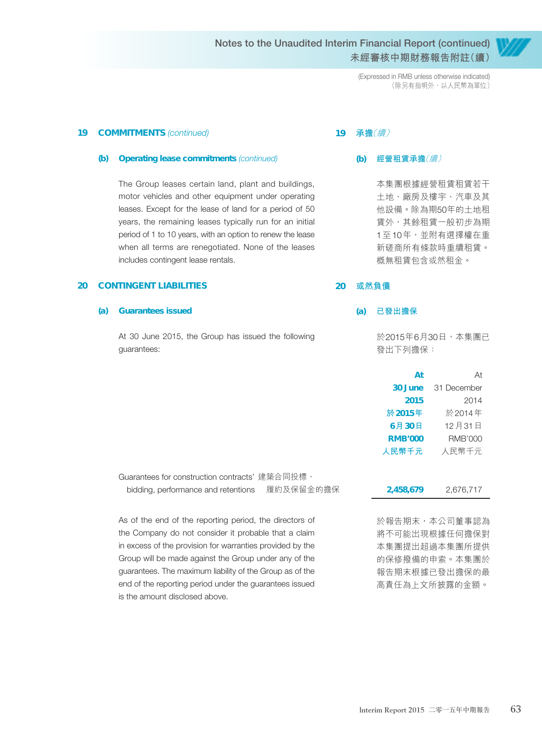> (Expressed in RMB unless otherwise indicated) (除另有指明外,以人民幣為單位)

#### 19 **COMMITMENTS** (continued)

#### **(b) Operating lease commitments** (continued)

The Group leases certain land, plant and buildings, motor vehicles and other equipment under operating leases. Except for the lease of land for a period of 50 years, the remaining leases typically run for an initial period of 1 to 10 years, with an option to renew the lease when all terms are renegotiated. None of the leases includes contingent lease rentals.

#### **20 CONTINGENT LIABILITIES**

#### **(a) Guarantees issued**

At 30 June 2015, the Group has issued the following guarantees:

#### **19 承擔**(續)

#### **(b) 經營租賃承擔**(續)

本集團根據經營租賃租賃若干 土地、廠房及樓宇、汽車及其 他設備。除為期50年的土地租 賃外,其餘租賃一般初步為期 1至10年,並附有選擇權在重 新磋商所有條款時重續租賃。 概無租賃包含或然租金。

#### **20 或然負債**

#### **(a) 已發出擔保**

於2015年6月30日,本集團已 發出下列擔保:

| At             | At             |
|----------------|----------------|
| 30 June        | 31 December    |
| 2015           | 2014           |
| 於 2015年        | 於2014年         |
| 6月30日          | 12月31日         |
| <b>RMB'000</b> | <b>RMB'000</b> |
| 人民幣千元          | 人民幣千元          |
|                |                |
|                |                |
| IEQ 670        | 676 717        |

Guarantees for construction contracts' 建築合同投標、 bidding, performance and retentions 履約及保留金的擔保 **2,458,679** 2,676,717

As of the end of the reporting period, the directors of the Company do not consider it probable that a claim in excess of the provision for warranties provided by the Group will be made against the Group under any of the guarantees. The maximum liability of the Group as of the end of the reporting period under the guarantees issued is the amount disclosed above.

於報告期末,本公司董事認為 將不可能出現根據任何擔保對 本集團提出超過本集團所提供 的保修撥備的申索。本集團於 報告期末根據已發出擔保的最 高責任為上文所披露的金額。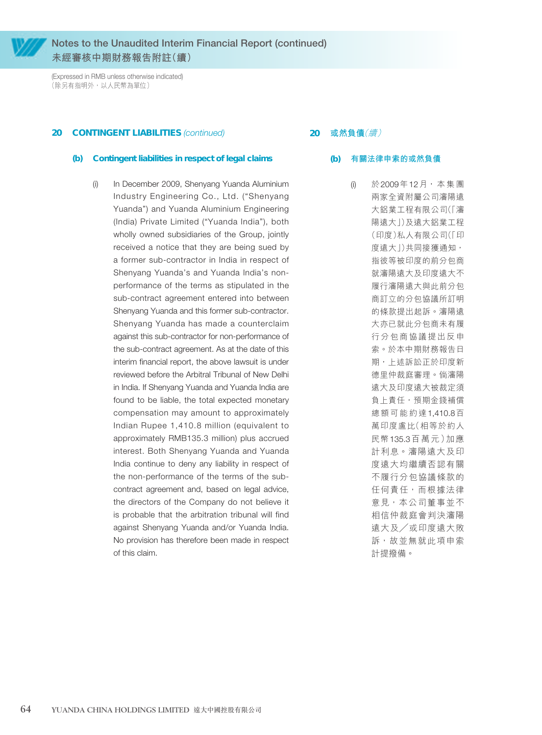

(Expressed in RMB unless otherwise indicated) (除另有指明外,以人民幣為單位)

#### **20 CONTINGENT LIABILITIES** (continued)

#### **20 或然負債**(續)

#### **(b) Contingent liabilities in respect of legal claims**

(i) In December 2009, Shenyang Yuanda Aluminium Industry Engineering Co., Ltd. ("Shenyang Yuanda") and Yuanda Aluminium Engineering (India) Private Limited ("Yuanda India"), both wholly owned subsidiaries of the Group, jointly received a notice that they are being sued by a former sub-contractor in India in respect of Shenyang Yuanda's and Yuanda India's nonperformance of the terms as stipulated in the sub-contract agreement entered into between Shenyang Yuanda and this former sub-contractor. Shenyang Yuanda has made a counterclaim against this sub-contractor for non-performance of the sub-contract agreement. As at the date of this interim financial report, the above lawsuit is under reviewed before the Arbitral Tribunal of New Delhi in India. If Shenyang Yuanda and Yuanda India are found to be liable, the total expected monetary compensation may amount to approximately Indian Rupee 1,410.8 million (equivalent to approximately RMB135.3 million) plus accrued interest. Both Shenyang Yuanda and Yuanda India continue to deny any liability in respect of the non-performance of the terms of the subcontract agreement and, based on legal advice, the directors of the Company do not believe it is probable that the arbitration tribunal will find against Shenyang Yuanda and/or Yuanda India. No provision has therefore been made in respect of this claim.

#### **(b) 有關法律申索的或然負債**

(i) 於2009年12月, 本 集 團 兩家全資附屬公司瀋陽遠 大鋁業工程有限公司(「瀋 陽遠大」)及遠大鋁業工程 (印度)私人有限公司(「印 度遠大」)共同接獲通知, 指彼等被印度的前分包商 就瀋陽遠大及印度遠大不 履行瀋陽遠大與此前分包 商訂立的分包協議所訂明 的條款提出起訴。瀋陽遠 大亦已就此分包商未有履 行分包商協議提出反申 索。於本中期財務報告日 期,上述訴訟正於印度新 德里仲裁庭審理。倘瀋陽 遠大及印度遠大被裁定須 負上責任,預期金錢補償 總額可能約達1,410.8百 萬印度盧比(相等於約人 民幣135.3百萬元)加應 計利息。瀋陽遠大及印 度遠大均繼續否認有關 不履行分包協議條款的 任何責任,而根據法律 意見,本公司董事並不 相信仲裁庭會判決瀋陽 遠大及/或印度遠大敗 訴,故並無就此項申索 計提撥備。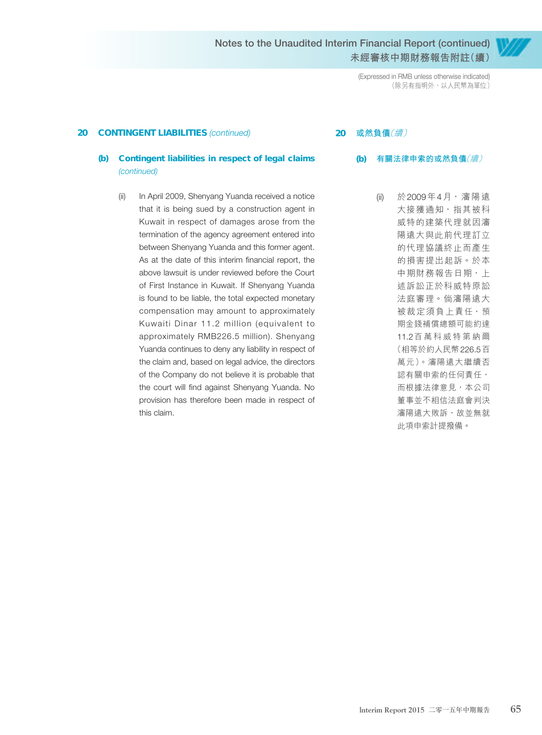> (Expressed in RMB unless otherwise indicated) (除另有指明外,以人民幣為單位)

#### **20 CONTINGENT LIABILITIES** (continued)

#### **(b) Contingent liabilities in respect of legal claims**  (continued)

(ii) In April 2009, Shenyang Yuanda received a notice that it is being sued by a construction agent in Kuwait in respect of damages arose from the termination of the agency agreement entered into between Shenyang Yuanda and this former agent. As at the date of this interim financial report, the above lawsuit is under reviewed before the Court of First Instance in Kuwait. If Shenyang Yuanda is found to be liable, the total expected monetary compensation may amount to approximately Kuwaiti Dinar 11.2 million (equivalent to approximately RMB226.5 million). Shenyang Yuanda continues to deny any liability in respect of the claim and, based on legal advice, the directors of the Company do not believe it is probable that the court will find against Shenyang Yuanda. No provision has therefore been made in respect of this claim.

#### **20 或然負債**(續)

**(b) 有關法律申索的或然負債**(續)

(ii) 於2009年4月,瀋陽遠 大接獲通知,指其被科 威特的建築代理就因瀋 陽遠大與此前代理訂立 的代理協議終止而產生 的損害提出起訴。於本 中期財務報告日期, 上 述訴訟正於科威特原訟 法庭審理。倘瀋陽遠大 被裁定須負上責任, 預 期金錢補償總額可能約達 11.2百萬科威特第納爾 (相等於約人民幣226.5百 萬元)。瀋陽遠大繼續否 認有關申索的任何責任, 而根據法律意見,本公司 董事並不相信法庭會判決 瀋陽遠大敗訴,故並無就 此項申索計提撥備。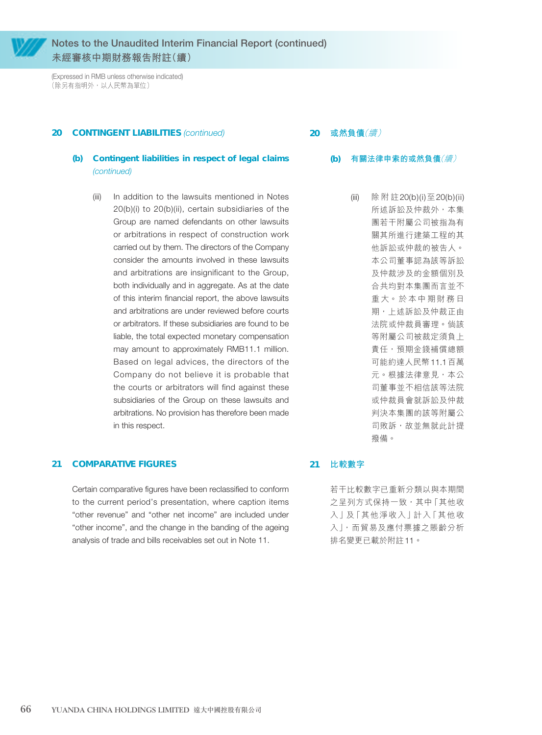

(Expressed in RMB unless otherwise indicated) (除另有指明外,以人民幣為單位)

#### **20 CONTINGENT LIABILITIES** (continued)

#### **20 或然負債**(續)

- **(b) Contingent liabilities in respect of legal claims**  (continued)
	- (iii) In addition to the lawsuits mentioned in Notes 20(b)(i) to 20(b)(ii), certain subsidiaries of the Group are named defendants on other lawsuits or arbitrations in respect of construction work carried out by them. The directors of the Company consider the amounts involved in these lawsuits and arbitrations are insignificant to the Group, both individually and in aggregate. As at the date of this interim financial report, the above lawsuits and arbitrations are under reviewed before courts or arbitrators. If these subsidiaries are found to be liable, the total expected monetary compensation may amount to approximately RMB11.1 million. Based on legal advices, the directors of the Company do not believe it is probable that the courts or arbitrators will find against these subsidiaries of the Group on these lawsuits and arbitrations. No provision has therefore been made in this respect.

#### **21 COMPARATIVE FIGURES**

Certain comparative figures have been reclassified to conform to the current period's presentation, where caption items "other revenue" and "other net income" are included under "other income", and the change in the banding of the ageing analysis of trade and bills receivables set out in Note 11.

- **(b) 有關法律申索的或然負債**(續)
	- (iii) 除附註20(b)(i)至20(b)(ii) 所述訴訟及仲裁外,本集 團若干附屬公司被指為有 關其所進行建築工程的其 他訴訟或仲裁的被告人。 本公司董事認為該等訴訟 及仲裁涉及的金額個別及 合共均對本集團而言並不 重 大。 於 本 中 期 財 務 日 期,上述訴訟及仲裁正由 法院或仲裁員審理。倘該 等附屬公司被裁定須負上 責任,預期金錢補償總額 可能約達人民幣11.1百萬 元。根據法律意見,本公 司董事並不相信該等法院 或仲裁員會就訴訟及仲裁 判決本集團的該等附屬公 司敗訴,故並無就此計提 撥備。

#### **21 比較數字**

若干比較數字已重新分類以與本期間 之呈列方式保持一致,其中「其他收 入」及「其他淨收入」計入「其他收 入」,而貿易及應付票據之賬齡分析 排名變更已載於附註11。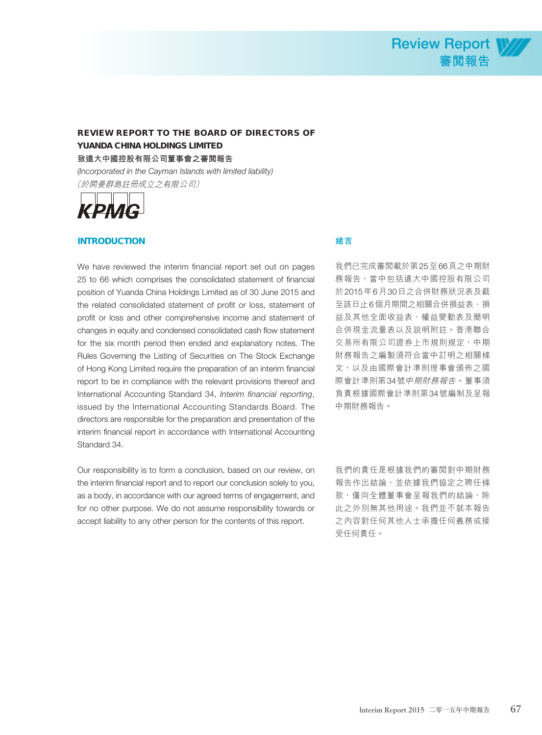

#### **REVIEW REPORT TO THE BOARD OF DIRECTORS OF YUANDA CHINA HOLDINGS LIMITED 致遠大中國控股有限公司董事會之審閱報告** (Incorporated in the Cayman Islands with limited liability) (於開曼群島註冊成立之有限公司)



#### **INTRODUCTION**

We have reviewed the interim financial report set out on pages 25 to 66 which comprises the consolidated statement of financial position of Yuanda China Holdings Limited as of 30 June 2015 and the related consolidated statement of profit or loss, statement of profit or loss and other comprehensive income and statement of changes in equity and condensed consolidated cash flow statement for the six month period then ended and explanatory notes. The Rules Governing the Listing of Securities on The Stock Exchange of Hong Kong Limited require the preparation of an interim financial report to be in compliance with the relevant provisions thereof and International Accounting Standard 34, Interim financial reporting, issued by the International Accounting Standards Board. The directors are responsible for the preparation and presentation of the interim financial report in accordance with International Accounting Standard 34.

Our responsibility is to form a conclusion, based on our review, on the interim financial report and to report our conclusion solely to you, as a body, in accordance with our agreed terms of engagement, and for no other purpose. We do not assume responsibility towards or accept liability to any other person for the contents of this report.

#### **緒言**

我們已完成審閱載於第25至66頁之中期財 務報告,當中包括遠大中國控股有限公司 於2015年6月30日之合併財務狀況表及截 至該日止6個月期間之相關合併損益表、損 益及其他全面收益表、權益變動表及簡明 合併現金流量表以及說明附註。香港聯合 交易所有限公司證券上市規則規定,中期 財務報告之編製須符合當中訂明之相關條 文,以及由國際會計準則理事會頒佈之國 際會計準則第34號中期財務報告。董事須 負責根據國際會計準則第34號編制及呈報 中期財務報告。

我們的責任是根據我們的審閱對中期財務 報告作出結論,並依據我們協定之聘任條 款,僅向全體董事會呈報我們的結論,除 此之外別無其他用途。我們並不就本報告 之內容對任何其他人士承擔任何義務或接 受任何責任。